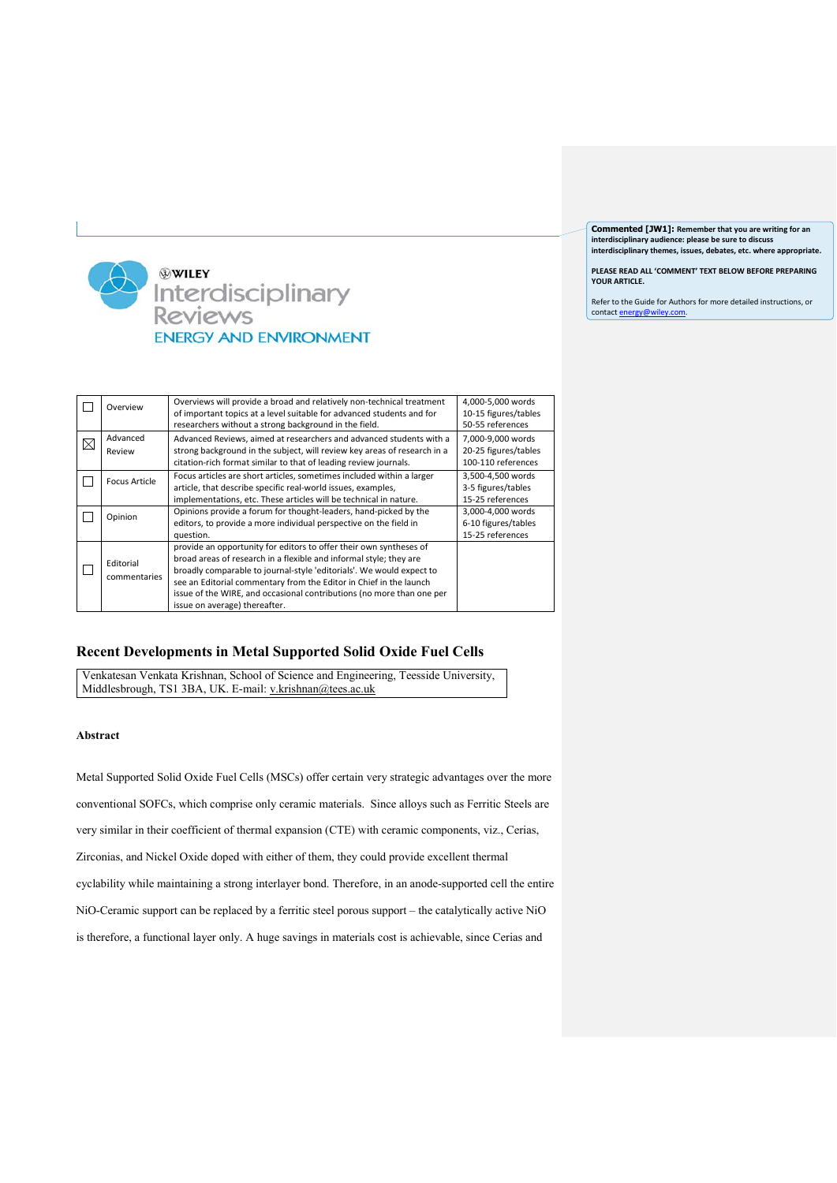**Commented [JW1]: Remember that you are writing for an interdisciplinary audience: please be sure to discuss interdisciplinary themes, issues, debates, etc. where appropriate.**

**PLEASE READ ALL 'COMMENT' TEXT BELOW BEFORE PREPARING YOUR ARTICLE.**

Refer to the Guide for Authors for more detailed instructions, or contact energy@w



| Overview                  | Overviews will provide a broad and relatively non-technical treatment<br>of important topics at a level suitable for advanced students and for<br>researchers without a strong background in the field.                                                                                                                                                                                          | 4,000-5,000 words<br>10-15 figures/tables<br>50-55 references   |
|---------------------------|--------------------------------------------------------------------------------------------------------------------------------------------------------------------------------------------------------------------------------------------------------------------------------------------------------------------------------------------------------------------------------------------------|-----------------------------------------------------------------|
| Advanced<br>Review        | Advanced Reviews, aimed at researchers and advanced students with a<br>strong background in the subject, will review key areas of research in a<br>citation-rich format similar to that of leading review journals.                                                                                                                                                                              | 7,000-9,000 words<br>20-25 figures/tables<br>100-110 references |
| <b>Focus Article</b>      | Focus articles are short articles, sometimes included within a larger<br>article, that describe specific real-world issues, examples,<br>implementations, etc. These articles will be technical in nature.                                                                                                                                                                                       | 3,500-4,500 words<br>3-5 figures/tables<br>15-25 references     |
| Opinion                   | Opinions provide a forum for thought-leaders, hand-picked by the<br>editors, to provide a more individual perspective on the field in<br>question.                                                                                                                                                                                                                                               | 3,000-4,000 words<br>6-10 figures/tables<br>15-25 references    |
| Editorial<br>commentaries | provide an opportunity for editors to offer their own syntheses of<br>broad areas of research in a flexible and informal style; they are<br>broadly comparable to journal-style 'editorials'. We would expect to<br>see an Editorial commentary from the Editor in Chief in the launch<br>issue of the WIRE, and occasional contributions (no more than one per<br>issue on average) thereafter. |                                                                 |

## **Recent Developments in Metal Supported Solid Oxide Fuel Cells**

Venkatesan Venkata Krishnan, School of Science and Engineering, Teesside University, Middlesbrough, TS1 3BA, UK. E-mail: [v.krishnan@tees.ac.uk](mailto:v.krishnan@tees.ac.uk)

## **Abstract**

Metal Supported Solid Oxide Fuel Cells (MSCs) offer certain very strategic advantages over the more conventional SOFCs, which comprise only ceramic materials. Since alloys such as Ferritic Steels are very similar in their coefficient of thermal expansion (CTE) with ceramic components, viz., Cerias, Zirconias, and Nickel Oxide doped with either of them, they could provide excellent thermal cyclability while maintaining a strong interlayer bond. Therefore, in an anode-supported cell the entire NiO-Ceramic support can be replaced by a ferritic steel porous support – the catalytically active NiO is therefore, a functional layer only. A huge savings in materials cost is achievable, since Cerias and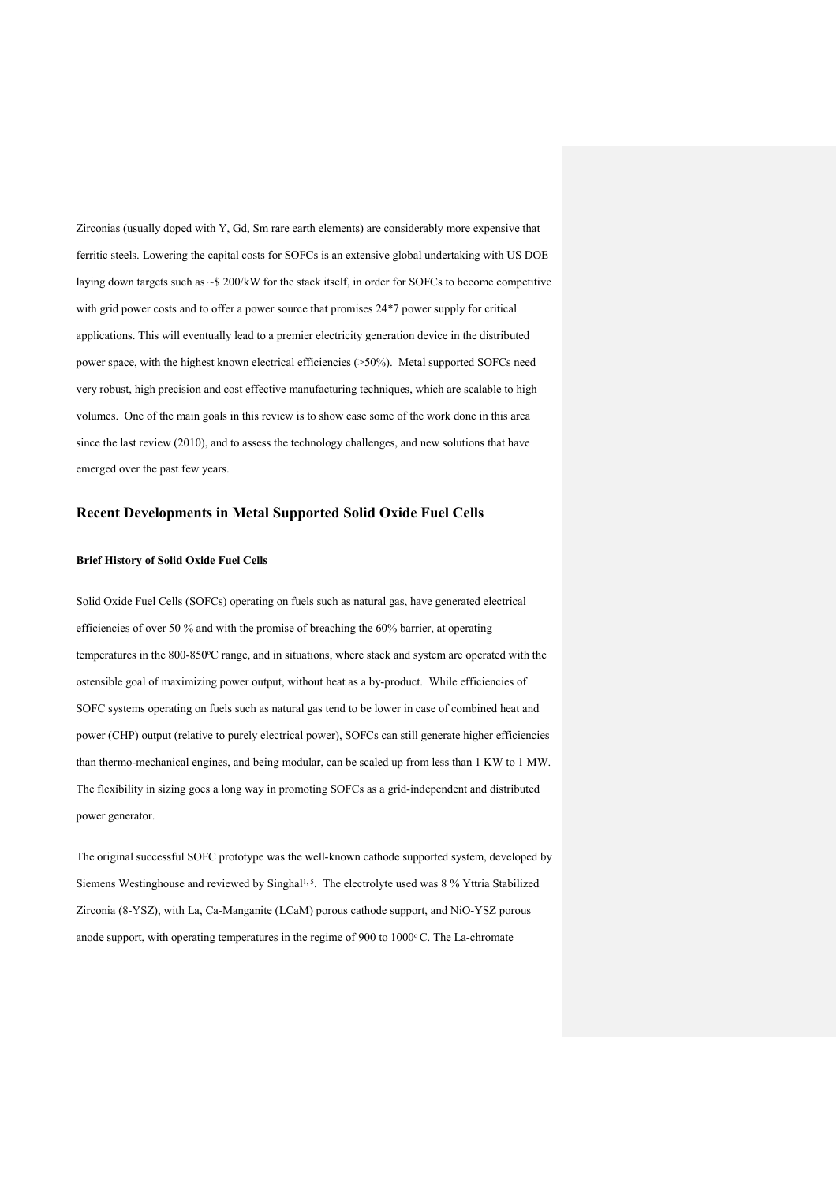Zirconias (usually doped with Y, Gd, Sm rare earth elements) are considerably more expensive that ferritic steels. Lowering the capital costs for SOFCs is an extensive global undertaking with US DOE laying down targets such as ~\$ 200/kW for the stack itself, in order for SOFCs to become competitive with grid power costs and to offer a power source that promises 24\*7 power supply for critical applications. This will eventually lead to a premier electricity generation device in the distributed power space, with the highest known electrical efficiencies (>50%). Metal supported SOFCs need very robust, high precision and cost effective manufacturing techniques, which are scalable to high volumes. One of the main goals in this review is to show case some of the work done in this area since the last review (2010), and to assess the technology challenges, and new solutions that have emerged over the past few years.

## **Recent Developments in Metal Supported Solid Oxide Fuel Cells**

## **Brief History of Solid Oxide Fuel Cells**

Solid Oxide Fuel Cells (SOFCs) operating on fuels such as natural gas, have generated electrical efficiencies of over 50 % and with the promise of breaching the 60% barrier, at operating temperatures in the 800-850°C range, and in situations, where stack and system are operated with the ostensible goal of maximizing power output, without heat as a by-product. While efficiencies of SOFC systems operating on fuels such as natural gas tend to be lower in case of combined heat and power (CHP) output (relative to purely electrical power), SOFCs can still generate higher efficiencies than thermo-mechanical engines, and being modular, can be scaled up from less than 1 KW to 1 MW. The flexibility in sizing goes a long way in promoting SOFCs as a grid-independent and distributed power generator.

The original successful SOFC prototype was the well-known cathode supported system, developed by Siemens Westinghouse and reviewed by Singhal<sup>1, 5</sup>. The electrolyte used was 8 % Yttria Stabilized Zirconia (8-YSZ), with La, Ca-Manganite (LCaM) porous cathode support, and NiO-YSZ porous anode support, with operating temperatures in the regime of 900 to 1000°C. The La-chromate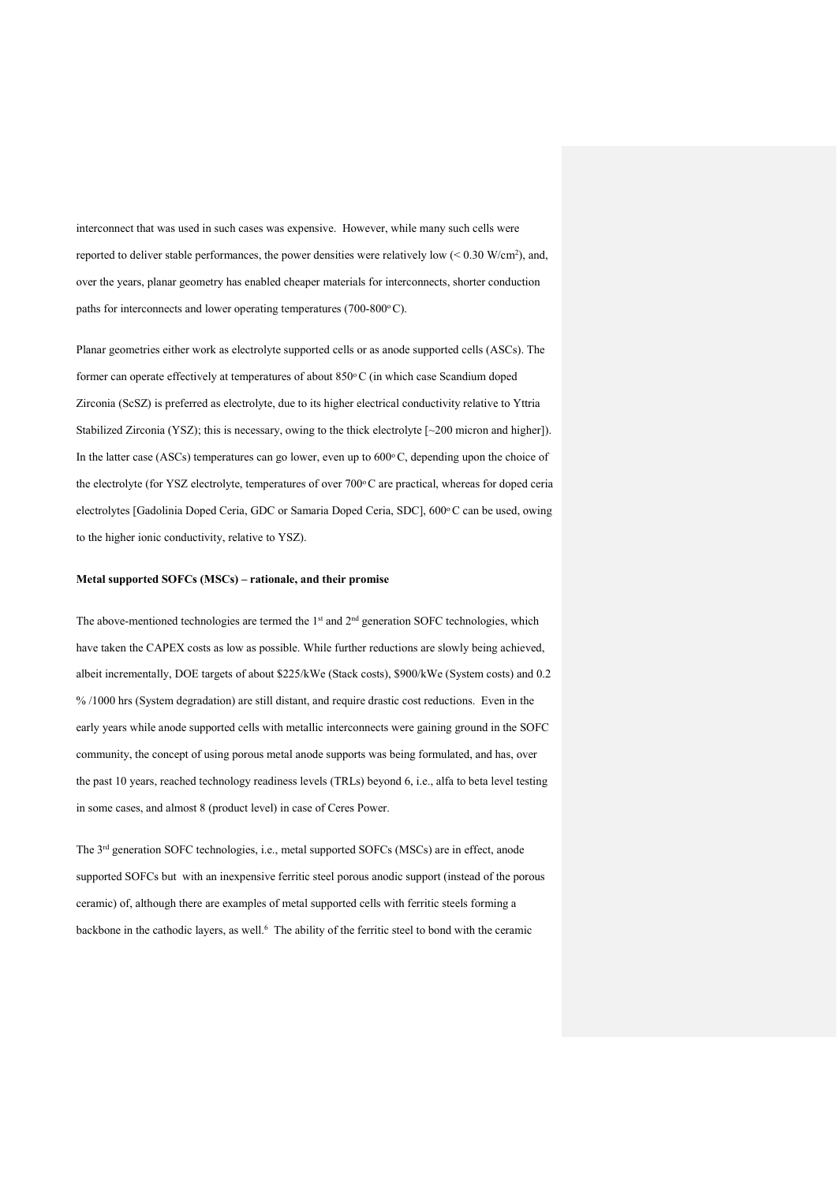interconnect that was used in such cases was expensive. However, while many such cells were reported to deliver stable performances, the power densities were relatively low  $\leq 0.30$  W/cm<sup>2</sup>), and, over the years, planar geometry has enabled cheaper materials for interconnects, shorter conduction paths for interconnects and lower operating temperatures (700-800 $^{\circ}$ C).

Planar geometries either work as electrolyte supported cells or as anode supported cells (ASCs). The former can operate effectively at temperatures of about 850°C (in which case Scandium doped Zirconia (ScSZ) is preferred as electrolyte, due to its higher electrical conductivity relative to Yttria Stabilized Zirconia (YSZ); this is necessary, owing to the thick electrolyte [~200 micron and higher]). In the latter case (ASCs) temperatures can go lower, even up to  $600^{\circ}$ C, depending upon the choice of the electrolyte (for YSZ electrolyte, temperatures of over 700°C are practical, whereas for doped ceria electrolytes [Gadolinia Doped Ceria, GDC or Samaria Doped Ceria, SDC], 600°C can be used, owing to the higher ionic conductivity, relative to YSZ).

#### **Metal supported SOFCs (MSCs) – rationale, and their promise**

The above-mentioned technologies are termed the 1<sup>st</sup> and 2<sup>nd</sup> generation SOFC technologies, which have taken the CAPEX costs as low as possible. While further reductions are slowly being achieved, albeit incrementally, DOE targets of about \$225/kWe (Stack costs), \$900/kWe (System costs) and 0.2 % /1000 hrs (System degradation) are still distant, and require drastic cost reductions. Even in the early years while anode supported cells with metallic interconnects were gaining ground in the SOFC community, the concept of using porous metal anode supports was being formulated, and has, over the past 10 years, reached technology readiness levels (TRLs) beyond 6, i.e., alfa to beta level testing in some cases, and almost 8 (product level) in case of Ceres Power.

The 3rd generation SOFC technologies, i.e., metal supported SOFCs (MSCs) are in effect, anode supported SOFCs but with an inexpensive ferritic steel porous anodic support (instead of the porous ceramic) of, although there are examples of metal supported cells with ferritic steels forming a backbone in the cathodic layers, as well.<sup>6</sup> The ability of the ferritic steel to bond with the ceramic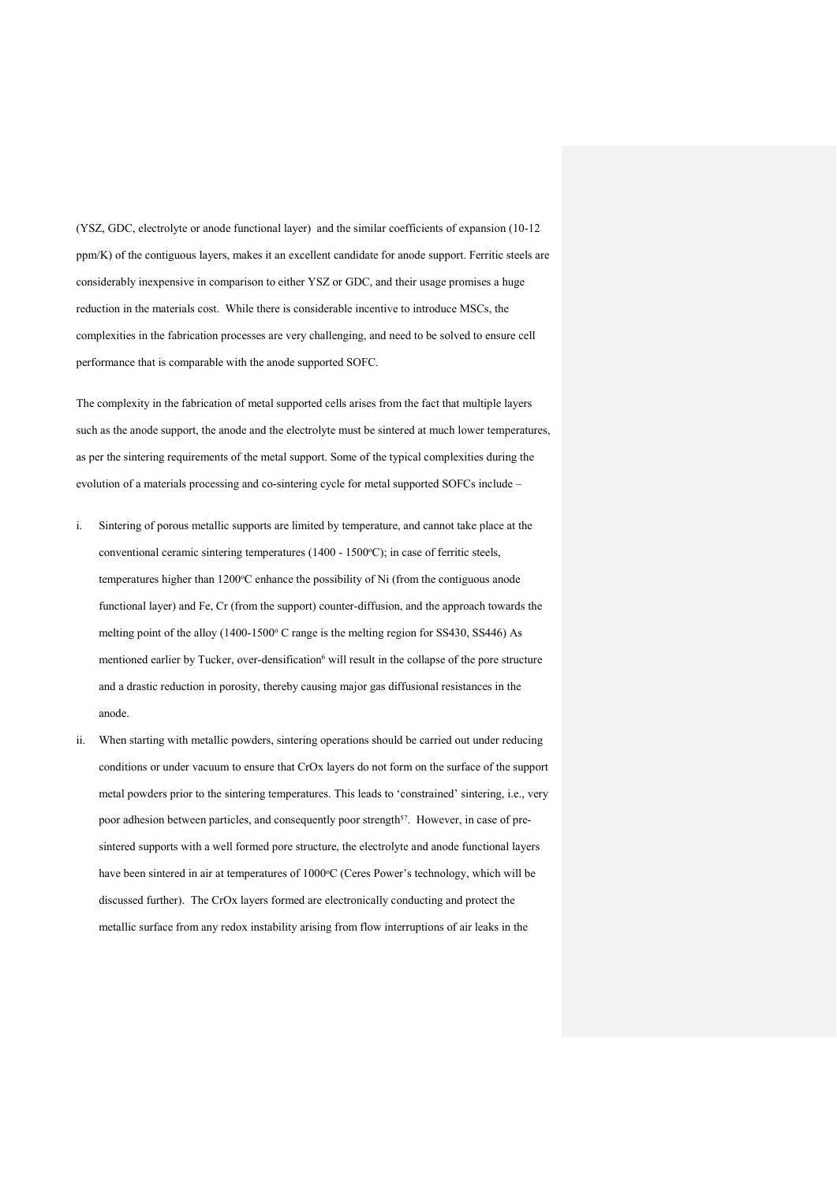(YSZ, GDC, electrolyte or anode functional layer) and the similar coefficients of expansion (10-12 ppm/K) of the contiguous layers, makes it an excellent candidate for anode support. Ferritic steels are considerably inexpensive in comparison to either YSZ or GDC, and their usage promises a huge reduction in the materials cost. While there is considerable incentive to introduce MSCs, the complexities in the fabrication processes are very challenging, and need to be solved to ensure cell performance that is comparable with the anode supported SOFC.

The complexity in the fabrication of metal supported cells arises from the fact that multiple layers such as the anode support, the anode and the electrolyte must be sintered at much lower temperatures, as per the sintering requirements of the metal support. Some of the typical complexities during the evolution of a materials processing and co-sintering cycle for metal supported SOFCs include –

- i. Sintering of porous metallic supports are limited by temperature, and cannot take place at the conventional ceramic sintering temperatures (1400 - 1500°C); in case of ferritic steels, temperatures higher than 1200°C enhance the possibility of Ni (from the contiguous anode functional layer) and Fe, Cr (from the support) counter-diffusion, and the approach towards the melting point of the alloy  $(1400-1500)$ <sup>o</sup> C range is the melting region for SS430, SS446) As mentioned earlier by Tucker, over-densification<sup>6</sup> will result in the collapse of the pore structure and a drastic reduction in porosity, thereby causing major gas diffusional resistances in the anode.
- ii. When starting with metallic powders, sintering operations should be carried out under reducing conditions or under vacuum to ensure that CrOx layers do not form on the surface of the support metal powders prior to the sintering temperatures. This leads to 'constrained' sintering, i.e., very poor adhesion between particles, and consequently poor strength<sup>57</sup>. However, in case of presintered supports with a well formed pore structure, the electrolyte and anode functional layers have been sintered in air at temperatures of 1000°C (Ceres Power's technology, which will be discussed further). The CrOx layers formed are electronically conducting and protect the metallic surface from any redox instability arising from flow interruptions of air leaks in the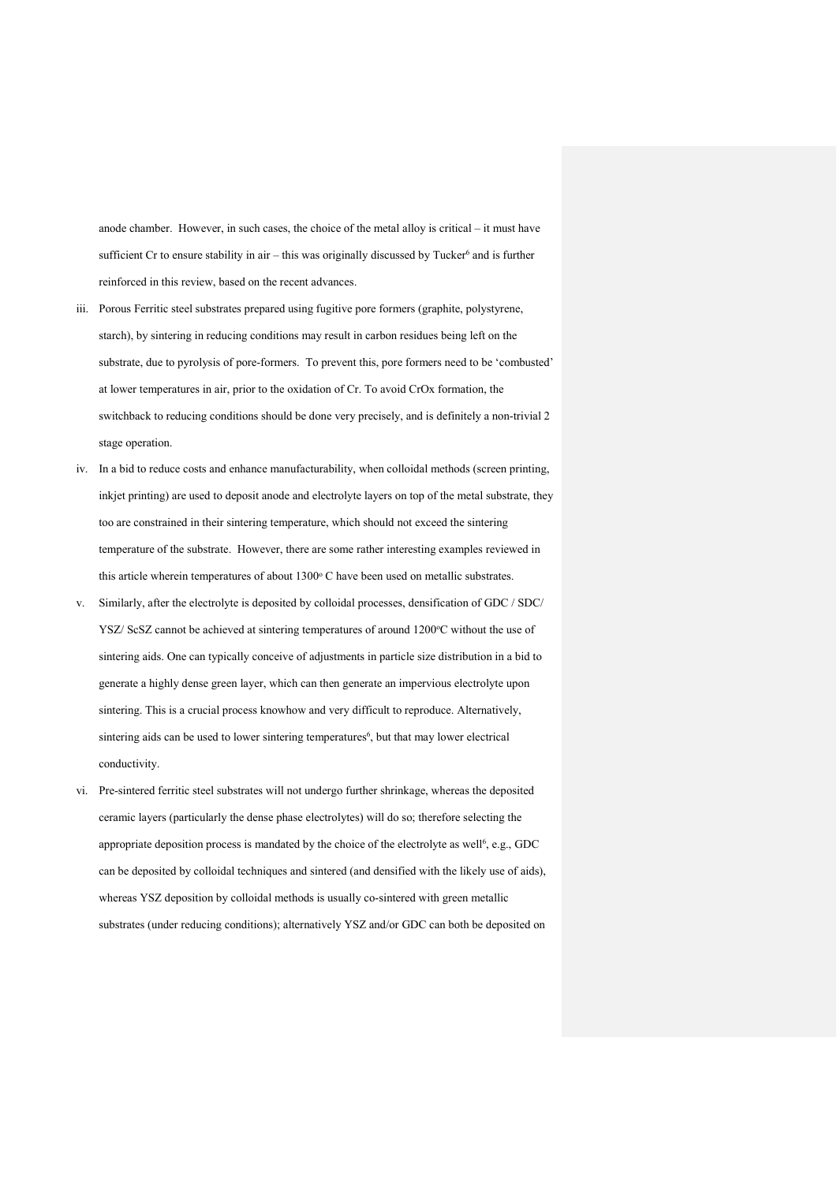anode chamber. However, in such cases, the choice of the metal alloy is critical – it must have sufficient Cr to ensure stability in air – this was originally discussed by Tucker $<sup>6</sup>$  and is further</sup> reinforced in this review, based on the recent advances.

- iii. Porous Ferritic steel substrates prepared using fugitive pore formers (graphite, polystyrene, starch), by sintering in reducing conditions may result in carbon residues being left on the substrate, due to pyrolysis of pore-formers. To prevent this, pore formers need to be 'combusted' at lower temperatures in air, prior to the oxidation of Cr. To avoid CrOx formation, the switchback to reducing conditions should be done very precisely, and is definitely a non-trivial 2 stage operation.
- iv. In a bid to reduce costs and enhance manufacturability, when colloidal methods (screen printing, inkjet printing) are used to deposit anode and electrolyte layers on top of the metal substrate, they too are constrained in their sintering temperature, which should not exceed the sintering temperature of the substrate. However, there are some rather interesting examples reviewed in this article wherein temperatures of about 1300° C have been used on metallic substrates.
- v. Similarly, after the electrolyte is deposited by colloidal processes, densification of GDC / SDC/ YSZ/ ScSZ cannot be achieved at sintering temperatures of around 1200°C without the use of sintering aids. One can typically conceive of adjustments in particle size distribution in a bid to generate a highly dense green layer, which can then generate an impervious electrolyte upon sintering. This is a crucial process knowhow and very difficult to reproduce. Alternatively, sintering aids can be used to lower sintering temperatures<sup>6</sup>, but that may lower electrical conductivity.
- vi. Pre-sintered ferritic steel substrates will not undergo further shrinkage, whereas the deposited ceramic layers (particularly the dense phase electrolytes) will do so; therefore selecting the appropriate deposition process is mandated by the choice of the electrolyte as well<sup>6</sup>, e.g., GDC can be deposited by colloidal techniques and sintered (and densified with the likely use of aids), whereas YSZ deposition by colloidal methods is usually co-sintered with green metallic substrates (under reducing conditions); alternatively YSZ and/or GDC can both be deposited on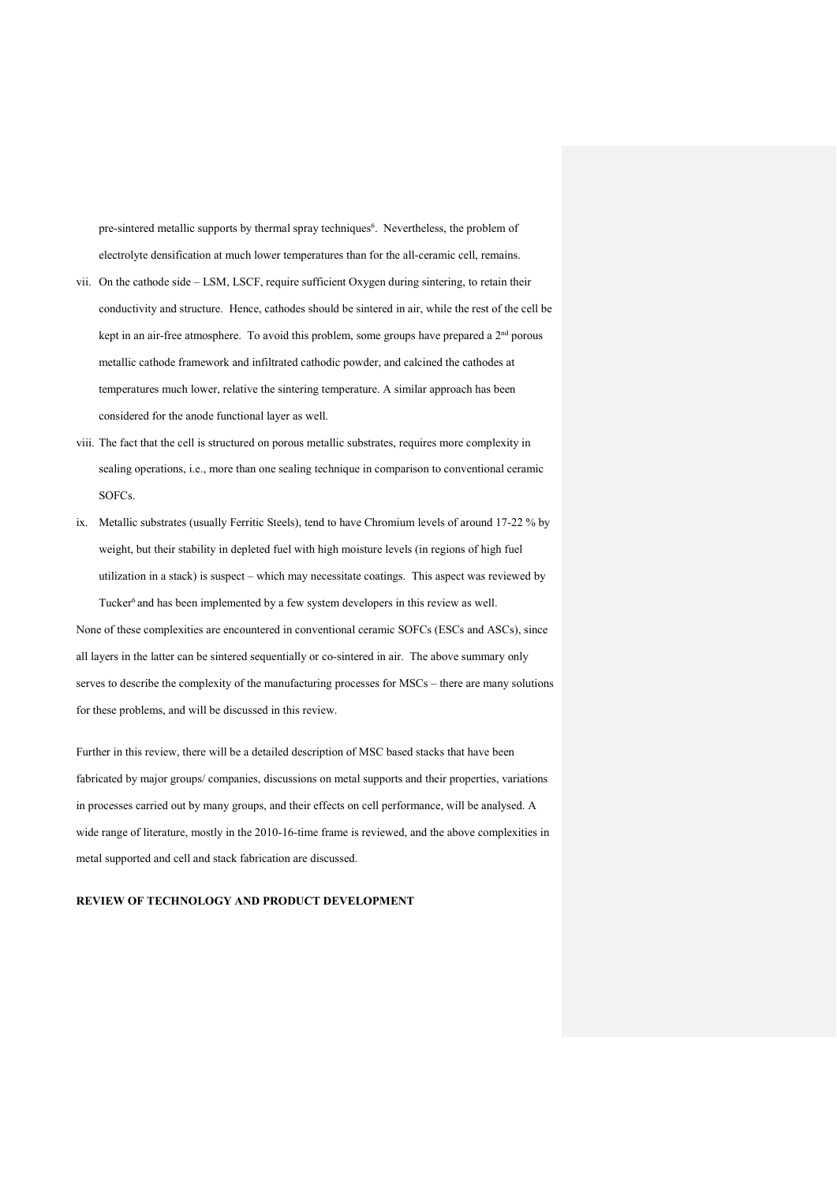pre-sintered metallic supports by thermal spray techniques<sup>6</sup>. Nevertheless, the problem of electrolyte densification at much lower temperatures than for the all-ceramic cell, remains.

- vii. On the cathode side LSM, LSCF, require sufficient Oxygen during sintering, to retain their conductivity and structure. Hence, cathodes should be sintered in air, while the rest of the cell be kept in an air-free atmosphere. To avoid this problem, some groups have prepared a  $2<sup>nd</sup>$  porous metallic cathode framework and infiltrated cathodic powder, and calcined the cathodes at temperatures much lower, relative the sintering temperature. A similar approach has been considered for the anode functional layer as well.
- viii. The fact that the cell is structured on porous metallic substrates, requires more complexity in sealing operations, i.e., more than one sealing technique in comparison to conventional ceramic SOFCs.
- ix. Metallic substrates (usually Ferritic Steels), tend to have Chromium levels of around 17-22 % by weight, but their stability in depleted fuel with high moisture levels (in regions of high fuel utilization in a stack) is suspect – which may necessitate coatings. This aspect was reviewed by Tucker<sup>6</sup> and has been implemented by a few system developers in this review as well.

None of these complexities are encountered in conventional ceramic SOFCs (ESCs and ASCs), since all layers in the latter can be sintered sequentially or co-sintered in air. The above summary only serves to describe the complexity of the manufacturing processes for MSCs – there are many solutions for these problems, and will be discussed in this review.

Further in this review, there will be a detailed description of MSC based stacks that have been fabricated by major groups/ companies, discussions on metal supports and their properties, variations in processes carried out by many groups, and their effects on cell performance, will be analysed. A wide range of literature, mostly in the 2010-16-time frame is reviewed, and the above complexities in metal supported and cell and stack fabrication are discussed.

## **REVIEW OF TECHNOLOGY AND PRODUCT DEVELOPMENT**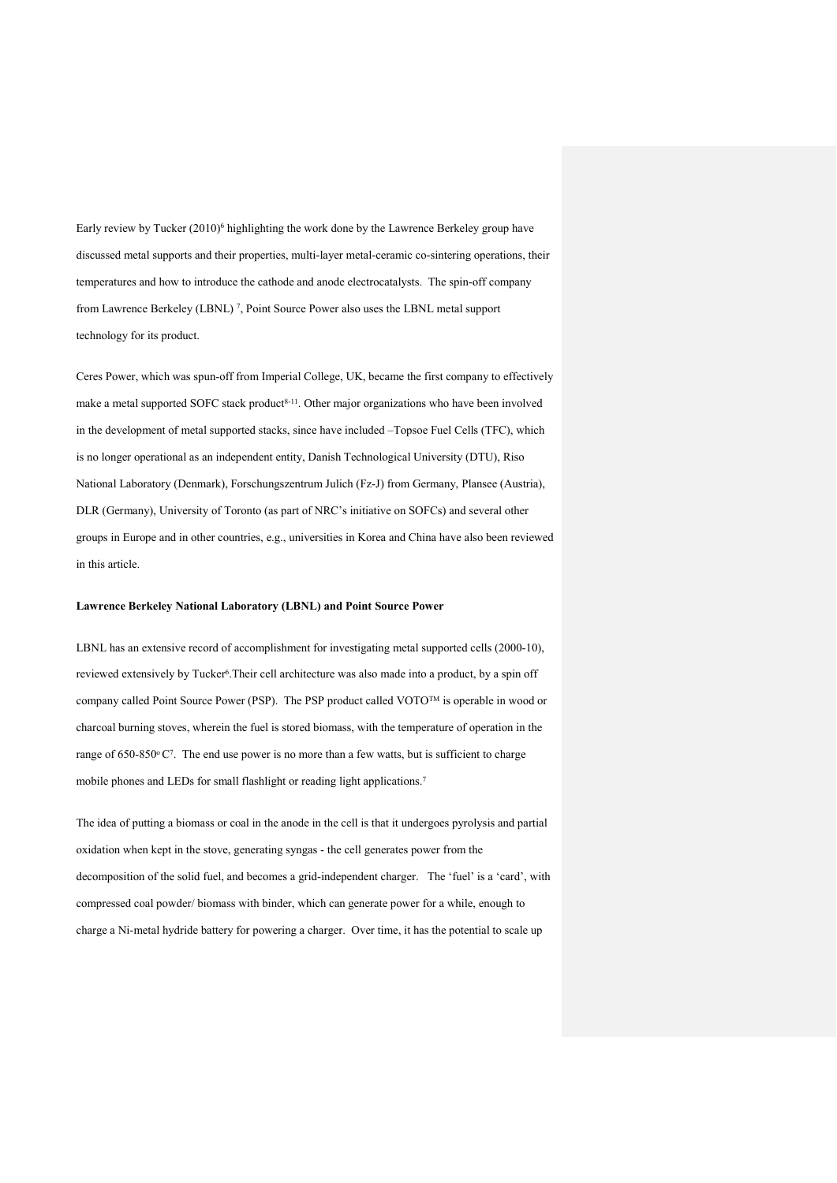Early review by Tucker (2010)<sup>6</sup> highlighting the work done by the Lawrence Berkeley group have discussed metal supports and their properties, multi-layer metal-ceramic co-sintering operations, their temperatures and how to introduce the cathode and anode electrocatalysts. The spin-off company from Lawrence Berkeley (LBNL) 7, Point Source Power also uses the LBNL metal support technology for its product.

Ceres Power, which was spun-off from Imperial College, UK, became the first company to effectively make a metal supported SOFC stack product<sup>8-11</sup>. Other major organizations who have been involved in the development of metal supported stacks, since have included –Topsoe Fuel Cells (TFC), which is no longer operational as an independent entity, Danish Technological University (DTU), Riso National Laboratory (Denmark), Forschungszentrum Julich (Fz-J) from Germany, Plansee (Austria), DLR (Germany), University of Toronto (as part of NRC's initiative on SOFCs) and several other groups in Europe and in other countries, e.g., universities in Korea and China have also been reviewed in this article.

### **Lawrence Berkeley National Laboratory (LBNL) and Point Source Power**

LBNL has an extensive record of accomplishment for investigating metal supported cells (2000-10), reviewed extensively by Tucker<sup>6</sup>. Their cell architecture was also made into a product, by a spin off company called Point Source Power (PSP). The PSP product called VOTOTM is operable in wood or charcoal burning stoves, wherein the fuel is stored biomass, with the temperature of operation in the range of 650-850°C<sup>7</sup>. The end use power is no more than a few watts, but is sufficient to charge mobile phones and LEDs for small flashlight or reading light applications.7

The idea of putting a biomass or coal in the anode in the cell is that it undergoes pyrolysis and partial oxidation when kept in the stove, generating syngas - the cell generates power from the decomposition of the solid fuel, and becomes a grid-independent charger. The 'fuel' is a 'card', with compressed coal powder/ biomass with binder, which can generate power for a while, enough to charge a Ni-metal hydride battery for powering a charger. Over time, it has the potential to scale up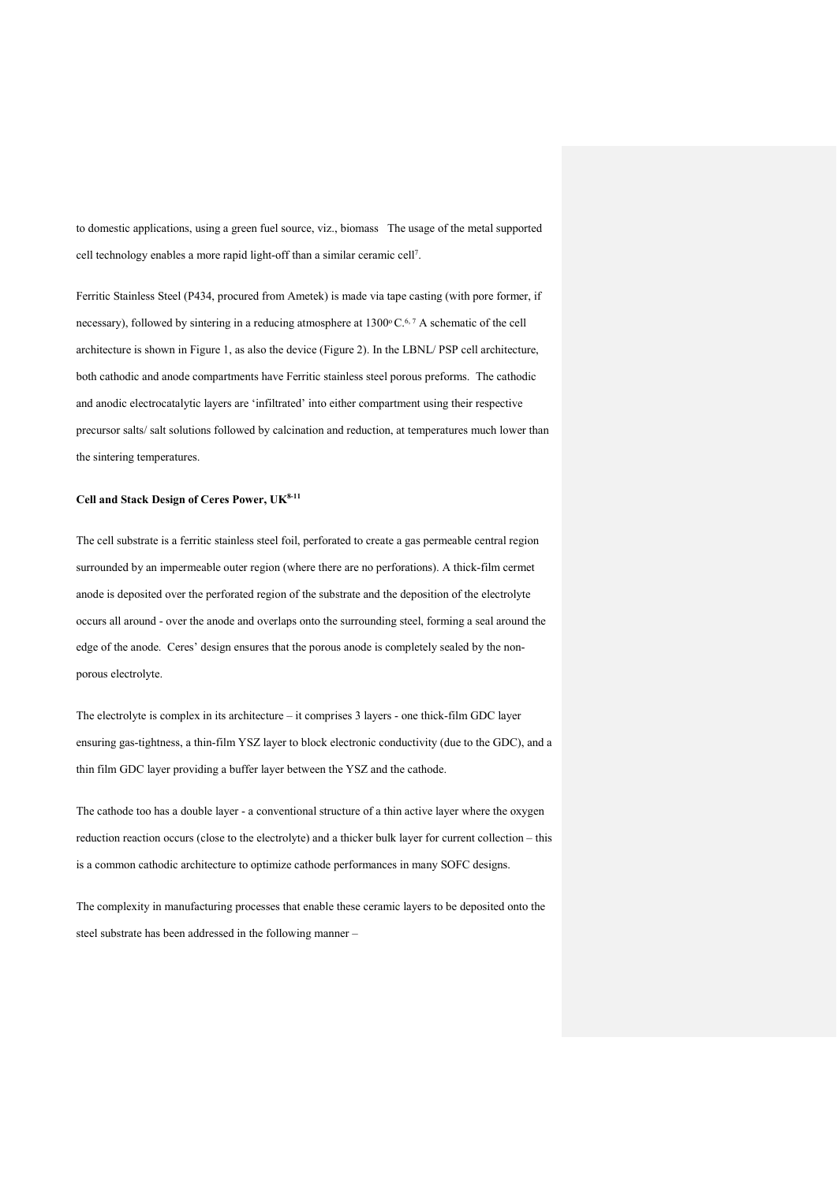to domestic applications, using a green fuel source, viz., biomass The usage of the metal supported cell technology enables a more rapid light-off than a similar ceramic cell7.

Ferritic Stainless Steel (P434, procured from Ametek) is made via tape casting (with pore former, if necessary), followed by sintering in a reducing atmosphere at  $1300^{\circ}$  C.<sup>6,7</sup> A schematic of the cell architecture is shown in Figure 1, as also the device (Figure 2). In the LBNL/ PSP cell architecture, both cathodic and anode compartments have Ferritic stainless steel porous preforms. The cathodic and anodic electrocatalytic layers are 'infiltrated' into either compartment using their respective precursor salts/ salt solutions followed by calcination and reduction, at temperatures much lower than the sintering temperatures.

### **Cell and Stack Design of Ceres Power, UK8-11**

The cell substrate is a ferritic stainless steel foil, perforated to create a gas permeable central region surrounded by an impermeable outer region (where there are no perforations). A thick-film cermet anode is deposited over the perforated region of the substrate and the deposition of the electrolyte occurs all around - over the anode and overlaps onto the surrounding steel, forming a seal around the edge of the anode. Ceres' design ensures that the porous anode is completely sealed by the nonporous electrolyte.

The electrolyte is complex in its architecture – it comprises 3 layers - one thick-film GDC layer ensuring gas-tightness, a thin-film YSZ layer to block electronic conductivity (due to the GDC), and a thin film GDC layer providing a buffer layer between the YSZ and the cathode.

The cathode too has a double layer - a conventional structure of a thin active layer where the oxygen reduction reaction occurs (close to the electrolyte) and a thicker bulk layer for current collection – this is a common cathodic architecture to optimize cathode performances in many SOFC designs.

The complexity in manufacturing processes that enable these ceramic layers to be deposited onto the steel substrate has been addressed in the following manner –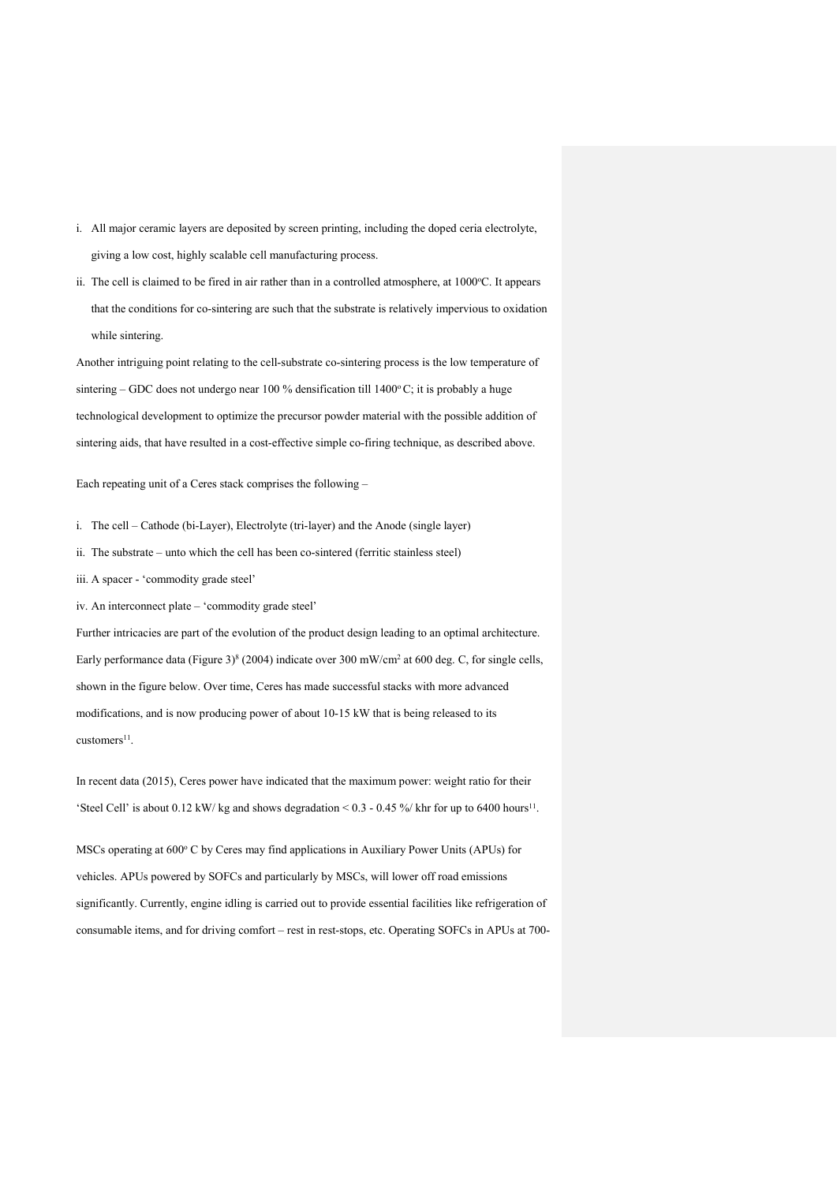- i. All major ceramic layers are deposited by screen printing, including the doped ceria electrolyte, giving a low cost, highly scalable cell manufacturing process.
- ii. The cell is claimed to be fired in air rather than in a controlled atmosphere, at  $1000\degree C$ . It appears that the conditions for co-sintering are such that the substrate is relatively impervious to oxidation while sintering.

Another intriguing point relating to the cell-substrate co-sintering process is the low temperature of sintering – GDC does not undergo near 100 % densification till  $1400^{\circ}$ C; it is probably a huge technological development to optimize the precursor powder material with the possible addition of sintering aids, that have resulted in a cost-effective simple co-firing technique, as described above.

Each repeating unit of a Ceres stack comprises the following –

i. The cell – Cathode (bi-Layer), Electrolyte (tri-layer) and the Anode (single layer)

ii. The substrate – unto which the cell has been co-sintered (ferritic stainless steel)

iii. A spacer - 'commodity grade steel'

iv. An interconnect plate – 'commodity grade steel'

Further intricacies are part of the evolution of the product design leading to an optimal architecture. Early performance data (Figure 3)<sup>8</sup> (2004) indicate over 300 mW/cm<sup>2</sup> at 600 deg. C, for single cells, shown in the figure below. Over time, Ceres has made successful stacks with more advanced modifications, and is now producing power of about 10-15 kW that is being released to its customers<sup>11</sup>.

In recent data (2015), Ceres power have indicated that the maximum power: weight ratio for their 'Steel Cell' is about  $0.12 \text{ kW}$  kg and shows degradation <  $0.3 - 0.45$  % khr for up to 6400 hours<sup>11</sup>.

MSCs operating at 600° C by Ceres may find applications in Auxiliary Power Units (APUs) for vehicles. APUs powered by SOFCs and particularly by MSCs, will lower off road emissions significantly. Currently, engine idling is carried out to provide essential facilities like refrigeration of consumable items, and for driving comfort – rest in rest-stops, etc. Operating SOFCs in APUs at 700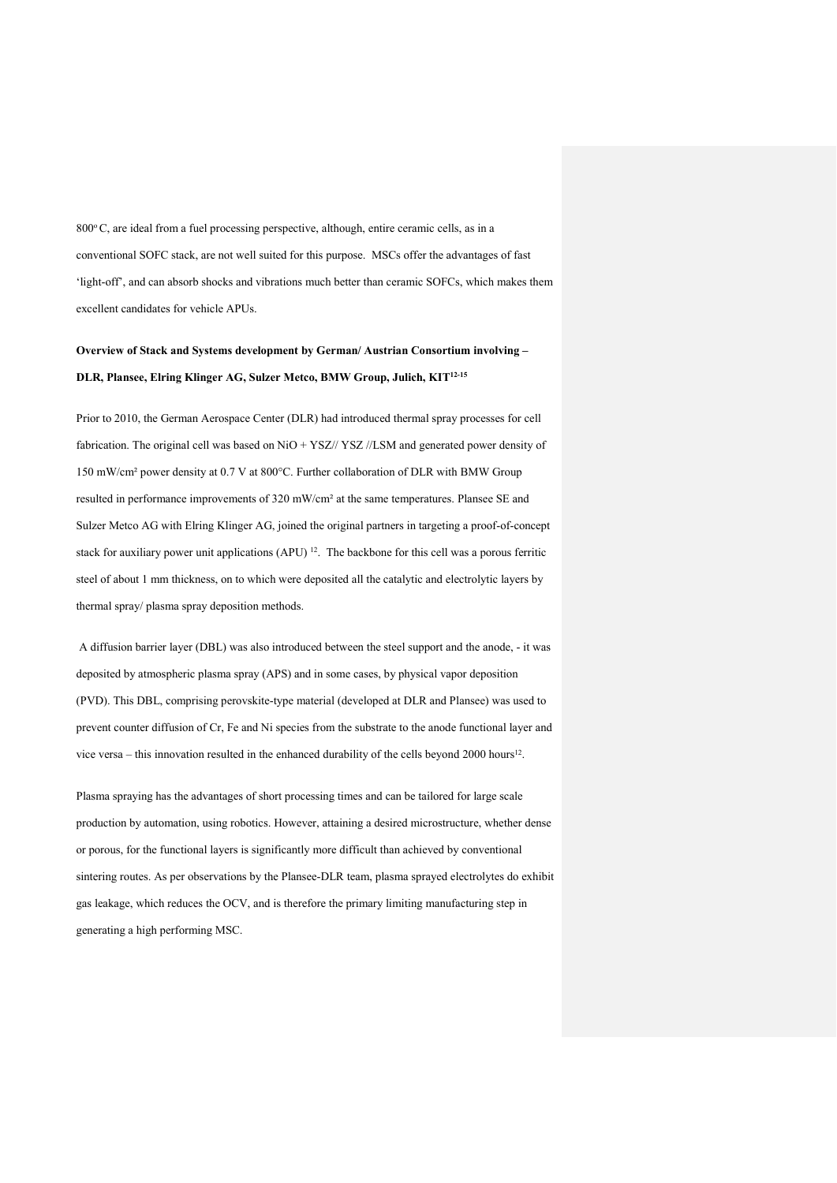$800^{\circ}$ C, are ideal from a fuel processing perspective, although, entire ceramic cells, as in a conventional SOFC stack, are not well suited for this purpose. MSCs offer the advantages of fast 'light-off', and can absorb shocks and vibrations much better than ceramic SOFCs, which makes them excellent candidates for vehicle APUs.

# **Overview of Stack and Systems development by German/ Austrian Consortium involving – DLR, Plansee, Elring Klinger AG, Sulzer Metco, BMW Group, Julich, KIT12-15**

Prior to 2010, the German Aerospace Center (DLR) had introduced thermal spray processes for cell fabrication. The original cell was based on NiO + YSZ// YSZ //LSM and generated power density of 150 mW/cm² power density at 0.7 V at 800°C. Further collaboration of DLR with BMW Group resulted in performance improvements of 320 mW/cm² at the same temperatures. Plansee SE and Sulzer Metco AG with Elring Klinger AG, joined the original partners in targeting a proof-of-concept stack for auxiliary power unit applications (APU) 12. The backbone for this cell was a porous ferritic steel of about 1 mm thickness, on to which were deposited all the catalytic and electrolytic layers by thermal spray/ plasma spray deposition methods.

A diffusion barrier layer (DBL) was also introduced between the steel support and the anode, - it was deposited by atmospheric plasma spray (APS) and in some cases, by physical vapor deposition (PVD). This DBL, comprising perovskite-type material (developed at DLR and Plansee) was used to prevent counter diffusion of Cr, Fe and Ni species from the substrate to the anode functional layer and vice versa – this innovation resulted in the enhanced durability of the cells beyond 2000 hours12.

Plasma spraying has the advantages of short processing times and can be tailored for large scale production by automation, using robotics. However, attaining a desired microstructure, whether dense or porous, for the functional layers is significantly more difficult than achieved by conventional sintering routes. As per observations by the Plansee-DLR team, plasma sprayed electrolytes do exhibit gas leakage, which reduces the OCV, and is therefore the primary limiting manufacturing step in generating a high performing MSC.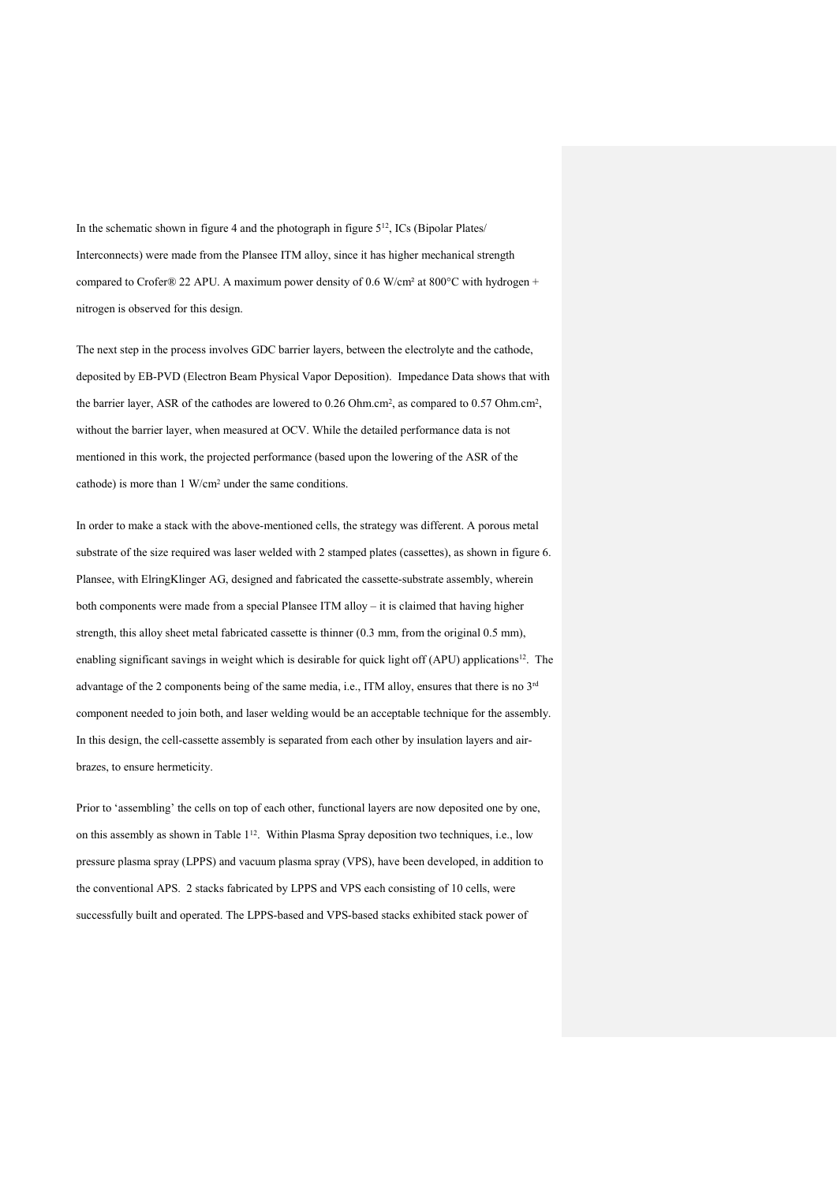In the schematic shown in figure 4 and the photograph in figure  $5^{12}$ , ICs (Bipolar Plates/ Interconnects) were made from the Plansee ITM alloy, since it has higher mechanical strength compared to Crofer® 22 APU. A maximum power density of 0.6 W/cm² at 800°C with hydrogen + nitrogen is observed for this design.

The next step in the process involves GDC barrier layers, between the electrolyte and the cathode, deposited by EB-PVD (Electron Beam Physical Vapor Deposition). Impedance Data shows that with the barrier layer, ASR of the cathodes are lowered to 0.26 Ohm.cm2, as compared to 0.57 Ohm.cm2, without the barrier layer, when measured at OCV. While the detailed performance data is not mentioned in this work, the projected performance (based upon the lowering of the ASR of the cathode) is more than 1 W/cm2 under the same conditions.

In order to make a stack with the above-mentioned cells, the strategy was different. A porous metal substrate of the size required was laser welded with 2 stamped plates (cassettes), as shown in figure 6. Plansee, with ElringKlinger AG, designed and fabricated the cassette-substrate assembly, wherein both components were made from a special Plansee ITM alloy – it is claimed that having higher strength, this alloy sheet metal fabricated cassette is thinner (0.3 mm, from the original 0.5 mm), enabling significant savings in weight which is desirable for quick light off (APU) applications<sup>12</sup>. The advantage of the 2 components being of the same media, i.e., ITM alloy, ensures that there is no  $3<sup>rd</sup>$ component needed to join both, and laser welding would be an acceptable technique for the assembly. In this design, the cell-cassette assembly is separated from each other by insulation layers and airbrazes, to ensure hermeticity.

Prior to 'assembling' the cells on top of each other, functional layers are now deposited one by one, on this assembly as shown in Table 112. Within Plasma Spray deposition two techniques, i.e., low pressure plasma spray (LPPS) and vacuum plasma spray (VPS), have been developed, in addition to the conventional APS. 2 stacks fabricated by LPPS and VPS each consisting of 10 cells, were successfully built and operated. The LPPS-based and VPS-based stacks exhibited stack power of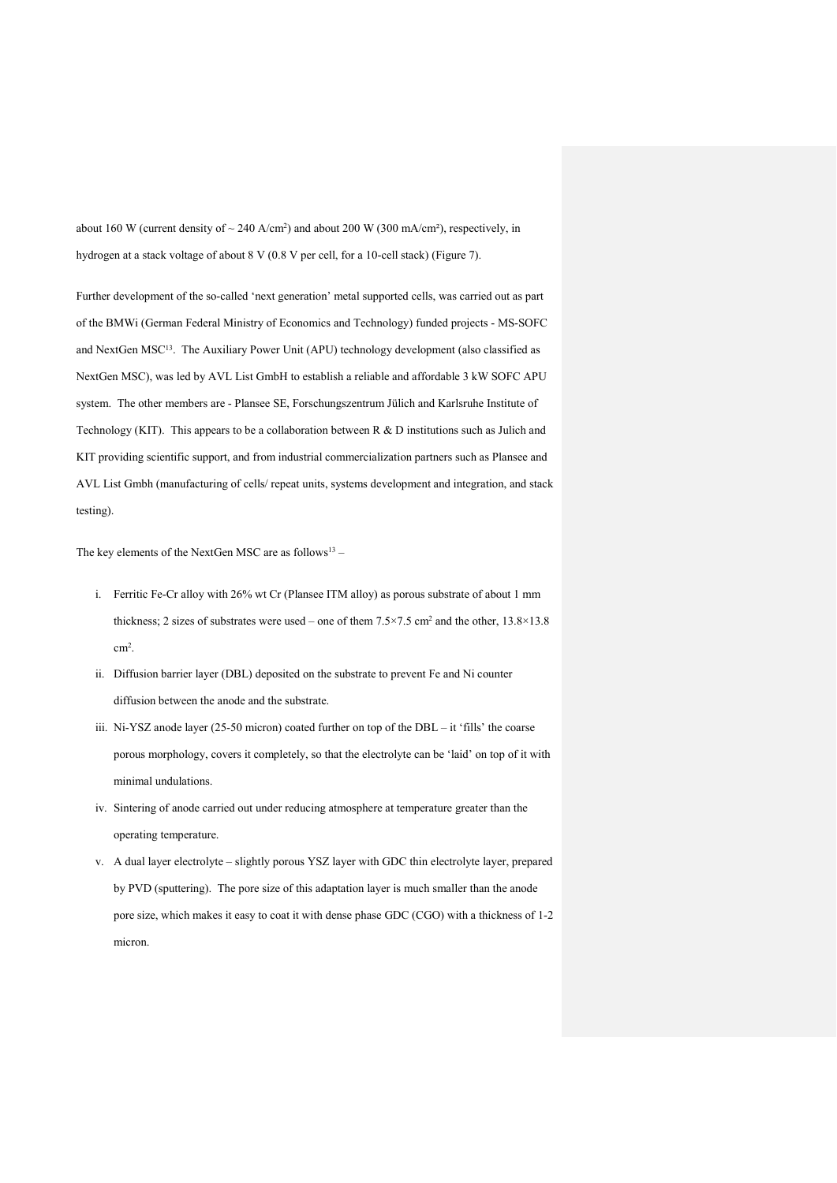about 160 W (current density of  $\sim$  240 A/cm<sup>2</sup>) and about 200 W (300 mA/cm<sup>2</sup>), respectively, in hydrogen at a stack voltage of about 8 V (0.8 V per cell, for a 10-cell stack) (Figure 7).

Further development of the so-called 'next generation' metal supported cells, was carried out as part of the BMWi (German Federal Ministry of Economics and Technology) funded projects - MS-SOFC and NextGen MSC<sup>13</sup>. The Auxiliary Power Unit (APU) technology development (also classified as NextGen MSC), was led by AVL List GmbH to establish a reliable and affordable 3 kW SOFC APU system. The other members are - Plansee SE, Forschungszentrum Jülich and Karlsruhe Institute of Technology (KIT). This appears to be a collaboration between R & D institutions such as Julich and KIT providing scientific support, and from industrial commercialization partners such as Plansee and AVL List Gmbh (manufacturing of cells/ repeat units, systems development and integration, and stack testing).

The key elements of the NextGen MSC are as  $follows<sup>13</sup>$  –

- i. Ferritic Fe-Cr alloy with 26% wt Cr (Plansee ITM alloy) as porous substrate of about 1 mm thickness; 2 sizes of substrates were used – one of them  $7.5 \times 7.5$  cm<sup>2</sup> and the other,  $13.8 \times 13.8$ cm2.
- ii. Diffusion barrier layer (DBL) deposited on the substrate to prevent Fe and Ni counter diffusion between the anode and the substrate.
- iii. Ni-YSZ anode layer (25-50 micron) coated further on top of the DBL it 'fills' the coarse porous morphology, covers it completely, so that the electrolyte can be 'laid' on top of it with minimal undulations.
- iv. Sintering of anode carried out under reducing atmosphere at temperature greater than the operating temperature.
- v. A dual layer electrolyte slightly porous YSZ layer with GDC thin electrolyte layer, prepared by PVD (sputtering). The pore size of this adaptation layer is much smaller than the anode pore size, which makes it easy to coat it with dense phase GDC (CGO) with a thickness of 1-2 micron.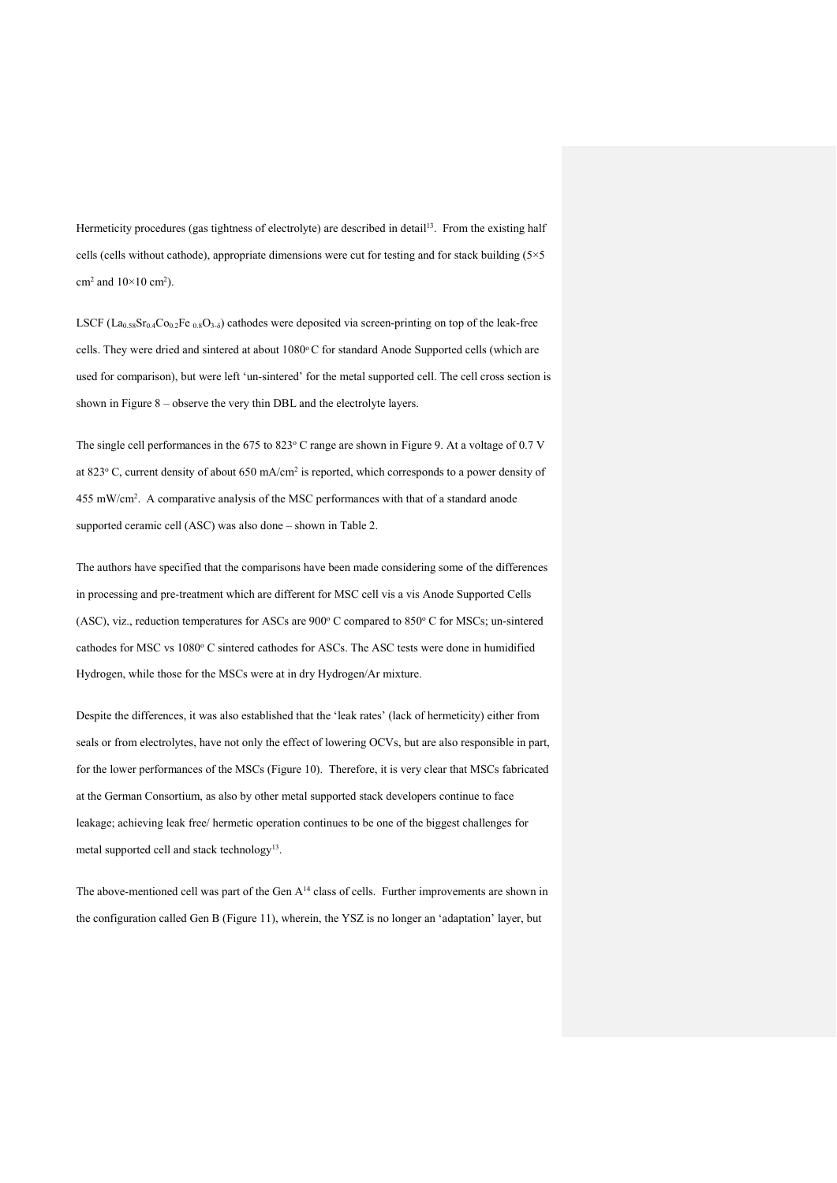Hermeticity procedures (gas tightness of electrolyte) are described in detail<sup>13</sup>. From the existing half cells (cells without cathode), appropriate dimensions were cut for testing and for stack building ( $5\times5$ cm<sup>2</sup> and  $10\times10$  cm<sup>2</sup>).

LSCF (La<sub>0.58</sub>Sr<sub>0.4</sub>Co<sub>0.2</sub>Fe <sub>0.8</sub>O<sub>3-δ</sub>) cathodes were deposited via screen-printing on top of the leak-free cells. They were dried and sintered at about 1080°C for standard Anode Supported cells (which are used for comparison), but were left 'un-sintered' for the metal supported cell. The cell cross section is shown in Figure 8 – observe the very thin DBL and the electrolyte layers.

The single cell performances in the  $675$  to  $823^{\circ}$  C range are shown in Figure 9. At a voltage of 0.7 V at 823° C, current density of about 650 mA/cm<sup>2</sup> is reported, which corresponds to a power density of 455 mW/cm2. A comparative analysis of the MSC performances with that of a standard anode supported ceramic cell (ASC) was also done – shown in Table 2.

The authors have specified that the comparisons have been made considering some of the differences in processing and pre-treatment which are different for MSC cell vis a vis Anode Supported Cells (ASC), viz., reduction temperatures for ASCs are 900° C compared to 850° C for MSCs; un-sintered cathodes for MSC vs 1080° C sintered cathodes for ASCs. The ASC tests were done in humidified Hydrogen, while those for the MSCs were at in dry Hydrogen/Ar mixture.

Despite the differences, it was also established that the 'leak rates' (lack of hermeticity) either from seals or from electrolytes, have not only the effect of lowering OCVs, but are also responsible in part, for the lower performances of the MSCs (Figure 10). Therefore, it is very clear that MSCs fabricated at the German Consortium, as also by other metal supported stack developers continue to face leakage; achieving leak free/ hermetic operation continues to be one of the biggest challenges for metal supported cell and stack technology<sup>13</sup>.

The above-mentioned cell was part of the Gen A<sup>14</sup> class of cells. Further improvements are shown in the configuration called Gen B (Figure 11), wherein, the YSZ is no longer an 'adaptation' layer, but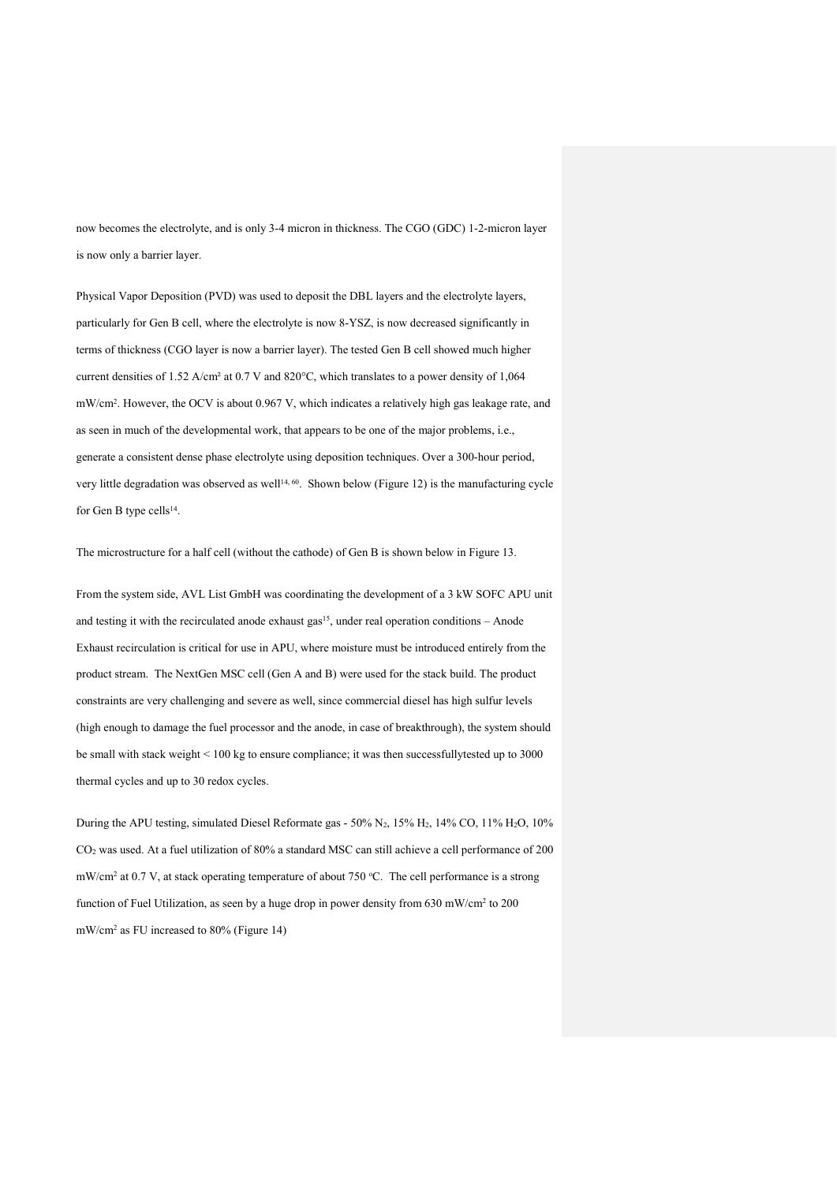now becomes the electrolyte, and is only 3-4 micron in thickness. The CGO (GDC) 1-2-micron layer is now only a barrier layer.

Physical Vapor Deposition (PVD) was used to deposit the DBL layers and the electrolyte layers, particularly for Gen B cell, where the electrolyte is now 8-YSZ, is now decreased significantly in terms of thickness (CGO layer is now a barrier layer). The tested Gen B cell showed much higher current densities of 1.52 A/cm² at 0.7 V and 820°C, which translates to a power density of 1,064 mW/cm2. However, the OCV is about 0.967 V, which indicates a relatively high gas leakage rate, and as seen in much of the developmental work, that appears to be one of the major problems, i.e., generate a consistent dense phase electrolyte using deposition techniques. Over a 300-hour period, very little degradation was observed as well<sup>14, 60</sup>. Shown below (Figure 12) is the manufacturing cycle for Gen B type cells<sup>14</sup>.

The microstructure for a half cell (without the cathode) of Gen B is shown below in Figure 13.

From the system side, AVL List GmbH was coordinating the development of a 3 kW SOFC APU unit and testing it with the recirculated anode exhaust gas<sup>15</sup>, under real operation conditions – Anode Exhaust recirculation is critical for use in APU, where moisture must be introduced entirely from the product stream. The NextGen MSC cell (Gen A and B) were used for the stack build. The product constraints are very challenging and severe as well, since commercial diesel has high sulfur levels (high enough to damage the fuel processor and the anode, in case of breakthrough), the system should be small with stack weight < 100 kg to ensure compliance; it was then successfullytested up to 3000 thermal cycles and up to 30 redox cycles.

During the APU testing, simulated Diesel Reformate gas -  $50\%$  N<sub>2</sub>,  $15\%$  H<sub>2</sub>,  $14\%$  CO,  $11\%$  H<sub>2</sub>O,  $10\%$ CO2 was used. At a fuel utilization of 80% a standard MSC can still achieve a cell performance of 200 mW/cm<sup>2</sup> at 0.7 V, at stack operating temperature of about 750 °C. The cell performance is a strong function of Fuel Utilization, as seen by a huge drop in power density from 630 mW/cm2 to 200 mW/cm2 as FU increased to 80% (Figure 14)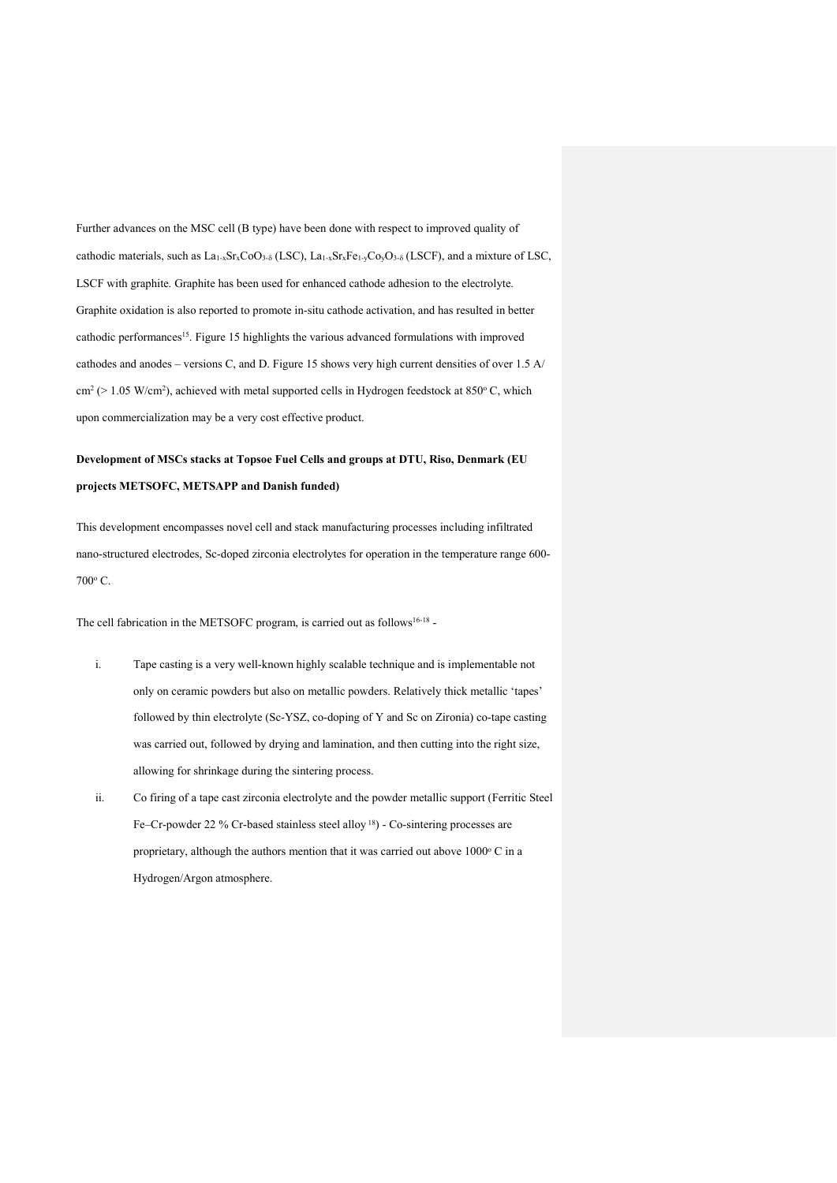Further advances on the MSC cell (B type) have been done with respect to improved quality of cathodic materials, such as  $La<sub>1-x</sub>Sr<sub>x</sub>Co<sub>3-\delta</sub>$  (LSC),  $La<sub>1-x</sub>Sr<sub>x</sub>Fe<sub>1-x</sub>Co<sub>y</sub>O<sub>3-\delta</sub>$  (LSCF), and a mixture of LSC, LSCF with graphite. Graphite has been used for enhanced cathode adhesion to the electrolyte. Graphite oxidation is also reported to promote in-situ cathode activation, and has resulted in better cathodic performances<sup>15</sup>. Figure 15 highlights the various advanced formulations with improved cathodes and anodes – versions C, and D. Figure 15 shows very high current densities of over 1.5 A/  $cm<sup>2</sup> (> 1.05 W/cm<sup>2</sup>)$ , achieved with metal supported cells in Hydrogen feedstock at 850°C, which upon commercialization may be a very cost effective product.

# **Development of MSCs stacks at Topsoe Fuel Cells and groups at DTU, Riso, Denmark (EU projects METSOFC, METSAPP and Danish funded)**

This development encompasses novel cell and stack manufacturing processes including infiltrated nano-structured electrodes, Sc-doped zirconia electrolytes for operation in the temperature range 600- 700o C.

The cell fabrication in the METSOFC program, is carried out as follows<sup>16-18</sup> -

- i. Tape casting is a very well-known highly scalable technique and is implementable not only on ceramic powders but also on metallic powders. Relatively thick metallic 'tapes' followed by thin electrolyte (Sc-YSZ, co-doping of Y and Sc on Zironia) co-tape casting was carried out, followed by drying and lamination, and then cutting into the right size, allowing for shrinkage during the sintering process.
- ii. Co firing of a tape cast zirconia electrolyte and the powder metallic support (Ferritic Steel Fe–Cr-powder 22 % Cr-based stainless steel alloy 18) - Co-sintering processes are proprietary, although the authors mention that it was carried out above  $1000\degree$  C in a Hydrogen/Argon atmosphere.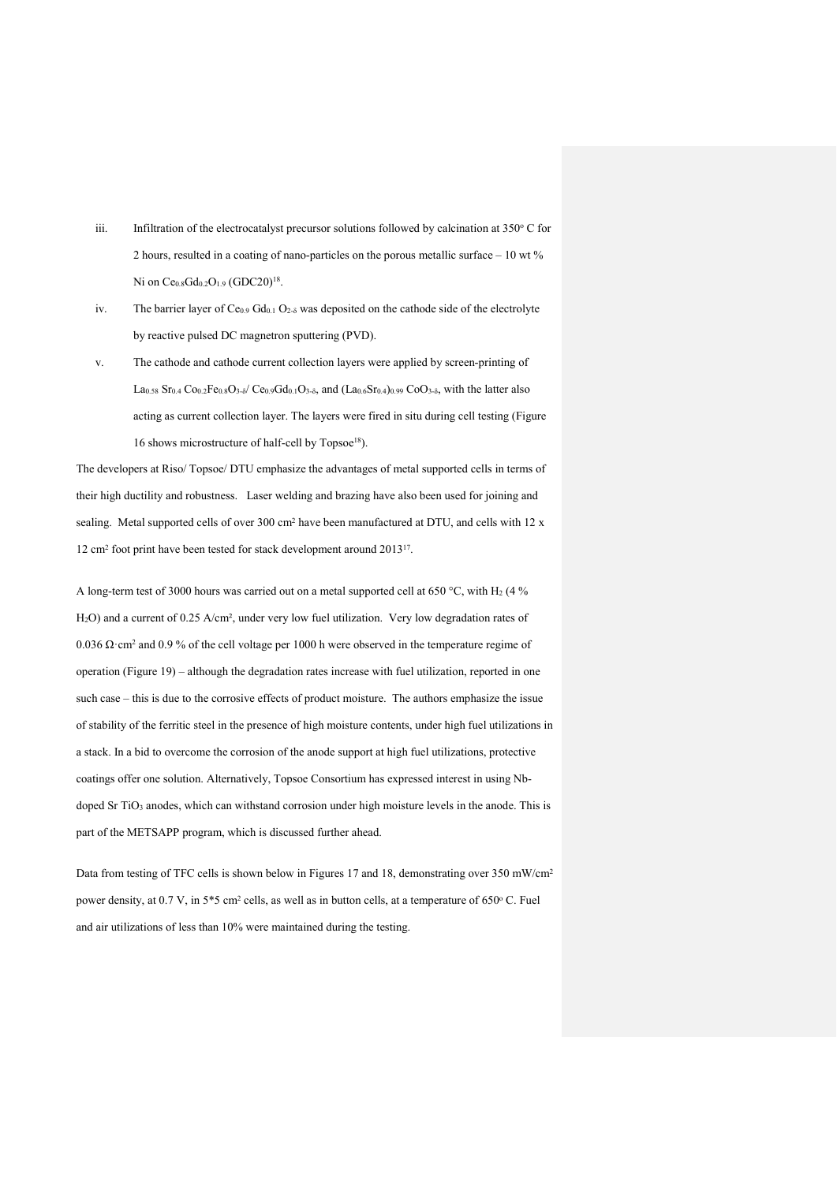- iii. Infiltration of the electrocatalyst precursor solutions followed by calcination at  $350^{\circ}$  C for 2 hours, resulted in a coating of nano-particles on the porous metallic surface – 10 wt % Ni on Ce<sub>0.8</sub>Gd<sub>0.2</sub>O<sub>1.9</sub> (GDC20)<sup>18</sup>.
- iv. The barrier layer of  $Ce_{0.9}$   $Gd_{0.1}$   $O_{2.5}$  was deposited on the cathode side of the electrolyte by reactive pulsed DC magnetron sputtering (PVD).
- v. The cathode and cathode current collection layers were applied by screen-printing of  $La<sub>0.58</sub>$  Sr<sub>0.4</sub> Co<sub>0.2</sub>Fe<sub>0.8</sub>O<sub>3-δ</sub>/ Ce<sub>0.9</sub>Gd<sub>0.1</sub>O<sub>3-δ</sub>, and (La<sub>0.6</sub>Sr<sub>0.4</sub>)<sub>0.99</sub> CoO<sub>3-δ</sub>, with the latter also acting as current collection layer. The layers were fired in situ during cell testing (Figure 16 shows microstructure of half-cell by Topsoe<sup>18</sup>).

The developers at Riso/ Topsoe/ DTU emphasize the advantages of metal supported cells in terms of their high ductility and robustness. Laser welding and brazing have also been used for joining and sealing. Metal supported cells of over 300 cm<sup>2</sup> have been manufactured at DTU, and cells with 12 x 12 cm2 foot print have been tested for stack development around 201317.

A long-term test of 3000 hours was carried out on a metal supported cell at 650 °C, with H<sub>2</sub> (4 % H2O) and a current of 0.25 A/cm², under very low fuel utilization. Very low degradation rates of 0.036 Ω·cm<sup>2</sup> and 0.9 % of the cell voltage per 1000 h were observed in the temperature regime of operation (Figure 19) – although the degradation rates increase with fuel utilization, reported in one such case – this is due to the corrosive effects of product moisture. The authors emphasize the issue of stability of the ferritic steel in the presence of high moisture contents, under high fuel utilizations in a stack. In a bid to overcome the corrosion of the anode support at high fuel utilizations, protective coatings offer one solution. Alternatively, Topsoe Consortium has expressed interest in using Nbdoped Sr TiO<sub>3</sub> anodes, which can withstand corrosion under high moisture levels in the anode. This is part of the METSAPP program, which is discussed further ahead.

Data from testing of TFC cells is shown below in Figures 17 and 18, demonstrating over 350 mW/cm<sup>2</sup> power density, at 0.7 V, in 5\*5 cm<sup>2</sup> cells, as well as in button cells, at a temperature of 650°C. Fuel and air utilizations of less than 10% were maintained during the testing.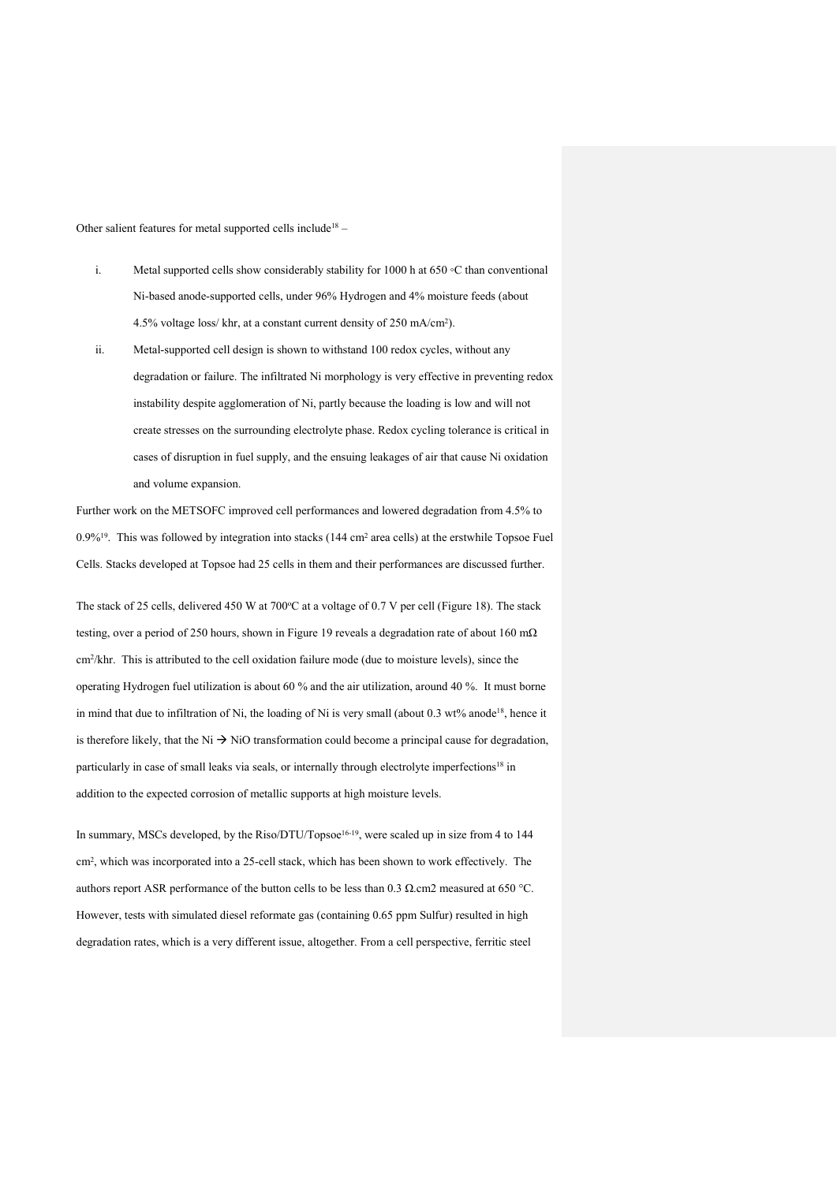Other salient features for metal supported cells include18 –

- i. Metal supported cells show considerably stability for 1000 h at 650 ◦C than conventional Ni-based anode-supported cells, under 96% Hydrogen and 4% moisture feeds (about 4.5% voltage loss/ khr, at a constant current density of 250 mA/cm2).
- ii. Metal-supported cell design is shown to withstand 100 redox cycles, without any degradation or failure. The infiltrated Ni morphology is very effective in preventing redox instability despite agglomeration of Ni, partly because the loading is low and will not create stresses on the surrounding electrolyte phase. Redox cycling tolerance is critical in cases of disruption in fuel supply, and the ensuing leakages of air that cause Ni oxidation and volume expansion.

Further work on the METSOFC improved cell performances and lowered degradation from 4.5% to 0.9%<sup>19</sup>. This was followed by integration into stacks (144 cm<sup>2</sup> area cells) at the erstwhile Topsoe Fuel Cells. Stacks developed at Topsoe had 25 cells in them and their performances are discussed further.

The stack of 25 cells, delivered 450 W at  $700^{\circ}$ C at a voltage of 0.7 V per cell (Figure 18). The stack testing, over a period of 250 hours, shown in Figure 19 reveals a degradation rate of about 160 mΩ cm2/khr. This is attributed to the cell oxidation failure mode (due to moisture levels), since the operating Hydrogen fuel utilization is about 60 % and the air utilization, around 40 %. It must borne in mind that due to infiltration of Ni, the loading of Ni is very small (about 0.3 wt% anode<sup>18</sup>, hence it is therefore likely, that the Ni  $\rightarrow$  NiO transformation could become a principal cause for degradation, particularly in case of small leaks via seals, or internally through electrolyte imperfections<sup>18</sup> in addition to the expected corrosion of metallic supports at high moisture levels.

In summary, MSCs developed, by the Riso/DTU/Topsoe<sup>16-19</sup>, were scaled up in size from 4 to 144 cm2, which was incorporated into a 25-cell stack, which has been shown to work effectively. The authors report ASR performance of the button cells to be less than 0.3 Ω.cm2 measured at 650 °C. However, tests with simulated diesel reformate gas (containing 0.65 ppm Sulfur) resulted in high degradation rates, which is a very different issue, altogether. From a cell perspective, ferritic steel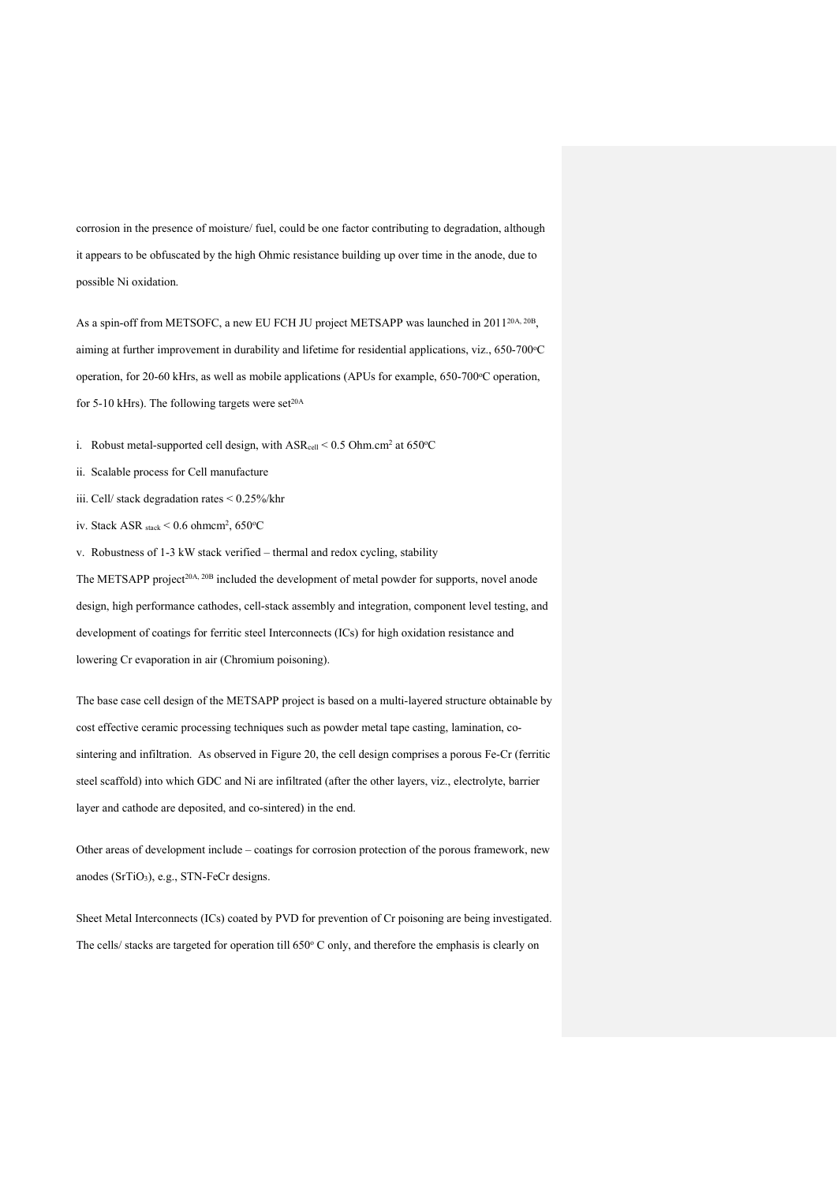corrosion in the presence of moisture/ fuel, could be one factor contributing to degradation, although it appears to be obfuscated by the high Ohmic resistance building up over time in the anode, due to possible Ni oxidation.

As a spin-off from METSOFC, a new EU FCH JU project METSAPP was launched in 2011<sup>20A, 20B</sup>, aiming at further improvement in durability and lifetime for residential applications, viz., 650-700 °C operation, for 20-60 kHrs, as well as mobile applications (APUs for example, 650-700°C operation, for 5-10 kHrs). The following targets were set $20A$ 

i. Robust metal-supported cell design, with  $\text{ASR}_{cell}$  < 0.5 Ohm.cm<sup>2</sup> at 650 °C

- ii. Scalable process for Cell manufacture
- iii. Cell/ stack degradation rates < 0.25%/khr
- iv. Stack ASR  $_{\text{stack}} < 0.6 \text{ ohmem}^2$ , 650°C

v. Robustness of 1-3 kW stack verified – thermal and redox cycling, stability

The METSAPP project<sup>20A, 20B</sup> included the development of metal powder for supports, novel anode design, high performance cathodes, cell-stack assembly and integration, component level testing, and development of coatings for ferritic steel Interconnects (ICs) for high oxidation resistance and lowering Cr evaporation in air (Chromium poisoning).

The base case cell design of the METSAPP project is based on a multi-layered structure obtainable by cost effective ceramic processing techniques such as powder metal tape casting, lamination, cosintering and infiltration. As observed in Figure 20, the cell design comprises a porous Fe-Cr (ferritic steel scaffold) into which GDC and Ni are infiltrated (after the other layers, viz., electrolyte, barrier layer and cathode are deposited, and co-sintered) in the end.

Other areas of development include – coatings for corrosion protection of the porous framework, new anodes (SrTiO3), e.g., STN-FeCr designs.

Sheet Metal Interconnects (ICs) coated by PVD for prevention of Cr poisoning are being investigated. The cells/ stacks are targeted for operation till 650° C only, and therefore the emphasis is clearly on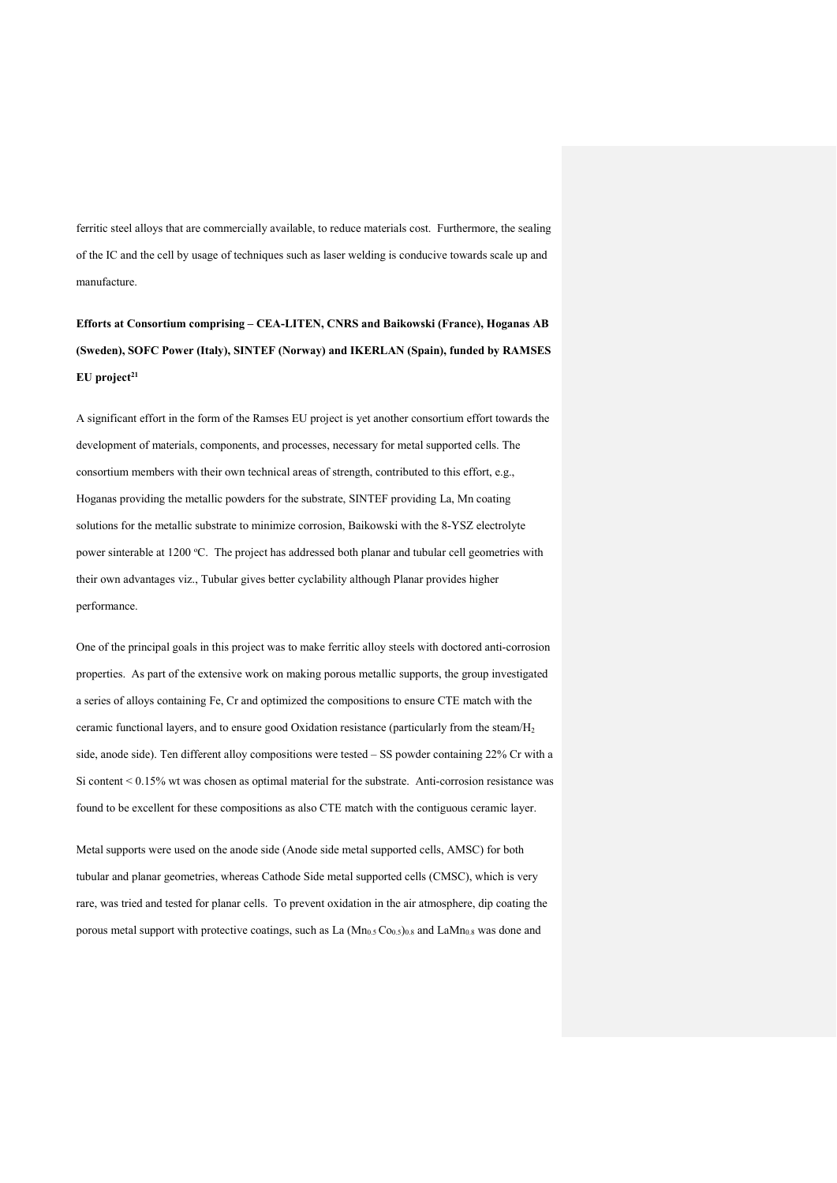ferritic steel alloys that are commercially available, to reduce materials cost. Furthermore, the sealing of the IC and the cell by usage of techniques such as laser welding is conducive towards scale up and manufacture.

**Efforts at Consortium comprising – CEA-LITEN, CNRS and Baikowski (France), Hoganas AB (Sweden), SOFC Power (Italy), SINTEF (Norway) and IKERLAN (Spain), funded by RAMSES**  EU project<sup>21</sup>

A significant effort in the form of the Ramses EU project is yet another consortium effort towards the development of materials, components, and processes, necessary for metal supported cells. The consortium members with their own technical areas of strength, contributed to this effort, e.g., Hoganas providing the metallic powders for the substrate, SINTEF providing La, Mn coating solutions for the metallic substrate to minimize corrosion, Baikowski with the 8-YSZ electrolyte power sinterable at 1200 °C. The project has addressed both planar and tubular cell geometries with their own advantages viz., Tubular gives better cyclability although Planar provides higher performance.

One of the principal goals in this project was to make ferritic alloy steels with doctored anti-corrosion properties. As part of the extensive work on making porous metallic supports, the group investigated a series of alloys containing Fe, Cr and optimized the compositions to ensure CTE match with the ceramic functional layers, and to ensure good Oxidation resistance (particularly from the steam/H2 side, anode side). Ten different alloy compositions were tested – SS powder containing 22% Cr with a Si content  $\leq 0.15\%$  wt was chosen as optimal material for the substrate. Anti-corrosion resistance was found to be excellent for these compositions as also CTE match with the contiguous ceramic layer.

Metal supports were used on the anode side (Anode side metal supported cells, AMSC) for both tubular and planar geometries, whereas Cathode Side metal supported cells (CMSC), which is very rare, was tried and tested for planar cells. To prevent oxidation in the air atmosphere, dip coating the porous metal support with protective coatings, such as La  $(Mn<sub>0.5</sub> Co<sub>0.5</sub>)<sub>0.8</sub>$  and LaMn<sub>0.8</sub> was done and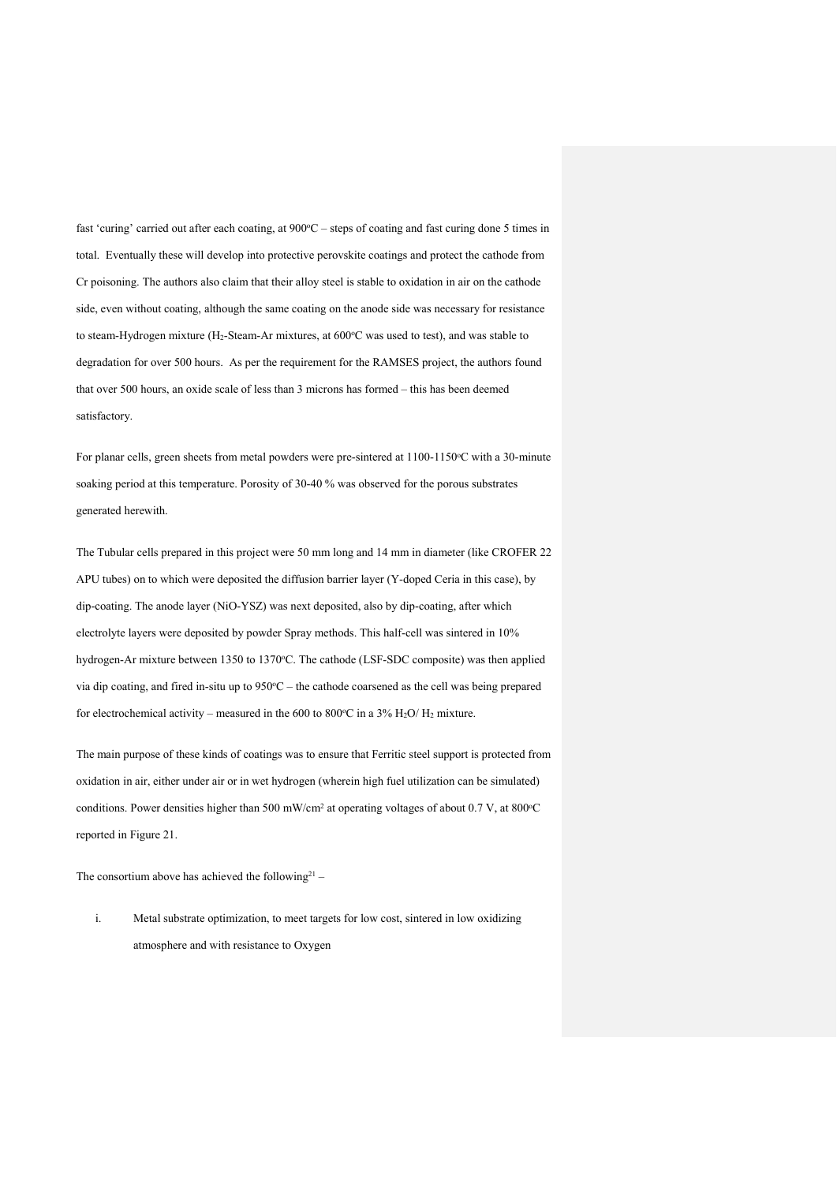fast 'curing' carried out after each coating, at 900°C – steps of coating and fast curing done 5 times in total. Eventually these will develop into protective perovskite coatings and protect the cathode from Cr poisoning. The authors also claim that their alloy steel is stable to oxidation in air on the cathode side, even without coating, although the same coating on the anode side was necessary for resistance to steam-Hydrogen mixture ( $H_2$ -Steam-Ar mixtures, at 600 $\degree$ C was used to test), and was stable to degradation for over 500 hours. As per the requirement for the RAMSES project, the authors found that over 500 hours, an oxide scale of less than 3 microns has formed – this has been deemed satisfactory.

For planar cells, green sheets from metal powders were pre-sintered at 1100-1150°C with a 30-minute soaking period at this temperature. Porosity of 30-40 % was observed for the porous substrates generated herewith.

The Tubular cells prepared in this project were 50 mm long and 14 mm in diameter (like CROFER 22 APU tubes) on to which were deposited the diffusion barrier layer (Y-doped Ceria in this case), by dip-coating. The anode layer (NiO-YSZ) was next deposited, also by dip-coating, after which electrolyte layers were deposited by powder Spray methods. This half-cell was sintered in 10% hydrogen-Ar mixture between 1350 to 1370°C. The cathode (LSF-SDC composite) was then applied via dip coating, and fired in-situ up to  $950\degree C$  – the cathode coarsened as the cell was being prepared for electrochemical activity – measured in the 600 to 800 °C in a 3% H<sub>2</sub>O/H<sub>2</sub> mixture.

The main purpose of these kinds of coatings was to ensure that Ferritic steel support is protected from oxidation in air, either under air or in wet hydrogen (wherein high fuel utilization can be simulated) conditions. Power densities higher than  $500 \text{ mW/cm}^2$  at operating voltages of about 0.7 V, at  $800^{\circ}$ C reported in Figure 21.

The consortium above has achieved the following<sup>21</sup> –

i. Metal substrate optimization, to meet targets for low cost, sintered in low oxidizing atmosphere and with resistance to Oxygen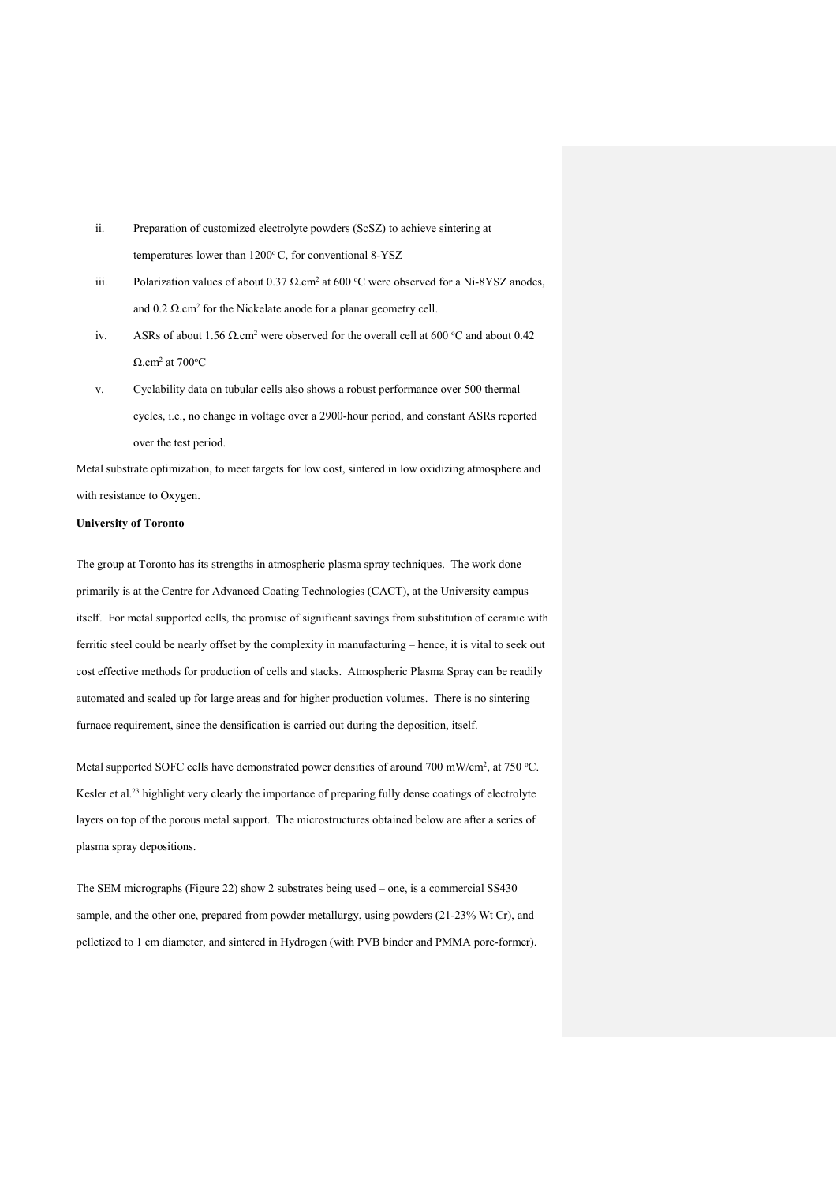- ii. Preparation of customized electrolyte powders (ScSZ) to achieve sintering at temperatures lower than  $1200^{\circ}$ C, for conventional 8-YSZ
- iii. Polarization values of about 0.37 Ω.cm<sup>2</sup> at 600 °C were observed for a Ni-8YSZ anodes, and  $0.2 \Omega$ .cm<sup>2</sup> for the Nickelate anode for a planar geometry cell.
- iv. ASRs of about 1.56  $\Omega$  cm<sup>2</sup> were observed for the overall cell at 600 °C and about 0.42  $\Omega$ .cm<sup>2</sup> at 700 °C
- v. Cyclability data on tubular cells also shows a robust performance over 500 thermal cycles, i.e., no change in voltage over a 2900-hour period, and constant ASRs reported over the test period.

Metal substrate optimization, to meet targets for low cost, sintered in low oxidizing atmosphere and with resistance to Oxygen.

## **University of Toronto**

The group at Toronto has its strengths in atmospheric plasma spray techniques. The work done primarily is at the Centre for Advanced Coating Technologies (CACT), at the University campus itself. For metal supported cells, the promise of significant savings from substitution of ceramic with ferritic steel could be nearly offset by the complexity in manufacturing – hence, it is vital to seek out cost effective methods for production of cells and stacks. Atmospheric Plasma Spray can be readily automated and scaled up for large areas and for higher production volumes. There is no sintering furnace requirement, since the densification is carried out during the deposition, itself.

Metal supported SOFC cells have demonstrated power densities of around 700 mW/cm<sup>2</sup>, at 750 °C. Kesler et al.<sup>23</sup> highlight very clearly the importance of preparing fully dense coatings of electrolyte layers on top of the porous metal support. The microstructures obtained below are after a series of plasma spray depositions.

The SEM micrographs (Figure 22) show 2 substrates being used – one, is a commercial SS430 sample, and the other one, prepared from powder metallurgy, using powders (21-23% Wt Cr), and pelletized to 1 cm diameter, and sintered in Hydrogen (with PVB binder and PMMA pore-former).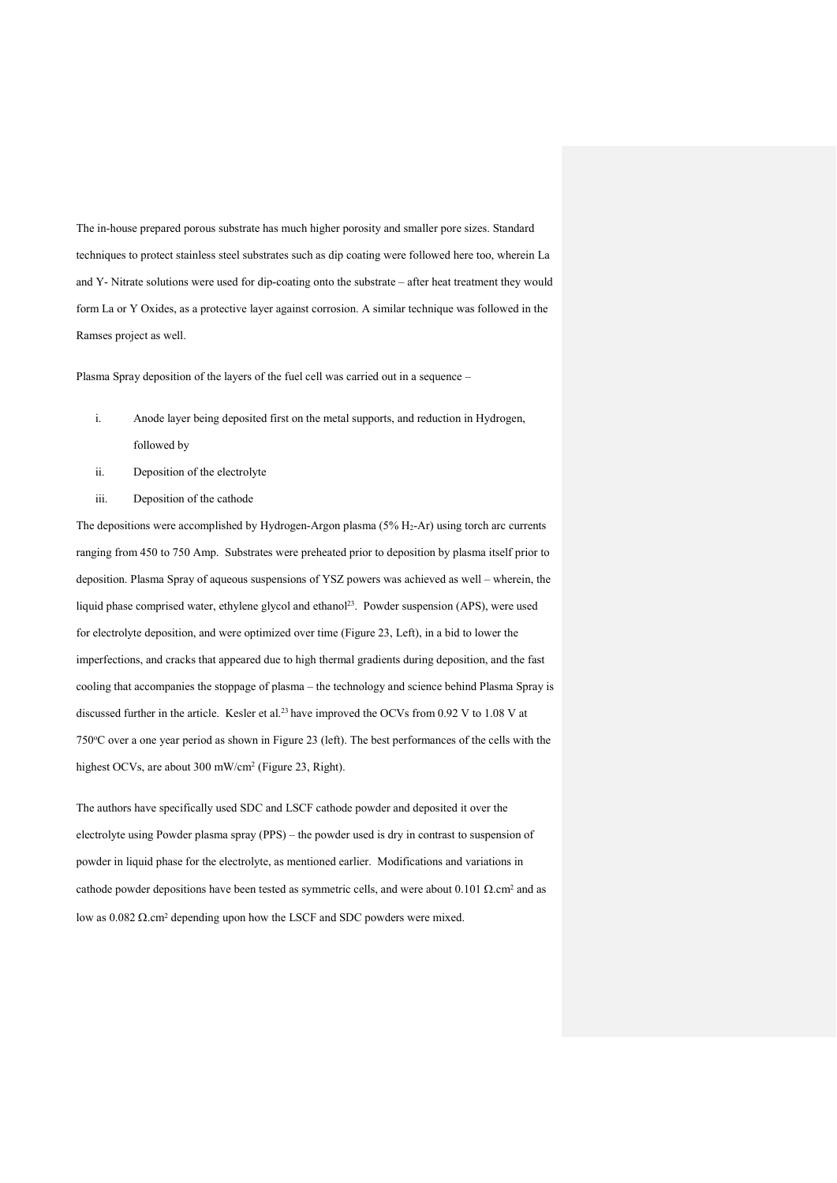The in-house prepared porous substrate has much higher porosity and smaller pore sizes. Standard techniques to protect stainless steel substrates such as dip coating were followed here too, wherein La and Y- Nitrate solutions were used for dip-coating onto the substrate – after heat treatment they would form La or Y Oxides, as a protective layer against corrosion. A similar technique was followed in the Ramses project as well.

Plasma Spray deposition of the layers of the fuel cell was carried out in a sequence –

- i. Anode layer being deposited first on the metal supports, and reduction in Hydrogen, followed by
- ii. Deposition of the electrolyte
- iii. Deposition of the cathode

The depositions were accomplished by Hydrogen-Argon plasma (5% H<sub>2</sub>-Ar) using torch arc currents ranging from 450 to 750 Amp. Substrates were preheated prior to deposition by plasma itself prior to deposition. Plasma Spray of aqueous suspensions of YSZ powers was achieved as well – wherein, the liquid phase comprised water, ethylene glycol and ethanol<sup>23</sup>. Powder suspension (APS), were used for electrolyte deposition, and were optimized over time (Figure 23, Left), in a bid to lower the imperfections, and cracks that appeared due to high thermal gradients during deposition, and the fast cooling that accompanies the stoppage of plasma – the technology and science behind Plasma Spray is discussed further in the article. Kesler et al.23 have improved the OCVs from 0.92 V to 1.08 V at 750o C over a one year period as shown in Figure 23 (left). The best performances of the cells with the highest OCVs, are about 300 mW/cm<sup>2</sup> (Figure 23, Right).

The authors have specifically used SDC and LSCF cathode powder and deposited it over the electrolyte using Powder plasma spray (PPS) – the powder used is dry in contrast to suspension of powder in liquid phase for the electrolyte, as mentioned earlier. Modifications and variations in cathode powder depositions have been tested as symmetric cells, and were about 0.101  $\Omega$ .cm<sup>2</sup> and as low as  $0.082$  Ω.cm<sup>2</sup> depending upon how the LSCF and SDC powders were mixed.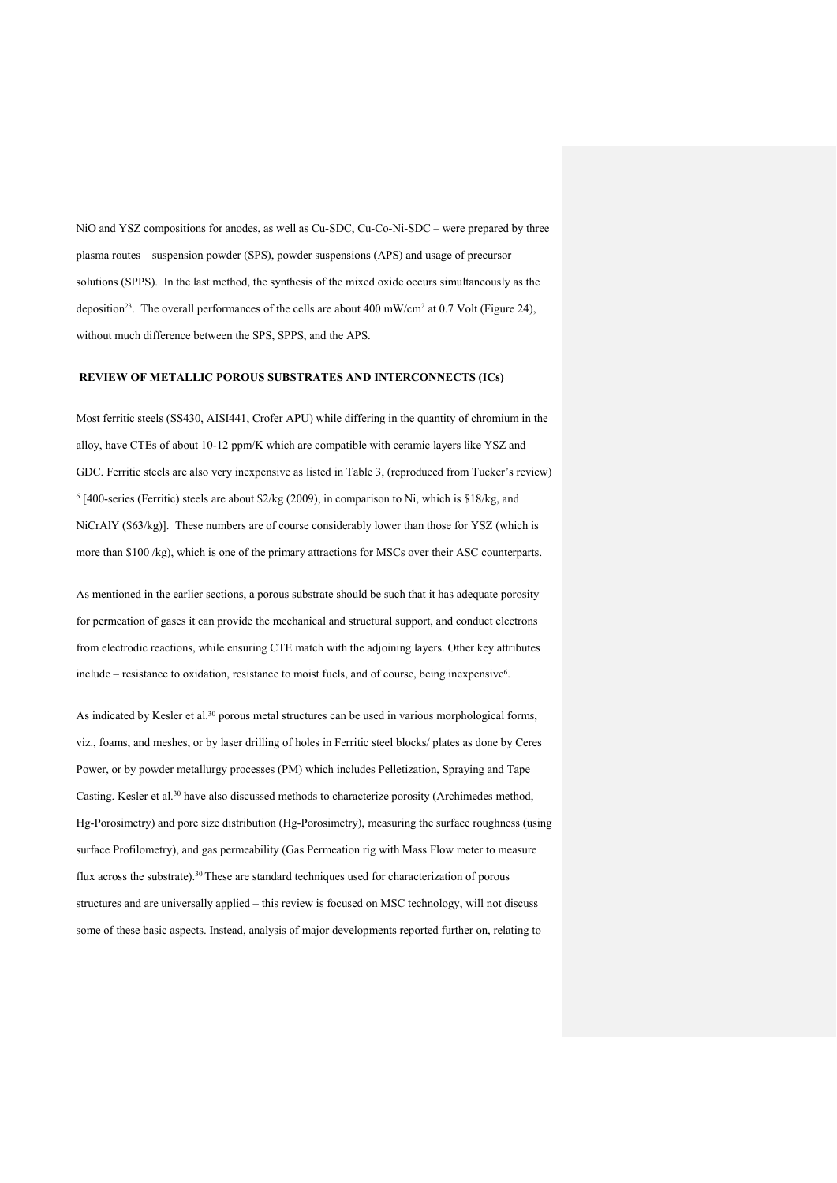NiO and YSZ compositions for anodes, as well as Cu-SDC, Cu-Co-Ni-SDC – were prepared by three plasma routes – suspension powder (SPS), powder suspensions (APS) and usage of precursor solutions (SPPS). In the last method, the synthesis of the mixed oxide occurs simultaneously as the deposition<sup>23</sup>. The overall performances of the cells are about 400 mW/cm<sup>2</sup> at 0.7 Volt (Figure 24), without much difference between the SPS, SPPS, and the APS.

## **REVIEW OF METALLIC POROUS SUBSTRATES AND INTERCONNECTS (ICs)**

Most ferritic steels (SS430, AISI441, Crofer APU) while differing in the quantity of chromium in the alloy, have CTEs of about 10-12 ppm/K which are compatible with ceramic layers like YSZ and GDC. Ferritic steels are also very inexpensive as listed in Table 3, (reproduced from Tucker's review) 6 [400-series (Ferritic) steels are about \$2/kg (2009), in comparison to Ni, which is \$18/kg, and NiCrAlY (\$63/kg)]. These numbers are of course considerably lower than those for YSZ (which is more than \$100 /kg), which is one of the primary attractions for MSCs over their ASC counterparts.

As mentioned in the earlier sections, a porous substrate should be such that it has adequate porosity for permeation of gases it can provide the mechanical and structural support, and conduct electrons from electrodic reactions, while ensuring CTE match with the adjoining layers. Other key attributes include – resistance to oxidation, resistance to moist fuels, and of course, being inexpensive6.

As indicated by Kesler et al.<sup>30</sup> porous metal structures can be used in various morphological forms, viz., foams, and meshes, or by laser drilling of holes in Ferritic steel blocks/ plates as done by Ceres Power, or by powder metallurgy processes (PM) which includes Pelletization, Spraying and Tape Casting. Kesler et al.30 have also discussed methods to characterize porosity (Archimedes method, Hg-Porosimetry) and pore size distribution (Hg-Porosimetry), measuring the surface roughness (using surface Profilometry), and gas permeability (Gas Permeation rig with Mass Flow meter to measure flux across the substrate).30 These are standard techniques used for characterization of porous structures and are universally applied – this review is focused on MSC technology, will not discuss some of these basic aspects. Instead, analysis of major developments reported further on, relating to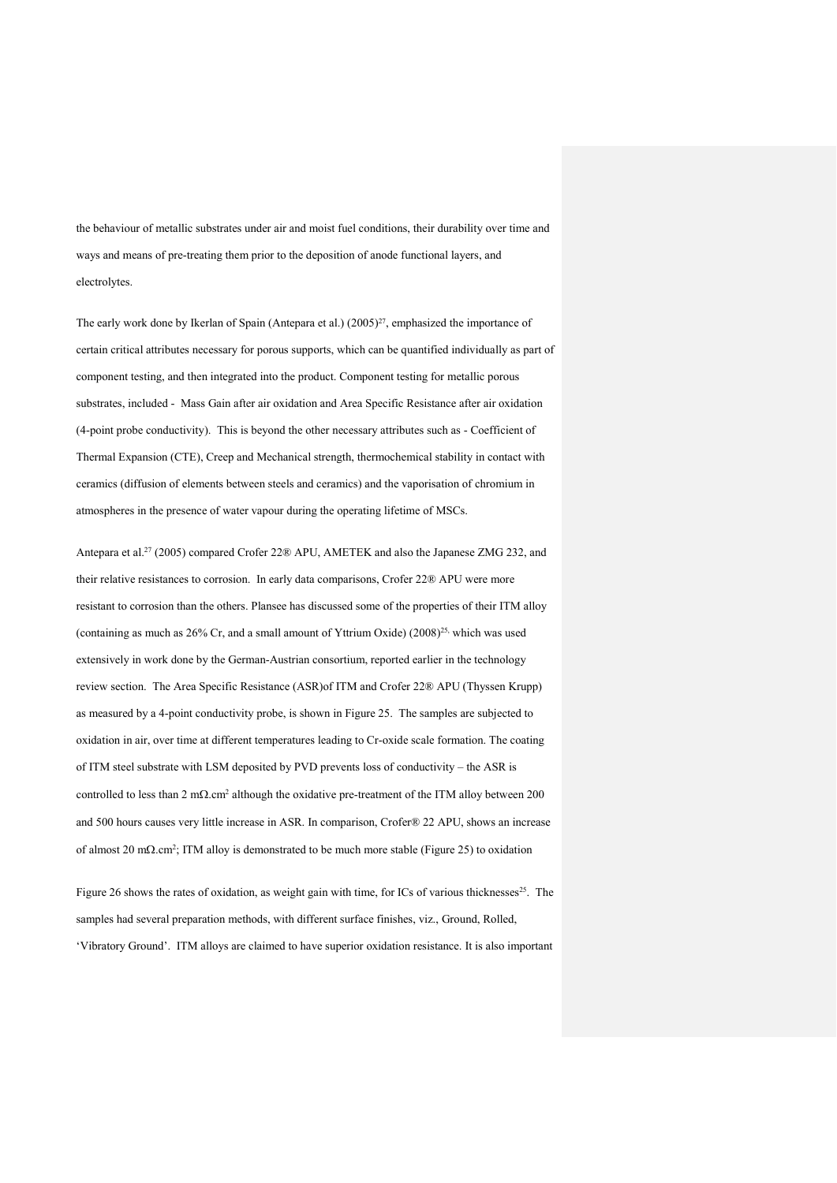the behaviour of metallic substrates under air and moist fuel conditions, their durability over time and ways and means of pre-treating them prior to the deposition of anode functional layers, and electrolytes.

The early work done by Ikerlan of Spain (Antepara et al.) (2005)<sup>27</sup>, emphasized the importance of certain critical attributes necessary for porous supports, which can be quantified individually as part of component testing, and then integrated into the product. Component testing for metallic porous substrates, included - Mass Gain after air oxidation and Area Specific Resistance after air oxidation (4-point probe conductivity). This is beyond the other necessary attributes such as - Coefficient of Thermal Expansion (CTE), Creep and Mechanical strength, thermochemical stability in contact with ceramics (diffusion of elements between steels and ceramics) and the vaporisation of chromium in atmospheres in the presence of water vapour during the operating lifetime of MSCs.

Antepara et al.27 (2005) compared Crofer 22® APU, AMETEK and also the Japanese ZMG 232, and their relative resistances to corrosion. In early data comparisons, Crofer 22® APU were more resistant to corrosion than the others. Plansee has discussed some of the properties of their ITM alloy (containing as much as  $26\%$  Cr, and a small amount of Yttrium Oxide) (2008)<sup>25,</sup> which was used extensively in work done by the German-Austrian consortium, reported earlier in the technology review section. The Area Specific Resistance (ASR)of ITM and Crofer 22® APU (Thyssen Krupp) as measured by a 4-point conductivity probe, is shown in Figure 25. The samples are subjected to oxidation in air, over time at different temperatures leading to Cr-oxide scale formation. The coating of ITM steel substrate with LSM deposited by PVD prevents loss of conductivity – the ASR is controlled to less than 2 mΩ.cm2 although the oxidative pre-treatment of the ITM alloy between 200 and 500 hours causes very little increase in ASR. In comparison, Crofer® 22 APU, shows an increase of almost 20 mΩ.cm2; ITM alloy is demonstrated to be much more stable (Figure 25) to oxidation

Figure 26 shows the rates of oxidation, as weight gain with time, for ICs of various thicknesses<sup>25</sup>. The samples had several preparation methods, with different surface finishes, viz., Ground, Rolled, 'Vibratory Ground'. ITM alloys are claimed to have superior oxidation resistance. It is also important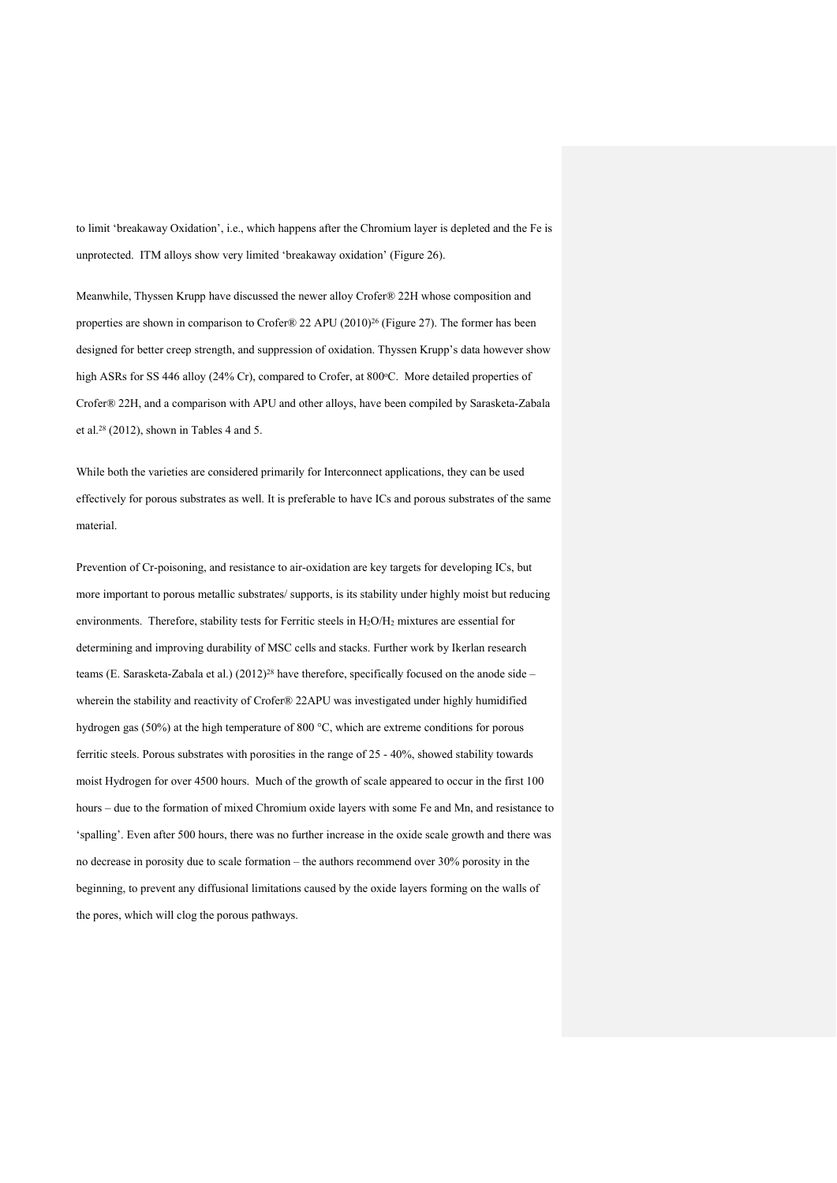to limit 'breakaway Oxidation', i.e., which happens after the Chromium layer is depleted and the Fe is unprotected. ITM alloys show very limited 'breakaway oxidation' (Figure 26).

Meanwhile, Thyssen Krupp have discussed the newer alloy Crofer® 22H whose composition and properties are shown in comparison to Crofer® 22 APU (2010)<sup>26</sup> (Figure 27). The former has been designed for better creep strength, and suppression of oxidation. Thyssen Krupp's data however show high ASRs for SS 446 alloy (24% Cr), compared to Crofer, at 800°C. More detailed properties of Crofer® 22H, and a comparison with APU and other alloys, have been compiled by Sarasketa-Zabala et al.28 (2012), shown in Tables 4 and 5.

While both the varieties are considered primarily for Interconnect applications, they can be used effectively for porous substrates as well. It is preferable to have ICs and porous substrates of the same material.

Prevention of Cr-poisoning, and resistance to air-oxidation are key targets for developing ICs, but more important to porous metallic substrates/ supports, is its stability under highly moist but reducing environments. Therefore, stability tests for Ferritic steels in H<sub>2</sub>O/H<sub>2</sub> mixtures are essential for determining and improving durability of MSC cells and stacks. Further work by Ikerlan research teams (E. Sarasketa-Zabala et al.) (2012)<sup>28</sup> have therefore, specifically focused on the anode side – wherein the stability and reactivity of Crofer® 22APU was investigated under highly humidified hydrogen gas (50%) at the high temperature of 800 °C, which are extreme conditions for porous ferritic steels. Porous substrates with porosities in the range of 25 - 40%, showed stability towards moist Hydrogen for over 4500 hours. Much of the growth of scale appeared to occur in the first 100 hours – due to the formation of mixed Chromium oxide layers with some Fe and Mn, and resistance to 'spalling'. Even after 500 hours, there was no further increase in the oxide scale growth and there was no decrease in porosity due to scale formation – the authors recommend over 30% porosity in the beginning, to prevent any diffusional limitations caused by the oxide layers forming on the walls of the pores, which will clog the porous pathways.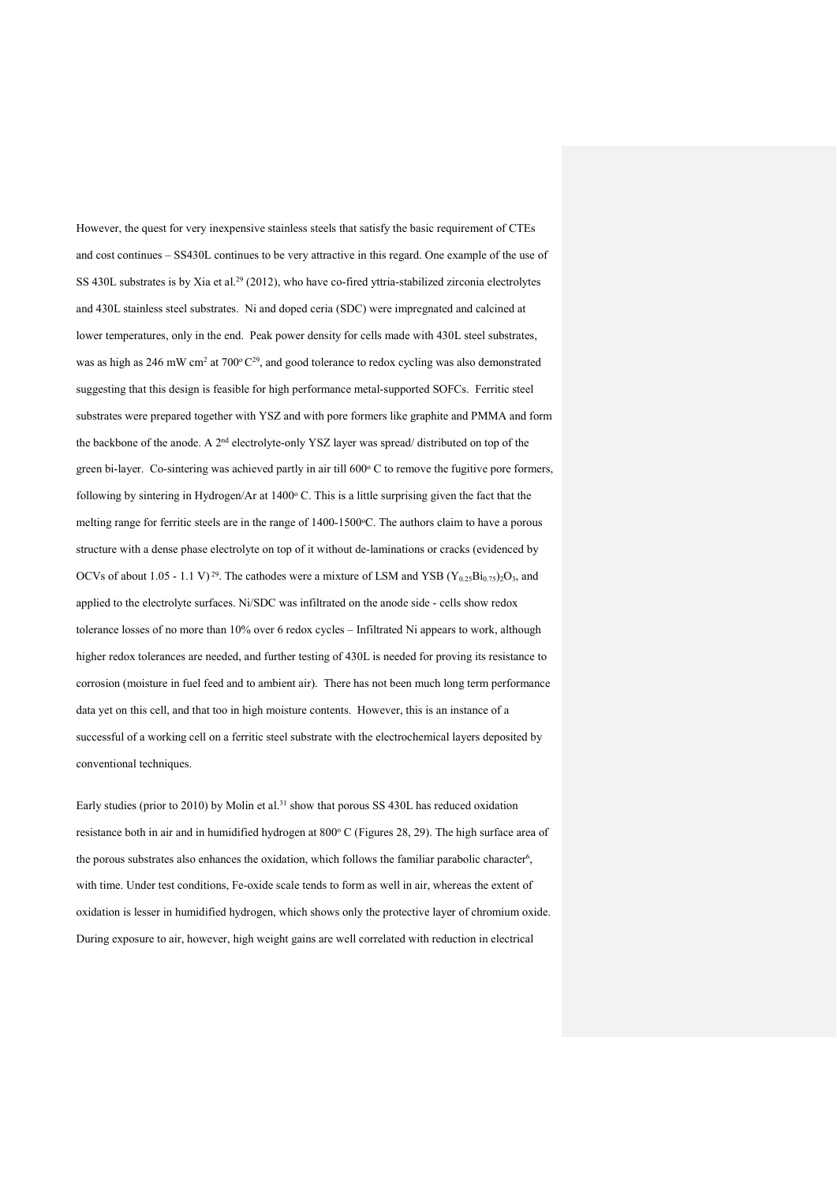However, the quest for very inexpensive stainless steels that satisfy the basic requirement of CTEs and cost continues – SS430L continues to be very attractive in this regard. One example of the use of SS 430L substrates is by Xia et al.29 (2012), who have co-fired yttria-stabilized zirconia electrolytes and 430L stainless steel substrates. Ni and doped ceria (SDC) were impregnated and calcined at lower temperatures, only in the end. Peak power density for cells made with 430L steel substrates, was as high as 246 mW cm<sup>2</sup> at 700°C<sup>29</sup>, and good tolerance to redox cycling was also demonstrated suggesting that this design is feasible for high performance metal-supported SOFCs. Ferritic steel substrates were prepared together with YSZ and with pore formers like graphite and PMMA and form the backbone of the anode. A 2nd electrolyte-only YSZ layer was spread/ distributed on top of the green bi-layer. Co-sintering was achieved partly in air till 600°C to remove the fugitive pore formers, following by sintering in Hydrogen/Ar at  $1400^\circ$  C. This is a little surprising given the fact that the melting range for ferritic steels are in the range of 1400-1500°C. The authors claim to have a porous structure with a dense phase electrolyte on top of it without de-laminations or cracks (evidenced by OCVs of about 1.05 - 1.1 V)<sup>29</sup>. The cathodes were a mixture of LSM and YSB (Y<sub>0.25</sub>Bi<sub>0.75</sub>)<sub>2</sub>O<sub>3</sub>, and applied to the electrolyte surfaces. Ni/SDC was infiltrated on the anode side - cells show redox tolerance losses of no more than 10% over 6 redox cycles – Infiltrated Ni appears to work, although higher redox tolerances are needed, and further testing of 430L is needed for proving its resistance to corrosion (moisture in fuel feed and to ambient air). There has not been much long term performance data yet on this cell, and that too in high moisture contents. However, this is an instance of a successful of a working cell on a ferritic steel substrate with the electrochemical layers deposited by conventional techniques.

Early studies (prior to 2010) by Molin et al.<sup>31</sup> show that porous SS 430L has reduced oxidation resistance both in air and in humidified hydrogen at 800° C (Figures 28, 29). The high surface area of the porous substrates also enhances the oxidation, which follows the familiar parabolic character<sup>6</sup>, with time. Under test conditions, Fe-oxide scale tends to form as well in air, whereas the extent of oxidation is lesser in humidified hydrogen, which shows only the protective layer of chromium oxide. During exposure to air, however, high weight gains are well correlated with reduction in electrical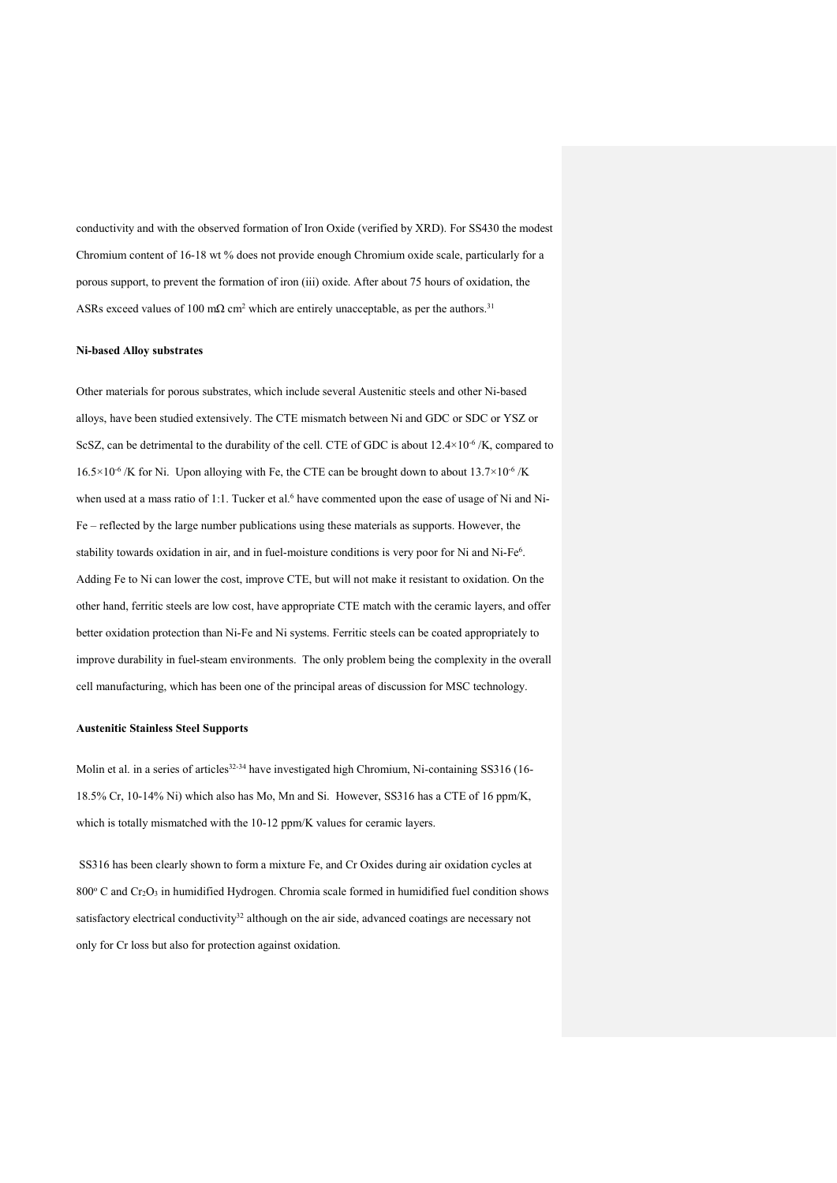conductivity and with the observed formation of Iron Oxide (verified by XRD). For SS430 the modest Chromium content of 16-18 wt % does not provide enough Chromium oxide scale, particularly for a porous support, to prevent the formation of iron (iii) oxide. After about 75 hours of oxidation, the ASRs exceed values of 100 m $\Omega$  cm<sup>2</sup> which are entirely unacceptable, as per the authors.<sup>31</sup>

#### **Ni-based Alloy substrates**

Other materials for porous substrates, which include several Austenitic steels and other Ni-based alloys, have been studied extensively. The CTE mismatch between Ni and GDC or SDC or YSZ or ScSZ, can be detrimental to the durability of the cell. CTE of GDC is about  $12.4\times10^{-6}$  /K, compared to  $16.5 \times 10^{-6}$  /K for Ni. Upon alloying with Fe, the CTE can be brought down to about  $13.7 \times 10^{-6}$  /K when used at a mass ratio of 1:1. Tucker et al.<sup>6</sup> have commented upon the ease of usage of Ni and Ni-Fe – reflected by the large number publications using these materials as supports. However, the stability towards oxidation in air, and in fuel-moisture conditions is very poor for Ni and Ni-Fe<sup>6</sup>. Adding Fe to Ni can lower the cost, improve CTE, but will not make it resistant to oxidation. On the other hand, ferritic steels are low cost, have appropriate CTE match with the ceramic layers, and offer better oxidation protection than Ni-Fe and Ni systems. Ferritic steels can be coated appropriately to improve durability in fuel-steam environments. The only problem being the complexity in the overall cell manufacturing, which has been one of the principal areas of discussion for MSC technology.

#### **Austenitic Stainless Steel Supports**

Molin et al. in a series of articles<sup>32-34</sup> have investigated high Chromium, Ni-containing SS316 (16-18.5% Cr, 10-14% Ni) which also has Mo, Mn and Si. However, SS316 has a CTE of 16 ppm/K, which is totally mismatched with the 10-12 ppm/K values for ceramic layers.

SS316 has been clearly shown to form a mixture Fe, and Cr Oxides during air oxidation cycles at 800 $\degree$  C and Cr<sub>2</sub>O<sub>3</sub> in humidified Hydrogen. Chromia scale formed in humidified fuel condition shows satisfactory electrical conductivity<sup>32</sup> although on the air side, advanced coatings are necessary not only for Cr loss but also for protection against oxidation.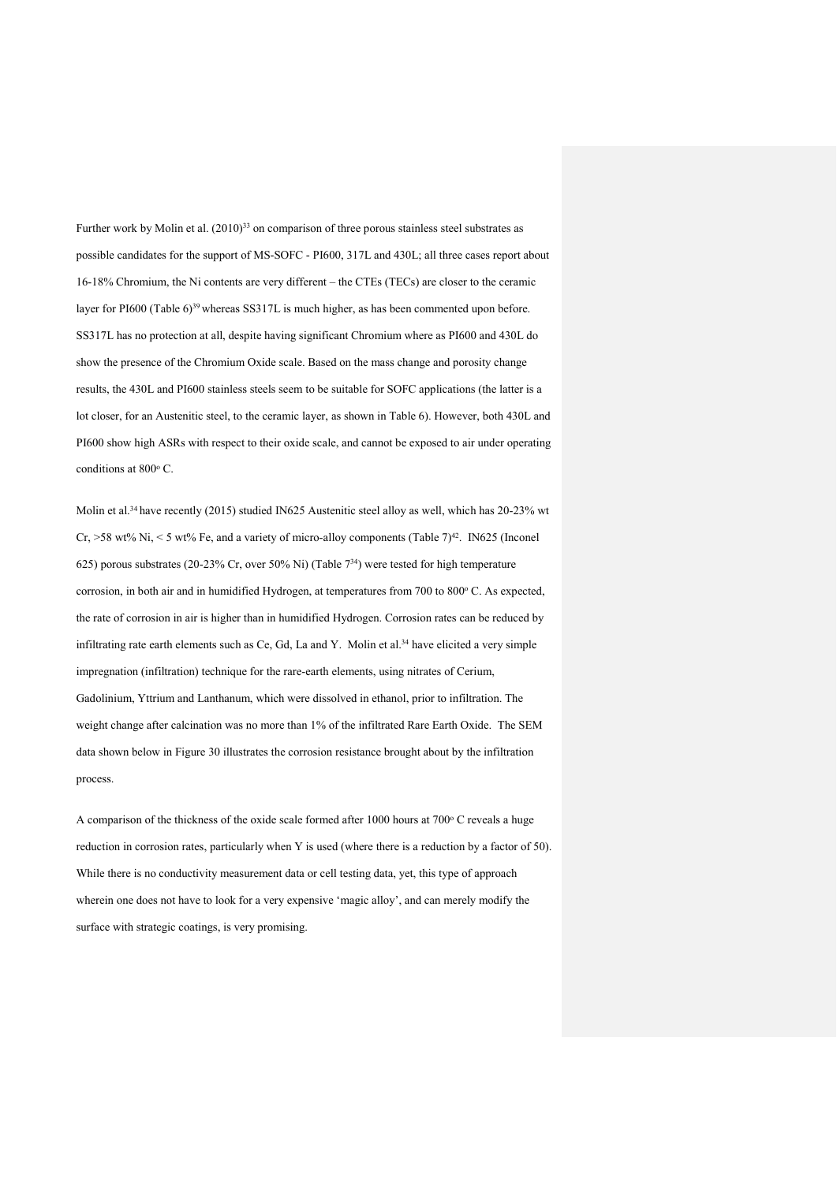Further work by Molin et al.  $(2010)^{33}$  on comparison of three porous stainless steel substrates as possible candidates for the support of MS-SOFC - PI600, 317L and 430L; all three cases report about 16-18% Chromium, the Ni contents are very different – the CTEs (TECs) are closer to the ceramic layer for PI600 (Table 6)<sup>39</sup> whereas SS317L is much higher, as has been commented upon before. SS317L has no protection at all, despite having significant Chromium where as PI600 and 430L do show the presence of the Chromium Oxide scale. Based on the mass change and porosity change results, the 430L and PI600 stainless steels seem to be suitable for SOFC applications (the latter is a lot closer, for an Austenitic steel, to the ceramic layer, as shown in Table 6). However, both 430L and PI600 show high ASRs with respect to their oxide scale, and cannot be exposed to air under operating conditions at 800°C.

Molin et al.<sup>34</sup> have recently (2015) studied IN625 Austenitic steel alloy as well, which has 20-23% wt Cr, >58 wt% Ni, < 5 wt% Fe, and a variety of micro-alloy components (Table 7)<sup>42</sup>. IN625 (Inconel 625) porous substrates (20-23% Cr, over 50% Ni) (Table 734) were tested for high temperature corrosion, in both air and in humidified Hydrogen, at temperatures from 700 to 800°C. As expected, the rate of corrosion in air is higher than in humidified Hydrogen. Corrosion rates can be reduced by infiltrating rate earth elements such as Ce, Gd, La and Y. Molin et al.34 have elicited a very simple impregnation (infiltration) technique for the rare-earth elements, using nitrates of Cerium, Gadolinium, Yttrium and Lanthanum, which were dissolved in ethanol, prior to infiltration. The weight change after calcination was no more than 1% of the infiltrated Rare Earth Oxide. The SEM data shown below in Figure 30 illustrates the corrosion resistance brought about by the infiltration process.

A comparison of the thickness of the oxide scale formed after 1000 hours at  $700^{\circ}$  C reveals a huge reduction in corrosion rates, particularly when Y is used (where there is a reduction by a factor of 50). While there is no conductivity measurement data or cell testing data, yet, this type of approach wherein one does not have to look for a very expensive 'magic alloy', and can merely modify the surface with strategic coatings, is very promising.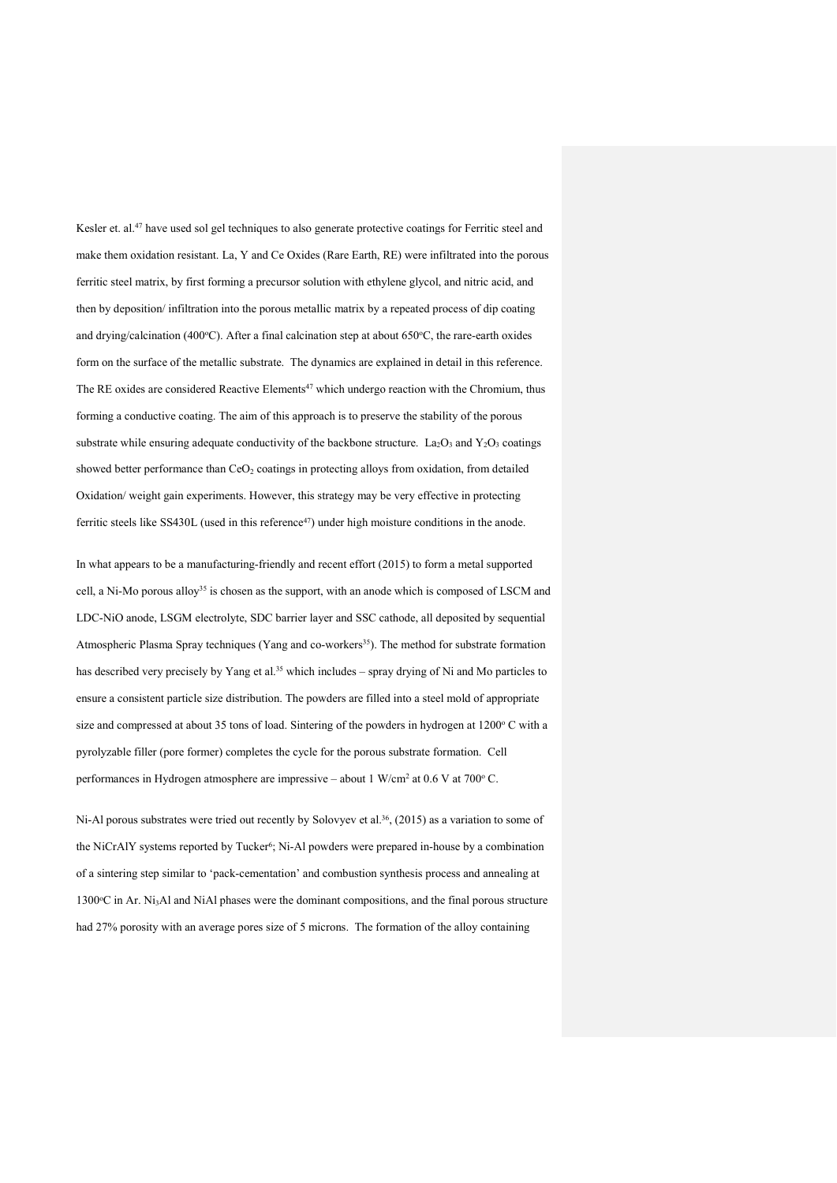Kesler et. al.<sup>47</sup> have used sol gel techniques to also generate protective coatings for Ferritic steel and make them oxidation resistant. La, Y and Ce Oxides (Rare Earth, RE) were infiltrated into the porous ferritic steel matrix, by first forming a precursor solution with ethylene glycol, and nitric acid, and then by deposition/ infiltration into the porous metallic matrix by a repeated process of dip coating and drying/calcination (400°C). After a final calcination step at about 650°C, the rare-earth oxides form on the surface of the metallic substrate. The dynamics are explained in detail in this reference. The RE oxides are considered Reactive Elements<sup>47</sup> which undergo reaction with the Chromium, thus forming a conductive coating. The aim of this approach is to preserve the stability of the porous substrate while ensuring adequate conductivity of the backbone structure. La<sub>2</sub>O<sub>3</sub> and Y<sub>2</sub>O<sub>3</sub> coatings showed better performance than CeO<sub>2</sub> coatings in protecting alloys from oxidation, from detailed Oxidation/ weight gain experiments. However, this strategy may be very effective in protecting ferritic steels like SS430L (used in this reference<sup>47</sup>) under high moisture conditions in the anode.

In what appears to be a manufacturing-friendly and recent effort (2015) to form a metal supported cell, a Ni-Mo porous alloy<sup>35</sup> is chosen as the support, with an anode which is composed of LSCM and LDC-NiO anode, LSGM electrolyte, SDC barrier layer and SSC cathode, all deposited by sequential Atmospheric Plasma Spray techniques (Yang and co-workers<sup>35</sup>). The method for substrate formation has described very precisely by Yang et al.<sup>35</sup> which includes – spray drying of Ni and Mo particles to ensure a consistent particle size distribution. The powders are filled into a steel mold of appropriate size and compressed at about 35 tons of load. Sintering of the powders in hydrogen at  $1200^\circ$  C with a pyrolyzable filler (pore former) completes the cycle for the porous substrate formation. Cell performances in Hydrogen atmosphere are impressive – about 1 W/cm<sup>2</sup> at 0.6 V at 700 $^{\circ}$ C.

Ni-Al porous substrates were tried out recently by Solovyev et al.<sup>36</sup>, (2015) as a variation to some of the NiCrAlY systems reported by Tucker<sup>6</sup>; Ni-Al powders were prepared in-house by a combination of a sintering step similar to 'pack-cementation' and combustion synthesis process and annealing at  $1300^{\circ}\text{C}$  in Ar. Ni<sub>3</sub>Al and NiAl phases were the dominant compositions, and the final porous structure had 27% porosity with an average pores size of 5 microns. The formation of the alloy containing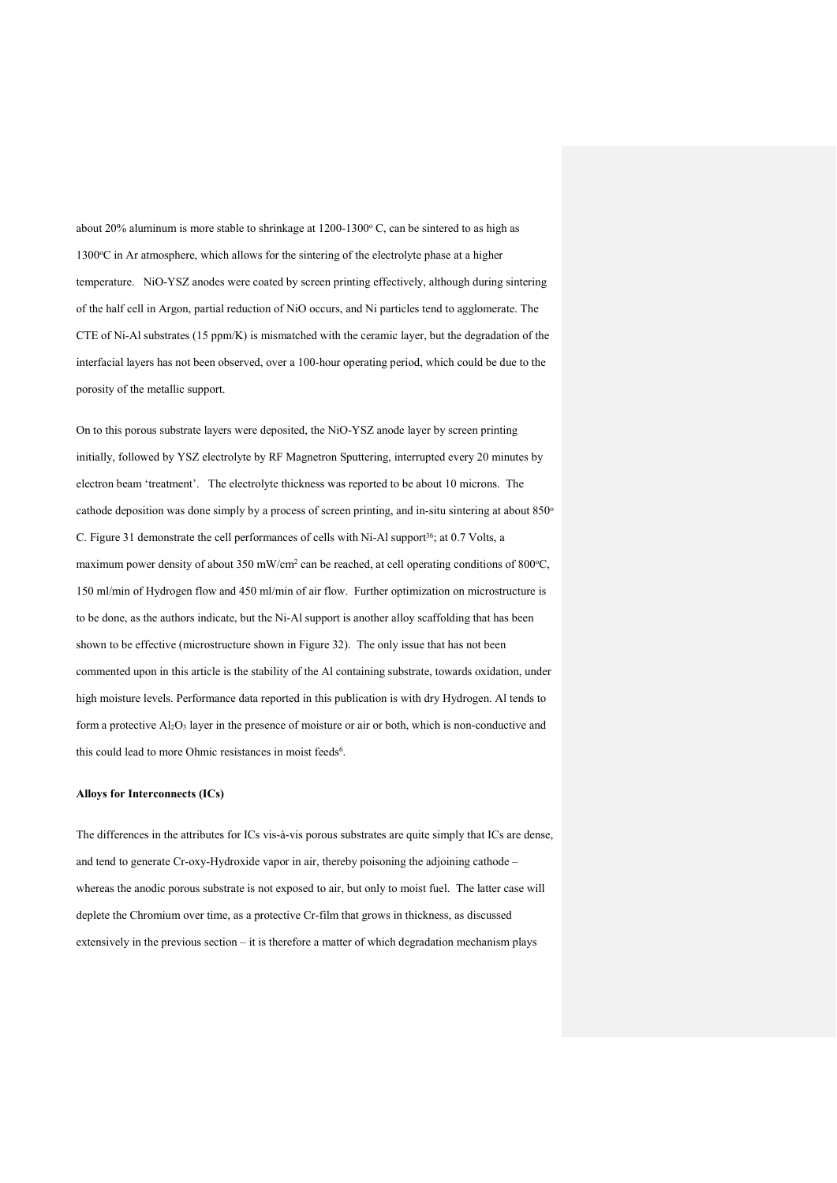about 20% aluminum is more stable to shrinkage at  $1200-1300^\circ$  C, can be sintered to as high as 1300 °C in Ar atmosphere, which allows for the sintering of the electrolyte phase at a higher temperature. NiO-YSZ anodes were coated by screen printing effectively, although during sintering of the half cell in Argon, partial reduction of NiO occurs, and Ni particles tend to agglomerate. The CTE of Ni-Al substrates (15 ppm/K) is mismatched with the ceramic layer, but the degradation of the interfacial layers has not been observed, over a 100-hour operating period, which could be due to the porosity of the metallic support.

On to this porous substrate layers were deposited, the NiO-YSZ anode layer by screen printing initially, followed by YSZ electrolyte by RF Magnetron Sputtering, interrupted every 20 minutes by electron beam 'treatment'. The electrolyte thickness was reported to be about 10 microns. The cathode deposition was done simply by a process of screen printing, and in-situ sintering at about 850° C. Figure 31 demonstrate the cell performances of cells with Ni-Al support<sup>36</sup>; at 0.7 Volts, a maximum power density of about 350 mW/cm<sup>2</sup> can be reached, at cell operating conditions of 800 $^{\circ}$ C, 150 ml/min of Hydrogen flow and 450 ml/min of air flow. Further optimization on microstructure is to be done, as the authors indicate, but the Ni-Al support is another alloy scaffolding that has been shown to be effective (microstructure shown in Figure 32). The only issue that has not been commented upon in this article is the stability of the Al containing substrate, towards oxidation, under high moisture levels. Performance data reported in this publication is with dry Hydrogen. Al tends to form a protective  $Al_2O_3$  layer in the presence of moisture or air or both, which is non-conductive and this could lead to more Ohmic resistances in moist feeds<sup>6</sup>.

## **Alloys for Interconnects (ICs)**

The differences in the attributes for ICs vis-à-vis porous substrates are quite simply that ICs are dense, and tend to generate Cr-oxy-Hydroxide vapor in air, thereby poisoning the adjoining cathode – whereas the anodic porous substrate is not exposed to air, but only to moist fuel. The latter case will deplete the Chromium over time, as a protective Cr-film that grows in thickness, as discussed extensively in the previous section – it is therefore a matter of which degradation mechanism plays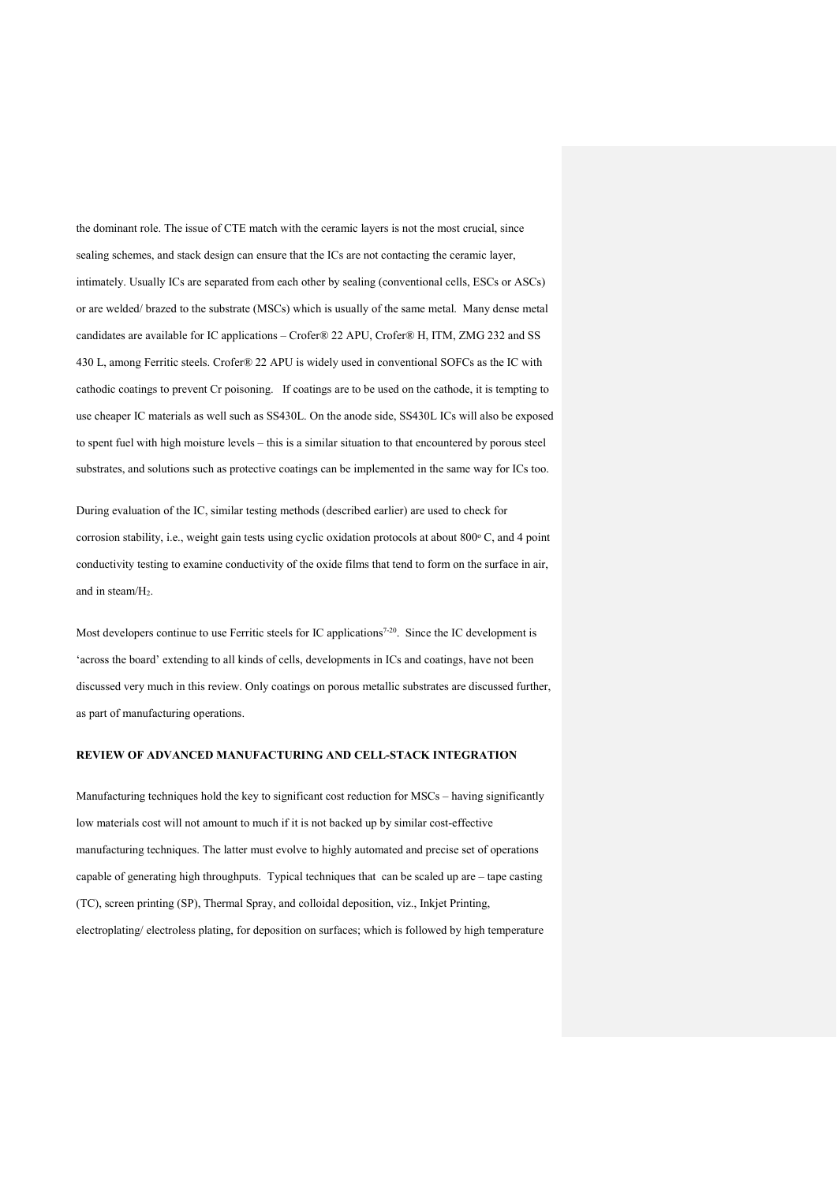the dominant role. The issue of CTE match with the ceramic layers is not the most crucial, since sealing schemes, and stack design can ensure that the ICs are not contacting the ceramic layer, intimately. Usually ICs are separated from each other by sealing (conventional cells, ESCs or ASCs) or are welded/ brazed to the substrate (MSCs) which is usually of the same metal. Many dense metal candidates are available for IC applications – Crofer® 22 APU, Crofer® H, ITM, ZMG 232 and SS 430 L, among Ferritic steels. Crofer® 22 APU is widely used in conventional SOFCs as the IC with cathodic coatings to prevent Cr poisoning. If coatings are to be used on the cathode, it is tempting to use cheaper IC materials as well such as SS430L. On the anode side, SS430L ICs will also be exposed to spent fuel with high moisture levels – this is a similar situation to that encountered by porous steel substrates, and solutions such as protective coatings can be implemented in the same way for ICs too.

During evaluation of the IC, similar testing methods (described earlier) are used to check for corrosion stability, i.e., weight gain tests using cyclic oxidation protocols at about  $800^{\circ}$  C, and 4 point conductivity testing to examine conductivity of the oxide films that tend to form on the surface in air, and in steam/H2.

Most developers continue to use Ferritic steels for IC applications<sup>7-20</sup>. Since the IC development is 'across the board' extending to all kinds of cells, developments in ICs and coatings, have not been discussed very much in this review. Only coatings on porous metallic substrates are discussed further, as part of manufacturing operations.

#### **REVIEW OF ADVANCED MANUFACTURING AND CELL-STACK INTEGRATION**

Manufacturing techniques hold the key to significant cost reduction for MSCs – having significantly low materials cost will not amount to much if it is not backed up by similar cost-effective manufacturing techniques. The latter must evolve to highly automated and precise set of operations capable of generating high throughputs. Typical techniques that can be scaled up are – tape casting (TC), screen printing (SP), Thermal Spray, and colloidal deposition, viz., Inkjet Printing, electroplating/ electroless plating, for deposition on surfaces; which is followed by high temperature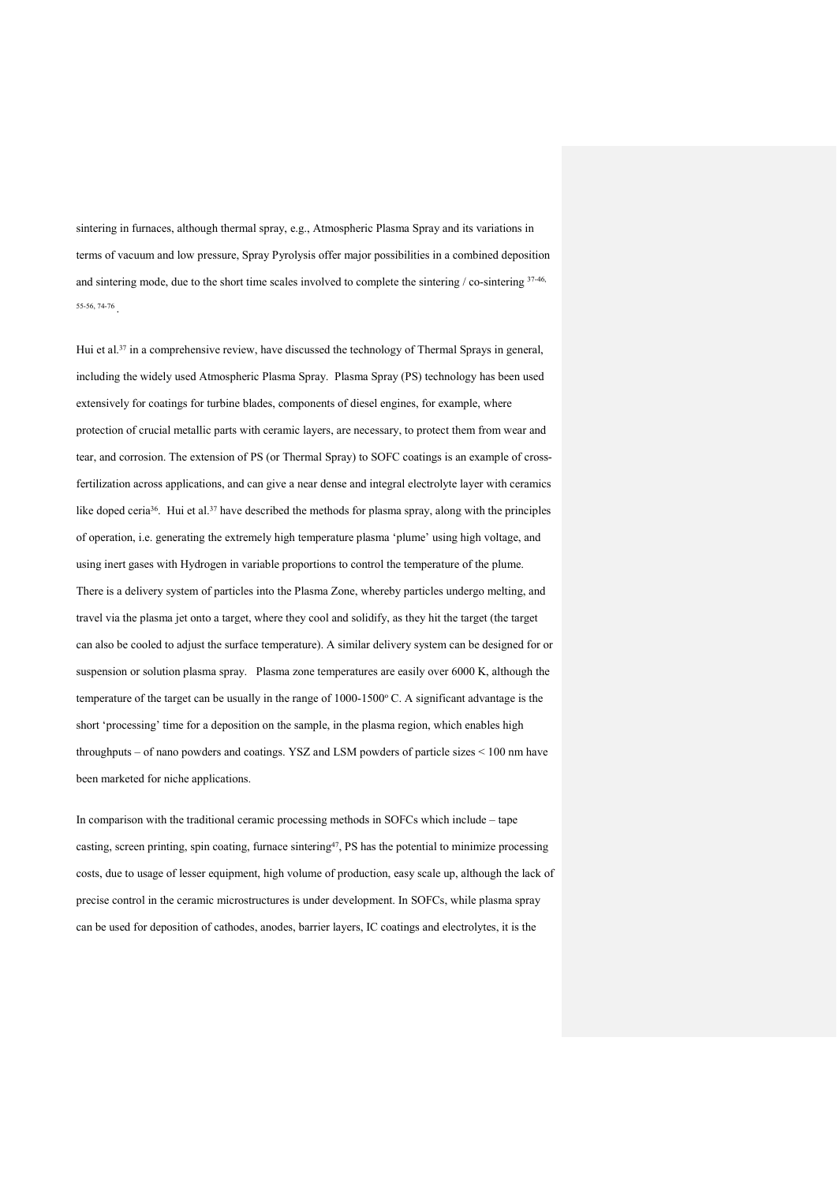sintering in furnaces, although thermal spray, e.g., Atmospheric Plasma Spray and its variations in terms of vacuum and low pressure, Spray Pyrolysis offer major possibilities in a combined deposition and sintering mode, due to the short time scales involved to complete the sintering / co-sintering 37-46, 55-56, 74-76 .

Hui et al.<sup>37</sup> in a comprehensive review, have discussed the technology of Thermal Sprays in general, including the widely used Atmospheric Plasma Spray. Plasma Spray (PS) technology has been used extensively for coatings for turbine blades, components of diesel engines, for example, where protection of crucial metallic parts with ceramic layers, are necessary, to protect them from wear and tear, and corrosion. The extension of PS (or Thermal Spray) to SOFC coatings is an example of crossfertilization across applications, and can give a near dense and integral electrolyte layer with ceramics like doped ceria<sup>36</sup>. Hui et al.<sup>37</sup> have described the methods for plasma spray, along with the principles of operation, i.e. generating the extremely high temperature plasma 'plume' using high voltage, and using inert gases with Hydrogen in variable proportions to control the temperature of the plume. There is a delivery system of particles into the Plasma Zone, whereby particles undergo melting, and travel via the plasma jet onto a target, where they cool and solidify, as they hit the target (the target can also be cooled to adjust the surface temperature). A similar delivery system can be designed for or suspension or solution plasma spray. Plasma zone temperatures are easily over 6000 K, although the temperature of the target can be usually in the range of  $1000-1500$  °C. A significant advantage is the short 'processing' time for a deposition on the sample, in the plasma region, which enables high throughputs – of nano powders and coatings. YSZ and LSM powders of particle sizes < 100 nm have been marketed for niche applications.

In comparison with the traditional ceramic processing methods in SOFCs which include – tape casting, screen printing, spin coating, furnace sintering47, PS has the potential to minimize processing costs, due to usage of lesser equipment, high volume of production, easy scale up, although the lack of precise control in the ceramic microstructures is under development. In SOFCs, while plasma spray can be used for deposition of cathodes, anodes, barrier layers, IC coatings and electrolytes, it is the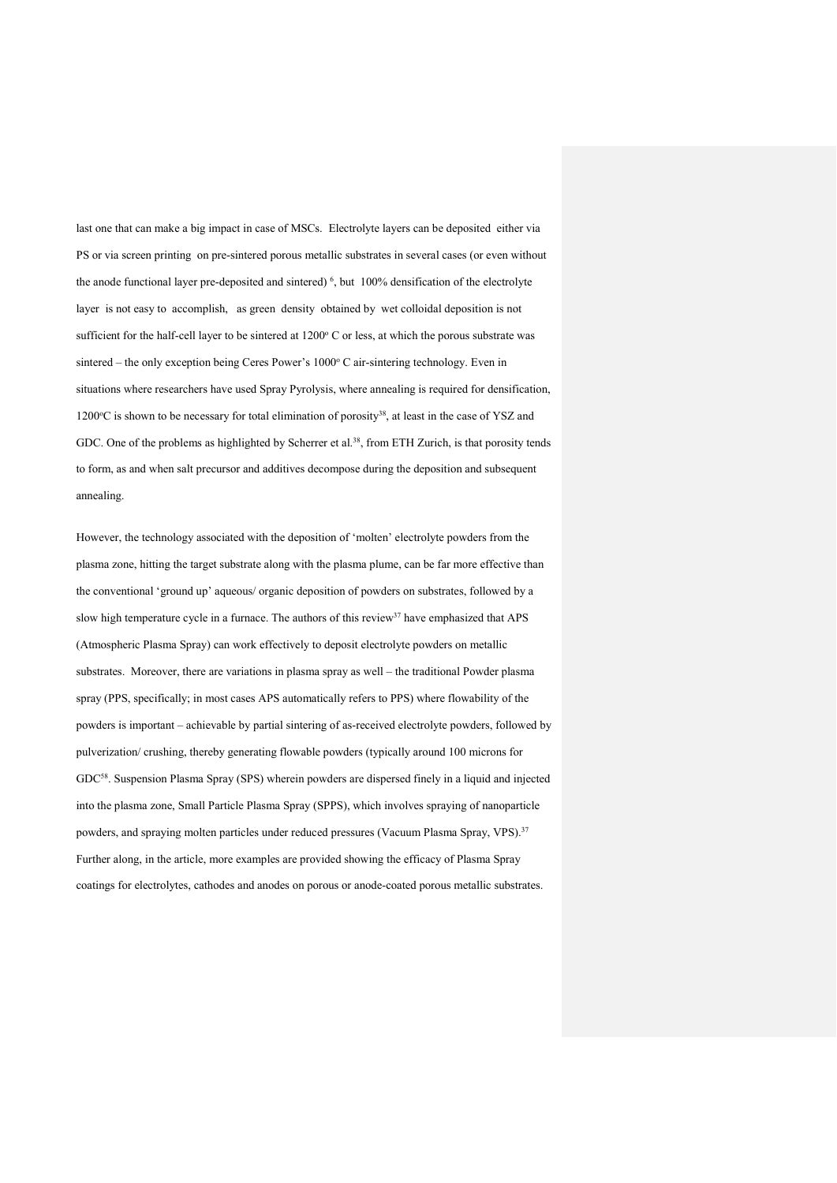last one that can make a big impact in case of MSCs. Electrolyte layers can be deposited either via PS or via screen printing on pre-sintered porous metallic substrates in several cases (or even without the anode functional layer pre-deposited and sintered)  $\frac{6}{5}$  but 100% densification of the electrolyte layer is not easy to accomplish, as green density obtained by wet colloidal deposition is not sufficient for the half-cell layer to be sintered at  $1200^{\circ}$  C or less, at which the porous substrate was sintered – the only exception being Ceres Power's 1000°C air-sintering technology. Even in situations where researchers have used Spray Pyrolysis, where annealing is required for densification,  $1200^{\circ}$ C is shown to be necessary for total elimination of porosity<sup>38</sup>, at least in the case of YSZ and GDC. One of the problems as highlighted by Scherrer et al.<sup>38</sup>, from ETH Zurich, is that porosity tends to form, as and when salt precursor and additives decompose during the deposition and subsequent annealing.

However, the technology associated with the deposition of 'molten' electrolyte powders from the plasma zone, hitting the target substrate along with the plasma plume, can be far more effective than the conventional 'ground up' aqueous/ organic deposition of powders on substrates, followed by a slow high temperature cycle in a furnace. The authors of this review<sup>37</sup> have emphasized that APS (Atmospheric Plasma Spray) can work effectively to deposit electrolyte powders on metallic substrates. Moreover, there are variations in plasma spray as well – the traditional Powder plasma spray (PPS, specifically; in most cases APS automatically refers to PPS) where flowability of the powders is important – achievable by partial sintering of as-received electrolyte powders, followed by pulverization/ crushing, thereby generating flowable powders (typically around 100 microns for GDC58. Suspension Plasma Spray (SPS) wherein powders are dispersed finely in a liquid and injected into the plasma zone, Small Particle Plasma Spray (SPPS), which involves spraying of nanoparticle powders, and spraying molten particles under reduced pressures (Vacuum Plasma Spray, VPS).<sup>37</sup> Further along, in the article, more examples are provided showing the efficacy of Plasma Spray coatings for electrolytes, cathodes and anodes on porous or anode-coated porous metallic substrates.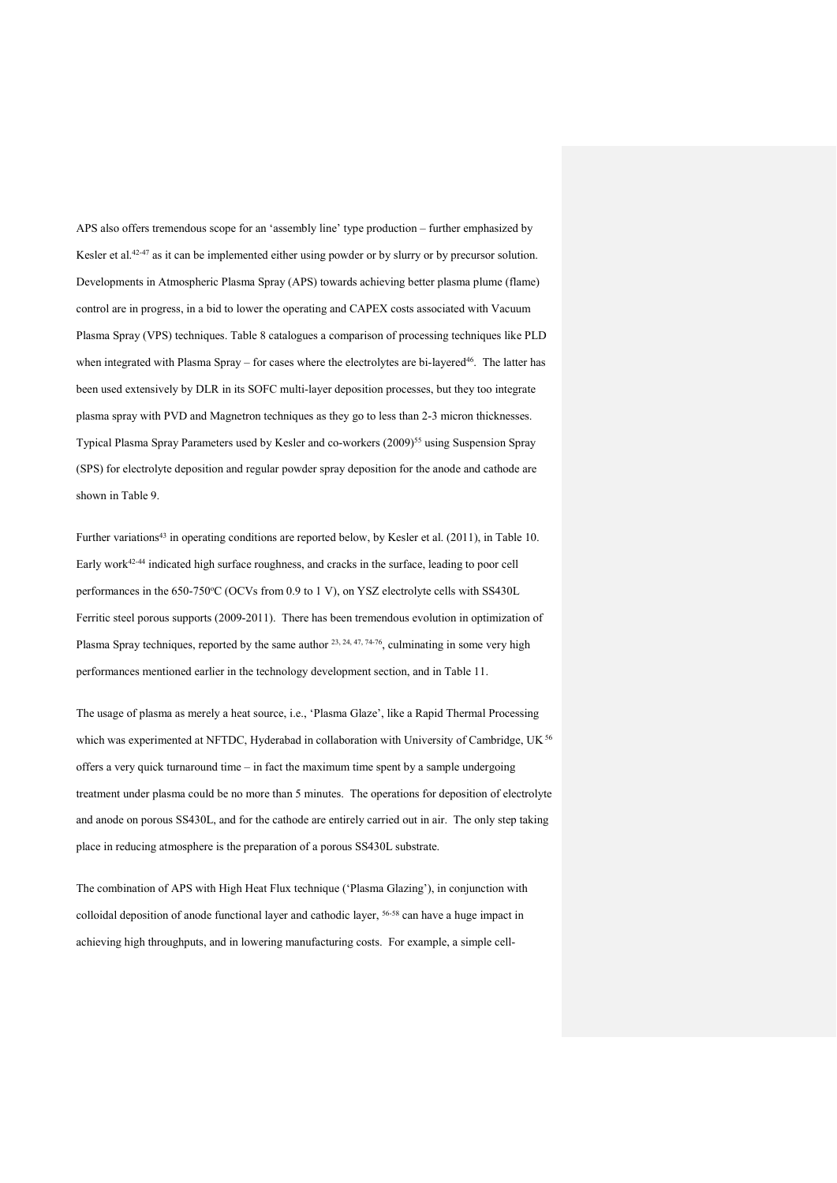APS also offers tremendous scope for an 'assembly line' type production – further emphasized by Kesler et al.<sup>42-47</sup> as it can be implemented either using powder or by slurry or by precursor solution. Developments in Atmospheric Plasma Spray (APS) towards achieving better plasma plume (flame) control are in progress, in a bid to lower the operating and CAPEX costs associated with Vacuum Plasma Spray (VPS) techniques. Table 8 catalogues a comparison of processing techniques like PLD when integrated with Plasma Spray – for cases where the electrolytes are bi-layered<sup>46</sup>. The latter has been used extensively by DLR in its SOFC multi-layer deposition processes, but they too integrate plasma spray with PVD and Magnetron techniques as they go to less than 2-3 micron thicknesses. Typical Plasma Spray Parameters used by Kesler and co-workers (2009)<sup>55</sup> using Suspension Spray (SPS) for electrolyte deposition and regular powder spray deposition for the anode and cathode are shown in Table 9.

Further variations<sup>43</sup> in operating conditions are reported below, by Kesler et al. (2011), in Table 10. Early work<sup>42-44</sup> indicated high surface roughness, and cracks in the surface, leading to poor cell performances in the 650-750°C (OCVs from 0.9 to 1 V), on YSZ electrolyte cells with SS430L Ferritic steel porous supports (2009-2011). There has been tremendous evolution in optimization of Plasma Spray techniques, reported by the same author <sup>23, 24, 47, 74-76</sup>, culminating in some very high performances mentioned earlier in the technology development section, and in Table 11.

The usage of plasma as merely a heat source, i.e., 'Plasma Glaze', like a Rapid Thermal Processing which was experimented at NFTDC, Hyderabad in collaboration with University of Cambridge, UK <sup>56</sup> offers a very quick turnaround time – in fact the maximum time spent by a sample undergoing treatment under plasma could be no more than 5 minutes. The operations for deposition of electrolyte and anode on porous SS430L, and for the cathode are entirely carried out in air. The only step taking place in reducing atmosphere is the preparation of a porous SS430L substrate.

The combination of APS with High Heat Flux technique ('Plasma Glazing'), in conjunction with colloidal deposition of anode functional layer and cathodic layer, 56-58 can have a huge impact in achieving high throughputs, and in lowering manufacturing costs. For example, a simple cell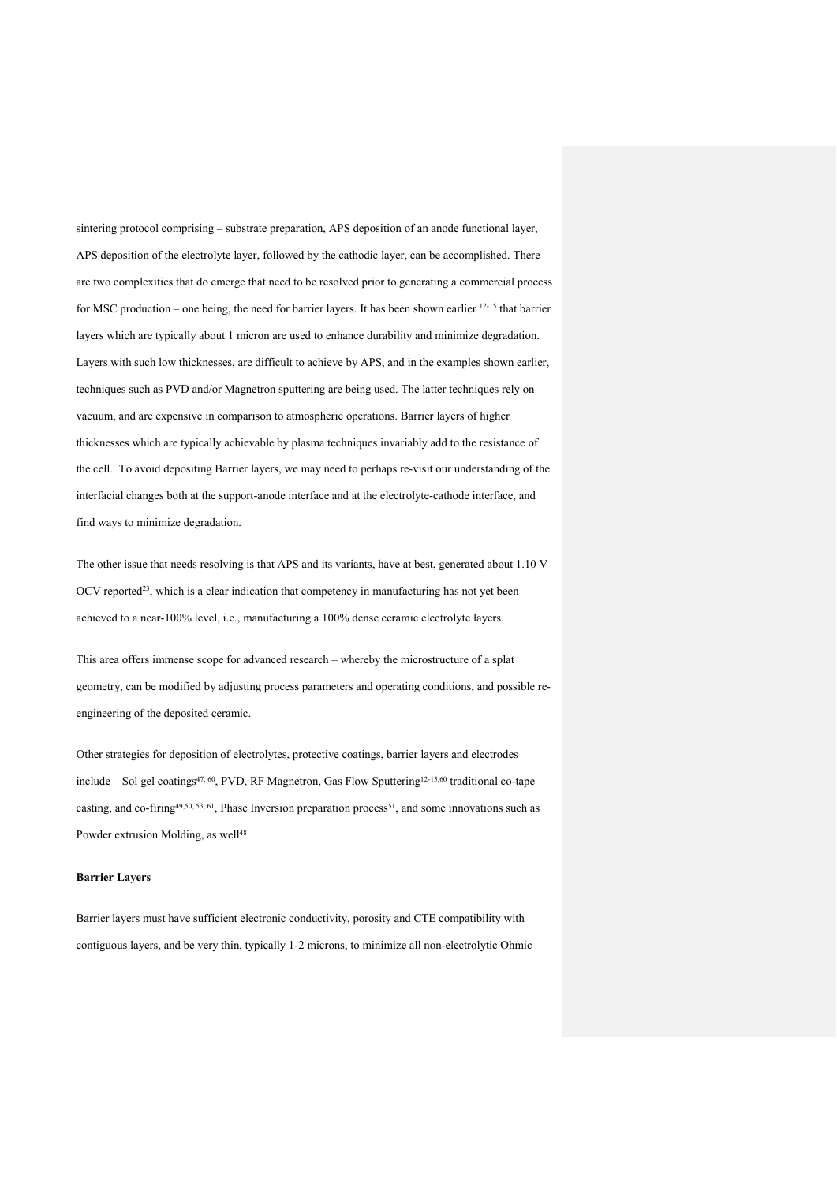sintering protocol comprising – substrate preparation, APS deposition of an anode functional layer, APS deposition of the electrolyte layer, followed by the cathodic layer, can be accomplished. There are two complexities that do emerge that need to be resolved prior to generating a commercial process for MSC production – one being, the need for barrier layers. It has been shown earlier 12-15 that barrier layers which are typically about 1 micron are used to enhance durability and minimize degradation. Layers with such low thicknesses, are difficult to achieve by APS, and in the examples shown earlier, techniques such as PVD and/or Magnetron sputtering are being used. The latter techniques rely on vacuum, and are expensive in comparison to atmospheric operations. Barrier layers of higher thicknesses which are typically achievable by plasma techniques invariably add to the resistance of the cell. To avoid depositing Barrier layers, we may need to perhaps re-visit our understanding of the interfacial changes both at the support-anode interface and at the electrolyte-cathode interface, and find ways to minimize degradation.

The other issue that needs resolving is that APS and its variants, have at best, generated about 1.10 V OCV reported<sup>23</sup>, which is a clear indication that competency in manufacturing has not yet been achieved to a near-100% level, i.e., manufacturing a 100% dense ceramic electrolyte layers.

This area offers immense scope for advanced research – whereby the microstructure of a splat geometry, can be modified by adjusting process parameters and operating conditions, and possible reengineering of the deposited ceramic.

Other strategies for deposition of electrolytes, protective coatings, barrier layers and electrodes include – Sol gel coatings<sup>47, 60</sup>, PVD, RF Magnetron, Gas Flow Sputtering<sup>12-15,60</sup> traditional co-tape casting, and co-firing<sup>49,50, 53, 61</sup>, Phase Inversion preparation process<sup>51</sup>, and some innovations such as Powder extrusion Molding, as well<sup>48</sup>.

#### **Barrier Layers**

Barrier layers must have sufficient electronic conductivity, porosity and CTE compatibility with contiguous layers, and be very thin, typically 1-2 microns, to minimize all non-electrolytic Ohmic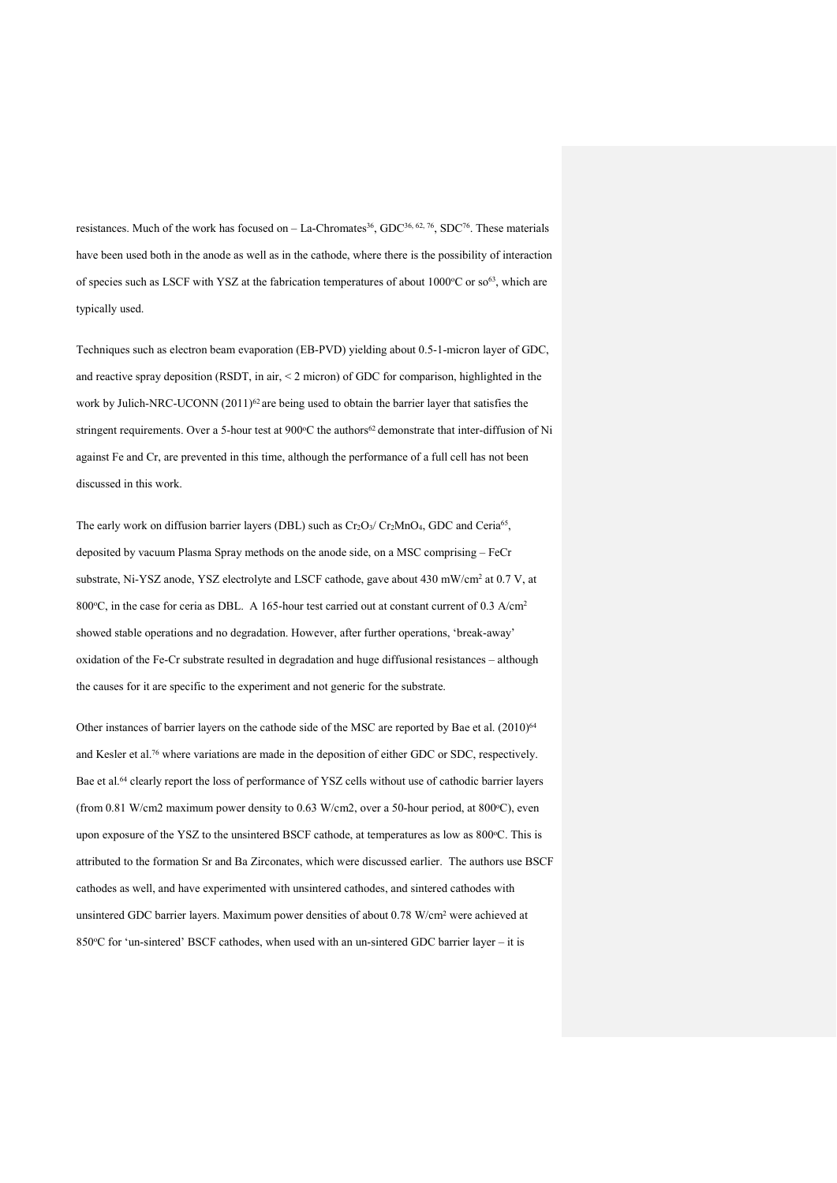resistances. Much of the work has focused on – La-Chromates<sup>36</sup>, GDC<sup>36, 62, 76</sup>, SDC<sup>76</sup>. These materials have been used both in the anode as well as in the cathode, where there is the possibility of interaction of species such as LSCF with YSZ at the fabrication temperatures of about  $1000^{\circ}$ C or so<sup>63</sup>, which are typically used.

Techniques such as electron beam evaporation (EB-PVD) yielding about 0.5-1-micron layer of GDC, and reactive spray deposition (RSDT, in air, < 2 micron) of GDC for comparison, highlighted in the work by Julich-NRC-UCONN (2011)<sup>62</sup> are being used to obtain the barrier layer that satisfies the stringent requirements. Over a 5-hour test at 900°C the authors<sup>62</sup> demonstrate that inter-diffusion of Ni against Fe and Cr, are prevented in this time, although the performance of a full cell has not been discussed in this work.

The early work on diffusion barrier layers (DBL) such as  $Cr_2O_3/Cr_2MnO_4$ , GDC and Ceria<sup>65</sup>, deposited by vacuum Plasma Spray methods on the anode side, on a MSC comprising – FeCr substrate, Ni-YSZ anode, YSZ electrolyte and LSCF cathode, gave about 430 mW/cm2 at 0.7 V, at 800 $\degree$ C, in the case for ceria as DBL. A 165-hour test carried out at constant current of 0.3 A/cm<sup>2</sup> showed stable operations and no degradation. However, after further operations, 'break-away' oxidation of the Fe-Cr substrate resulted in degradation and huge diffusional resistances – although the causes for it are specific to the experiment and not generic for the substrate.

Other instances of barrier layers on the cathode side of the MSC are reported by Bae et al. (2010)<sup>64</sup> and Kesler et al.76 where variations are made in the deposition of either GDC or SDC, respectively. Bae et al.64 clearly report the loss of performance of YSZ cells without use of cathodic barrier layers (from 0.81 W/cm2 maximum power density to 0.63 W/cm2, over a 50-hour period, at 800 $^{\circ}$ C), even upon exposure of the YSZ to the unsintered BSCF cathode, at temperatures as low as 800°C. This is attributed to the formation Sr and Ba Zirconates, which were discussed earlier. The authors use BSCF cathodes as well, and have experimented with unsintered cathodes, and sintered cathodes with unsintered GDC barrier layers. Maximum power densities of about 0.78 W/cm2 were achieved at 850°C for 'un-sintered' BSCF cathodes, when used with an un-sintered GDC barrier layer – it is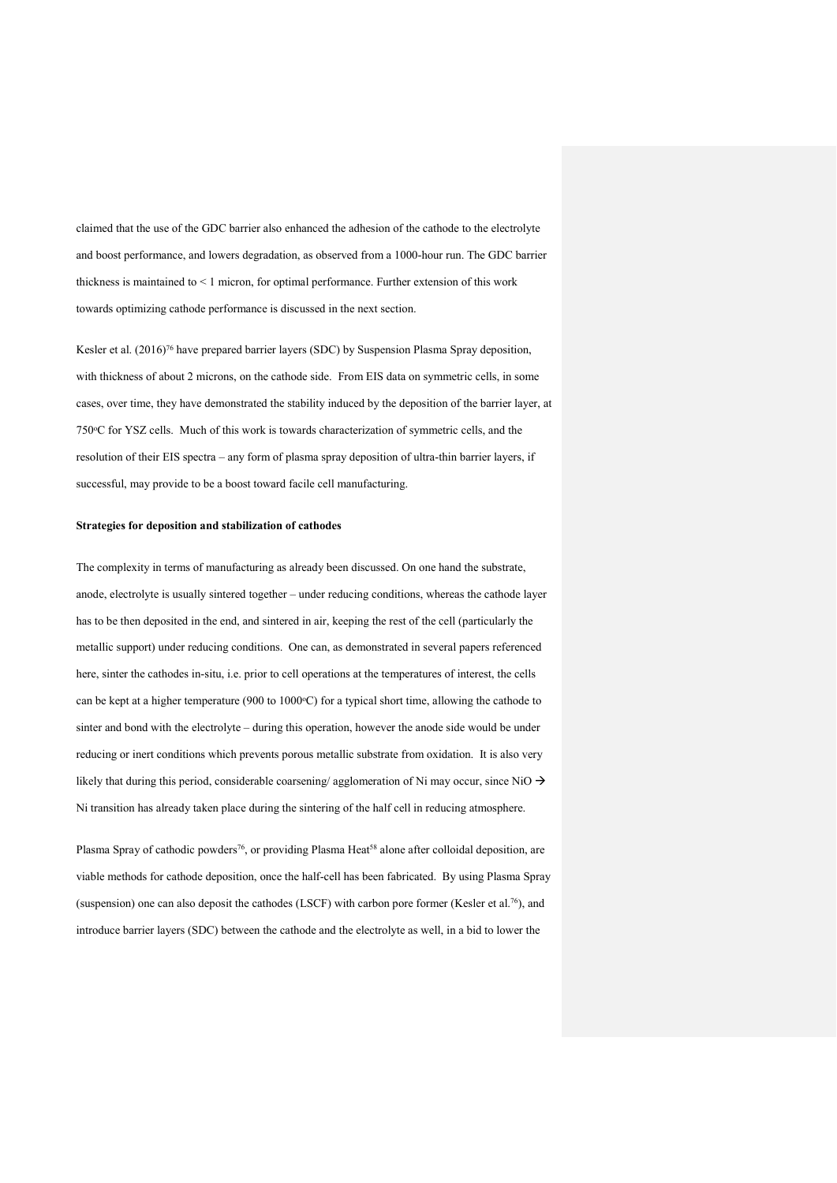claimed that the use of the GDC barrier also enhanced the adhesion of the cathode to the electrolyte and boost performance, and lowers degradation, as observed from a 1000-hour run. The GDC barrier thickness is maintained to < 1 micron, for optimal performance. Further extension of this work towards optimizing cathode performance is discussed in the next section.

Kesler et al. (2016)<sup>76</sup> have prepared barrier layers (SDC) by Suspension Plasma Spray deposition, with thickness of about 2 microns, on the cathode side. From EIS data on symmetric cells, in some cases, over time, they have demonstrated the stability induced by the deposition of the barrier layer, at 750o C for YSZ cells. Much of this work is towards characterization of symmetric cells, and the resolution of their EIS spectra – any form of plasma spray deposition of ultra-thin barrier layers, if successful, may provide to be a boost toward facile cell manufacturing.

#### **Strategies for deposition and stabilization of cathodes**

The complexity in terms of manufacturing as already been discussed. On one hand the substrate, anode, electrolyte is usually sintered together – under reducing conditions, whereas the cathode layer has to be then deposited in the end, and sintered in air, keeping the rest of the cell (particularly the metallic support) under reducing conditions. One can, as demonstrated in several papers referenced here, sinter the cathodes in-situ, i.e. prior to cell operations at the temperatures of interest, the cells can be kept at a higher temperature (900 to  $1000^{\circ}$ C) for a typical short time, allowing the cathode to sinter and bond with the electrolyte – during this operation, however the anode side would be under reducing or inert conditions which prevents porous metallic substrate from oxidation. It is also very likely that during this period, considerable coarsening/ agglomeration of Ni may occur, since NiO  $\rightarrow$ Ni transition has already taken place during the sintering of the half cell in reducing atmosphere.

Plasma Spray of cathodic powders<sup>76</sup>, or providing Plasma Heat<sup>58</sup> alone after colloidal deposition, are viable methods for cathode deposition, once the half-cell has been fabricated. By using Plasma Spray (suspension) one can also deposit the cathodes (LSCF) with carbon pore former (Kesler et al.76), and introduce barrier layers (SDC) between the cathode and the electrolyte as well, in a bid to lower the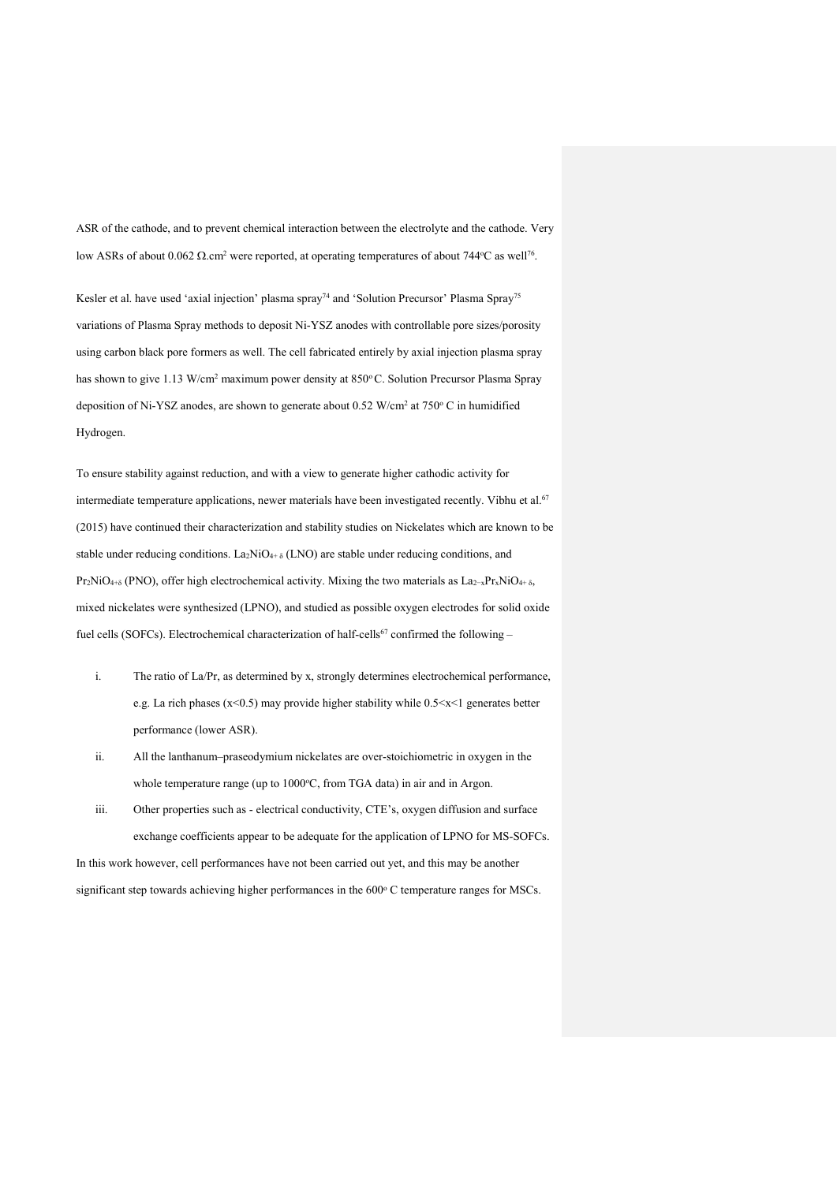ASR of the cathode, and to prevent chemical interaction between the electrolyte and the cathode. Very low ASRs of about 0.062 Ω.cm<sup>2</sup> were reported, at operating temperatures of about 744 °C as well<sup>76</sup>.

Kesler et al. have used 'axial injection' plasma spray<sup>74</sup> and 'Solution Precursor' Plasma Spray<sup>75</sup> variations of Plasma Spray methods to deposit Ni-YSZ anodes with controllable pore sizes/porosity using carbon black pore formers as well. The cell fabricated entirely by axial injection plasma spray has shown to give 1.13 W/cm<sup>2</sup> maximum power density at 850°C. Solution Precursor Plasma Spray deposition of Ni-YSZ anodes, are shown to generate about  $0.52$  W/cm<sup>2</sup> at  $750^{\circ}$  C in humidified Hydrogen.

To ensure stability against reduction, and with a view to generate higher cathodic activity for intermediate temperature applications, newer materials have been investigated recently. Vibhu et al.<sup>67</sup> (2015) have continued their characterization and stability studies on Nickelates which are known to be stable under reducing conditions. La<sub>2</sub>NiO<sub>4+  $\delta$ </sub> (LNO) are stable under reducing conditions, and  $Pr_2NiO_{4+\delta}$  (PNO), offer high electrochemical activity. Mixing the two materials as La<sub>2-x</sub>Pr<sub>x</sub>NiO<sub>4+ δ</sub>, mixed nickelates were synthesized (LPNO), and studied as possible oxygen electrodes for solid oxide fuel cells (SOFCs). Electrochemical characterization of half-cells<sup>67</sup> confirmed the following –

- i. The ratio of La/Pr, as determined by x, strongly determines electrochemical performance, e.g. La rich phases ( $x \le 0.5$ ) may provide higher stability while  $0.5 \le x \le 1$  generates better performance (lower ASR).
- ii. All the lanthanum–praseodymium nickelates are over-stoichiometric in oxygen in the whole temperature range (up to 1000°C, from TGA data) in air and in Argon.
- iii. Other properties such as electrical conductivity, CTE's, oxygen diffusion and surface exchange coefficients appear to be adequate for the application of LPNO for MS-SOFCs. In this work however, cell performances have not been carried out yet, and this may be another significant step towards achieving higher performances in the 600° C temperature ranges for MSCs.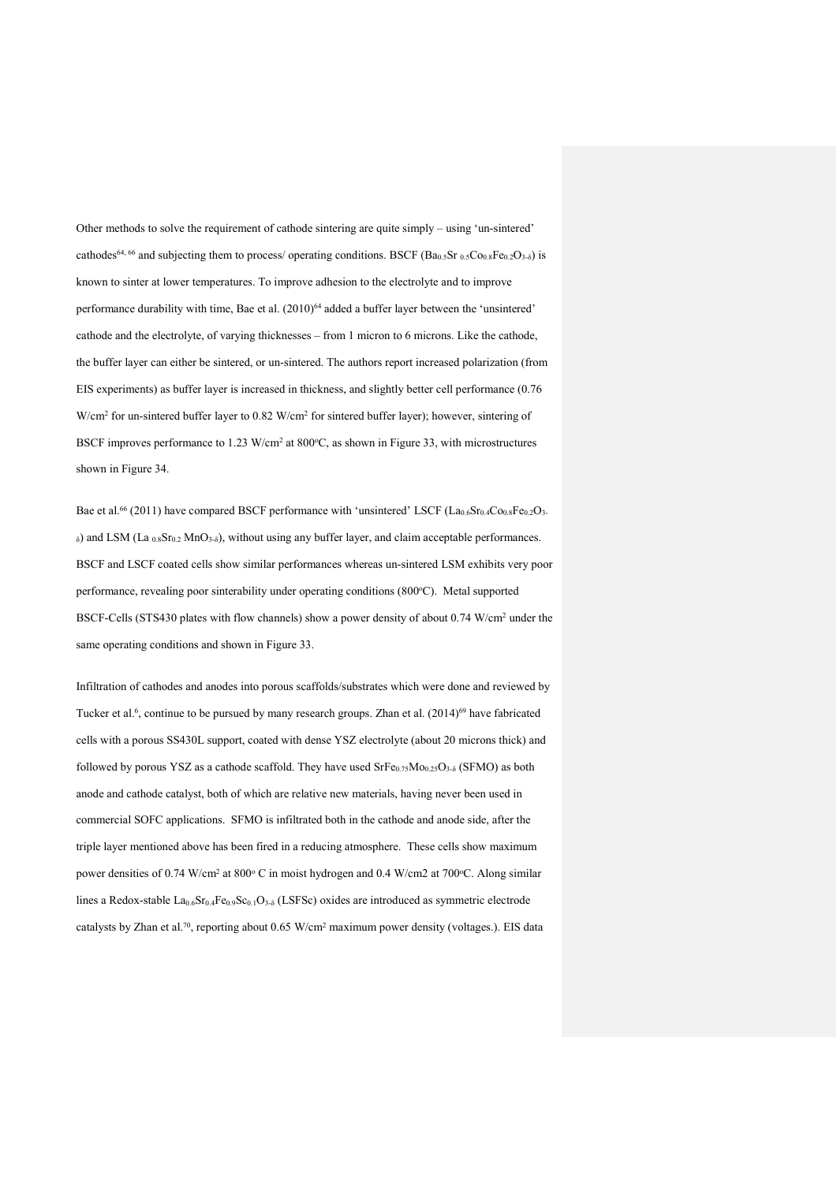Other methods to solve the requirement of cathode sintering are quite simply – using 'un-sintered' cathodes<sup>64, 66</sup> and subjecting them to process/ operating conditions. BSCF (Ba<sub>0.5</sub>Sr <sub>0.5</sub>Co<sub>0.8</sub>Fe<sub>0.2</sub>O<sub>3-δ</sub>) is known to sinter at lower temperatures. To improve adhesion to the electrolyte and to improve performance durability with time, Bae et al. (2010)<sup>64</sup> added a buffer layer between the 'unsintered' cathode and the electrolyte, of varying thicknesses – from 1 micron to 6 microns. Like the cathode, the buffer layer can either be sintered, or un-sintered. The authors report increased polarization (from EIS experiments) as buffer layer is increased in thickness, and slightly better cell performance (0.76 W/cm<sup>2</sup> for un-sintered buffer layer to 0.82 W/cm<sup>2</sup> for sintered buffer layer); however, sintering of BSCF improves performance to  $1.23 \text{ W/cm}^2$  at  $800^{\circ}\text{C}$ , as shown in Figure 33, with microstructures shown in Figure 34.

Bae et al.<sup>66</sup> (2011) have compared BSCF performance with 'unsintered' LSCF ( $La_{0.6}Sr_{0.4}Co_{0.8}Fe_{0.2}O_3$  $δ)$  and LSM (La  $0.8$ Sr $0.2$  MnO<sub>3</sub> $δ)$ , without using any buffer layer, and claim acceptable performances. BSCF and LSCF coated cells show similar performances whereas un-sintered LSM exhibits very poor performance, revealing poor sinterability under operating conditions (800°C). Metal supported BSCF-Cells (STS430 plates with flow channels) show a power density of about 0.74 W/cm<sup>2</sup> under the same operating conditions and shown in Figure 33.

Infiltration of cathodes and anodes into porous scaffolds/substrates which were done and reviewed by Tucker et al.<sup>6</sup>, continue to be pursued by many research groups. Zhan et al. (2014)<sup>69</sup> have fabricated cells with a porous SS430L support, coated with dense YSZ electrolyte (about 20 microns thick) and followed by porous YSZ as a cathode scaffold. They have used  $S$ rFe $_{0.75}$ Mo $_{0.25}$ O<sub>3-δ</sub> (SFMO) as both anode and cathode catalyst, both of which are relative new materials, having never been used in commercial SOFC applications. SFMO is infiltrated both in the cathode and anode side, after the triple layer mentioned above has been fired in a reducing atmosphere. These cells show maximum power densities of 0.74 W/cm<sup>2</sup> at 800° C in moist hydrogen and 0.4 W/cm2 at 700°C. Along similar lines a Redox-stable  $La_{0.6}Sr_{0.4}Fe_{0.9}Sc_{0.1}O_{3.5}$  (LSFSc) oxides are introduced as symmetric electrode catalysts by Zhan et al.70, reporting about 0.65 W/cm2 maximum power density (voltages.). EIS data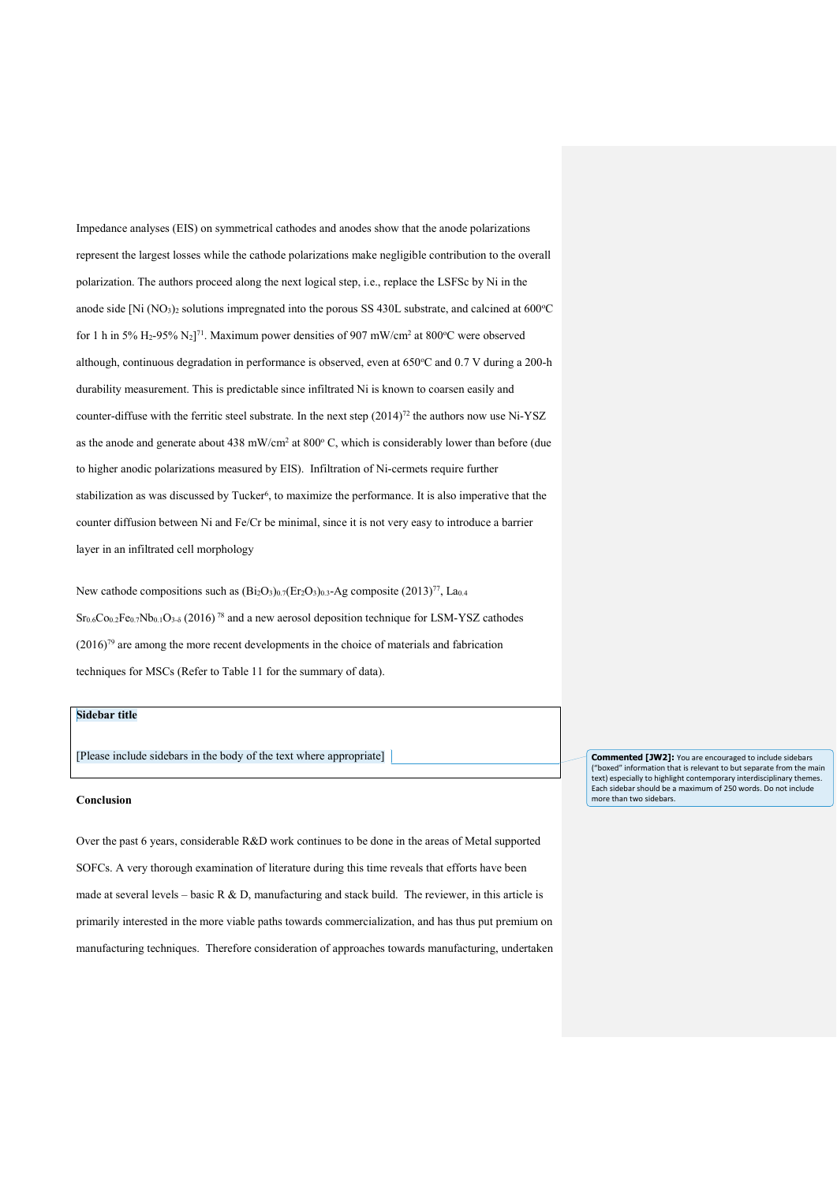Impedance analyses (EIS) on symmetrical cathodes and anodes show that the anode polarizations represent the largest losses while the cathode polarizations make negligible contribution to the overall polarization. The authors proceed along the next logical step, i.e., replace the LSFSc by Ni in the anode side [Ni  $(NO<sub>3</sub>)<sub>2</sub>$  solutions impregnated into the porous SS 430L substrate, and calcined at 600 $^{\circ}$ C for 1 h in 5% H<sub>2</sub>-95% N<sub>2</sub>]<sup>71</sup>. Maximum power densities of 907 mW/cm<sup>2</sup> at 800 °C were observed although, continuous degradation in performance is observed, even at 650°C and 0.7 V during a 200-h durability measurement. This is predictable since infiltrated Ni is known to coarsen easily and counter-diffuse with the ferritic steel substrate. In the next step  $(2014)^{72}$  the authors now use Ni-YSZ as the anode and generate about  $438$  mW/cm<sup>2</sup> at  $800^{\circ}$  C, which is considerably lower than before (due to higher anodic polarizations measured by EIS). Infiltration of Ni-cermets require further stabilization as was discussed by Tucker<sup>6</sup>, to maximize the performance. It is also imperative that the counter diffusion between Ni and Fe/Cr be minimal, since it is not very easy to introduce a barrier layer in an infiltrated cell morphology

New cathode compositions such as  $(Bi_2O_3)_{0.7}(Er_2O_3)_{0.3}$ -Ag composite  $(2013)^{77}$ , La<sub>0.4</sub>  $Sr_{0.6}Co_{0.2}Fe_{0.7}Nb_{0.1}O_{3.5}$  (2016)<sup>78</sup> and a new aerosol deposition technique for LSM-YSZ cathodes (2016)79 are among the more recent developments in the choice of materials and fabrication techniques for MSCs (Refer to Table 11 for the summary of data).

## **Sidebar title**

[Please include sidebars in the body of the text where appropriate]

#### **Conclusion**

Over the past 6 years, considerable R&D work continues to be done in the areas of Metal supported SOFCs. A very thorough examination of literature during this time reveals that efforts have been made at several levels – basic R & D, manufacturing and stack build. The reviewer, in this article is primarily interested in the more viable paths towards commercialization, and has thus put premium on manufacturing techniques. Therefore consideration of approaches towards manufacturing, undertaken **Commented [JW2]:** You are encouraged to include sidebars ("boxed" information that is relevant to but separate from the main text) especially to highlight contemporary interdisciplinary themes. Each sidebar should be a maximum of 250 words. Do not include more than two sidebars.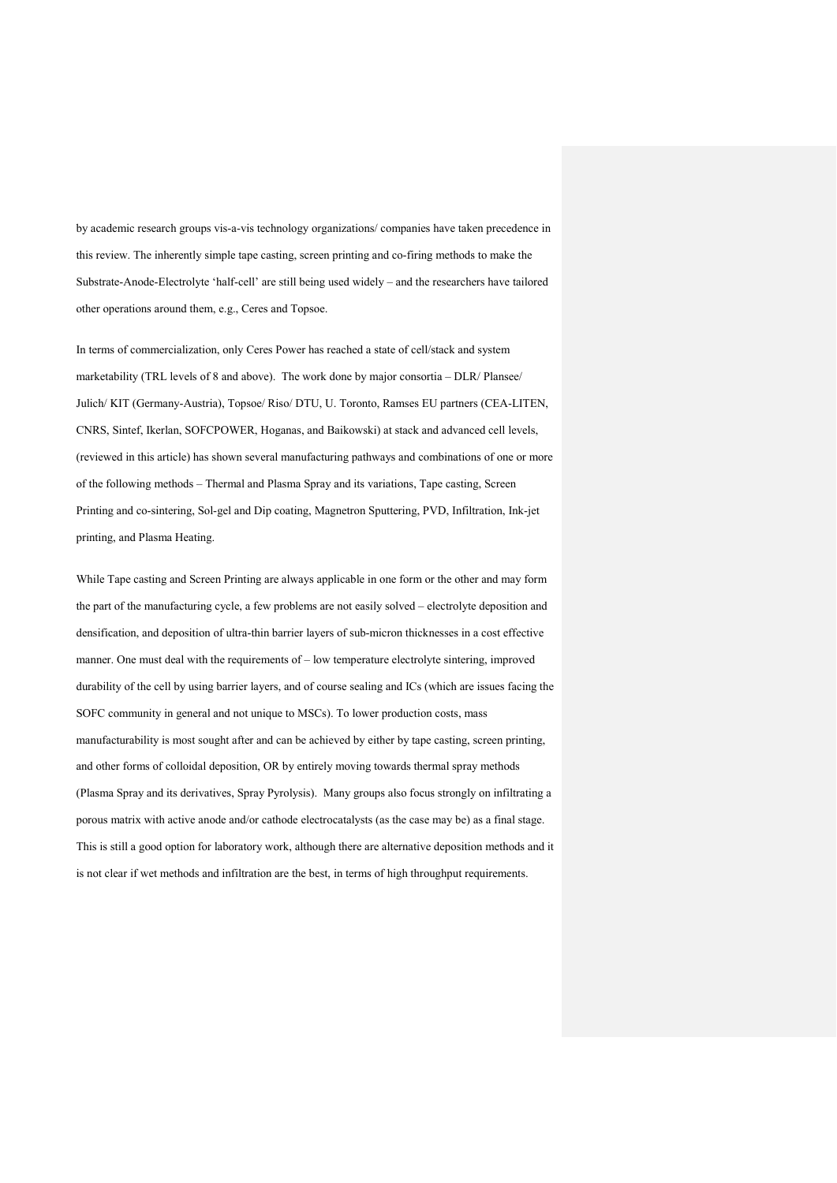by academic research groups vis-a-vis technology organizations/ companies have taken precedence in this review. The inherently simple tape casting, screen printing and co-firing methods to make the Substrate-Anode-Electrolyte 'half-cell' are still being used widely – and the researchers have tailored other operations around them, e.g., Ceres and Topsoe.

In terms of commercialization, only Ceres Power has reached a state of cell/stack and system marketability (TRL levels of 8 and above). The work done by major consortia – DLR/ Plansee/ Julich/ KIT (Germany-Austria), Topsoe/ Riso/ DTU, U. Toronto, Ramses EU partners (CEA-LITEN, CNRS, Sintef, Ikerlan, SOFCPOWER, Hoganas, and Baikowski) at stack and advanced cell levels, (reviewed in this article) has shown several manufacturing pathways and combinations of one or more of the following methods – Thermal and Plasma Spray and its variations, Tape casting, Screen Printing and co-sintering, Sol-gel and Dip coating, Magnetron Sputtering, PVD, Infiltration, Ink-jet printing, and Plasma Heating.

While Tape casting and Screen Printing are always applicable in one form or the other and may form the part of the manufacturing cycle, a few problems are not easily solved – electrolyte deposition and densification, and deposition of ultra-thin barrier layers of sub-micron thicknesses in a cost effective manner. One must deal with the requirements of – low temperature electrolyte sintering, improved durability of the cell by using barrier layers, and of course sealing and ICs (which are issues facing the SOFC community in general and not unique to MSCs). To lower production costs, mass manufacturability is most sought after and can be achieved by either by tape casting, screen printing, and other forms of colloidal deposition, OR by entirely moving towards thermal spray methods (Plasma Spray and its derivatives, Spray Pyrolysis). Many groups also focus strongly on infiltrating a porous matrix with active anode and/or cathode electrocatalysts (as the case may be) as a final stage. This is still a good option for laboratory work, although there are alternative deposition methods and it is not clear if wet methods and infiltration are the best, in terms of high throughput requirements.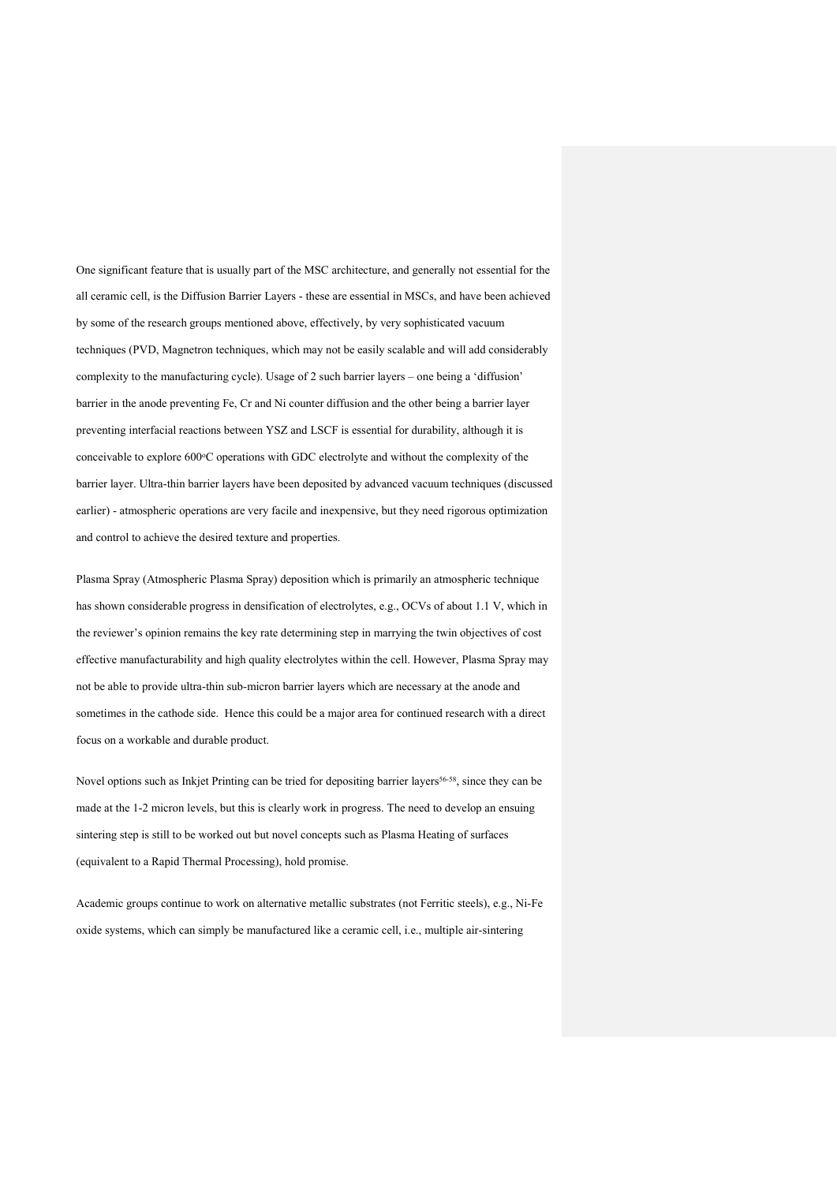One significant feature that is usually part of the MSC architecture, and generally not essential for the all ceramic cell, is the Diffusion Barrier Layers - these are essential in MSCs, and have been achieved by some of the research groups mentioned above, effectively, by very sophisticated vacuum techniques (PVD, Magnetron techniques, which may not be easily scalable and will add considerably complexity to the manufacturing cycle). Usage of 2 such barrier layers – one being a 'diffusion' barrier in the anode preventing Fe, Cr and Ni counter diffusion and the other being a barrier layer preventing interfacial reactions between YSZ and LSCF is essential for durability, although it is conceivable to explore 600°C operations with GDC electrolyte and without the complexity of the barrier layer. Ultra-thin barrier layers have been deposited by advanced vacuum techniques (discussed earlier) - atmospheric operations are very facile and inexpensive, but they need rigorous optimization and control to achieve the desired texture and properties.

Plasma Spray (Atmospheric Plasma Spray) deposition which is primarily an atmospheric technique has shown considerable progress in densification of electrolytes, e.g., OCVs of about 1.1 V, which in the reviewer's opinion remains the key rate determining step in marrying the twin objectives of cost effective manufacturability and high quality electrolytes within the cell. However, Plasma Spray may not be able to provide ultra-thin sub-micron barrier layers which are necessary at the anode and sometimes in the cathode side. Hence this could be a major area for continued research with a direct focus on a workable and durable product.

Novel options such as Inkjet Printing can be tried for depositing barrier layers<sup>56-58</sup>, since they can be made at the 1-2 micron levels, but this is clearly work in progress. The need to develop an ensuing sintering step is still to be worked out but novel concepts such as Plasma Heating of surfaces (equivalent to a Rapid Thermal Processing), hold promise.

Academic groups continue to work on alternative metallic substrates (not Ferritic steels), e.g., Ni-Fe oxide systems, which can simply be manufactured like a ceramic cell, i.e., multiple air-sintering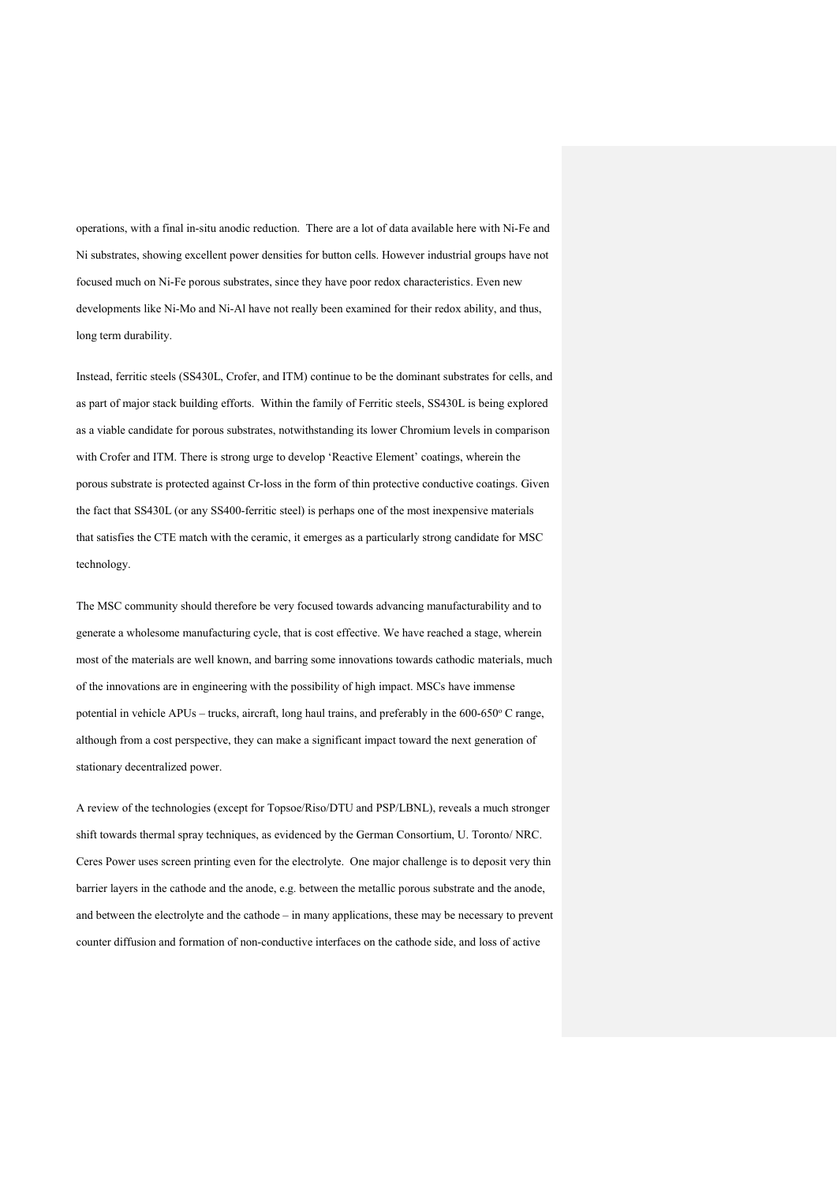operations, with a final in-situ anodic reduction. There are a lot of data available here with Ni-Fe and Ni substrates, showing excellent power densities for button cells. However industrial groups have not focused much on Ni-Fe porous substrates, since they have poor redox characteristics. Even new developments like Ni-Mo and Ni-Al have not really been examined for their redox ability, and thus, long term durability.

Instead, ferritic steels (SS430L, Crofer, and ITM) continue to be the dominant substrates for cells, and as part of major stack building efforts. Within the family of Ferritic steels, SS430L is being explored as a viable candidate for porous substrates, notwithstanding its lower Chromium levels in comparison with Crofer and ITM. There is strong urge to develop 'Reactive Element' coatings, wherein the porous substrate is protected against Cr-loss in the form of thin protective conductive coatings. Given the fact that SS430L (or any SS400-ferritic steel) is perhaps one of the most inexpensive materials that satisfies the CTE match with the ceramic, it emerges as a particularly strong candidate for MSC technology.

The MSC community should therefore be very focused towards advancing manufacturability and to generate a wholesome manufacturing cycle, that is cost effective. We have reached a stage, wherein most of the materials are well known, and barring some innovations towards cathodic materials, much of the innovations are in engineering with the possibility of high impact. MSCs have immense potential in vehicle APUs – trucks, aircraft, long haul trains, and preferably in the 600-650° C range, although from a cost perspective, they can make a significant impact toward the next generation of stationary decentralized power.

A review of the technologies (except for Topsoe/Riso/DTU and PSP/LBNL), reveals a much stronger shift towards thermal spray techniques, as evidenced by the German Consortium, U. Toronto/ NRC. Ceres Power uses screen printing even for the electrolyte. One major challenge is to deposit very thin barrier layers in the cathode and the anode, e.g. between the metallic porous substrate and the anode, and between the electrolyte and the cathode – in many applications, these may be necessary to prevent counter diffusion and formation of non-conductive interfaces on the cathode side, and loss of active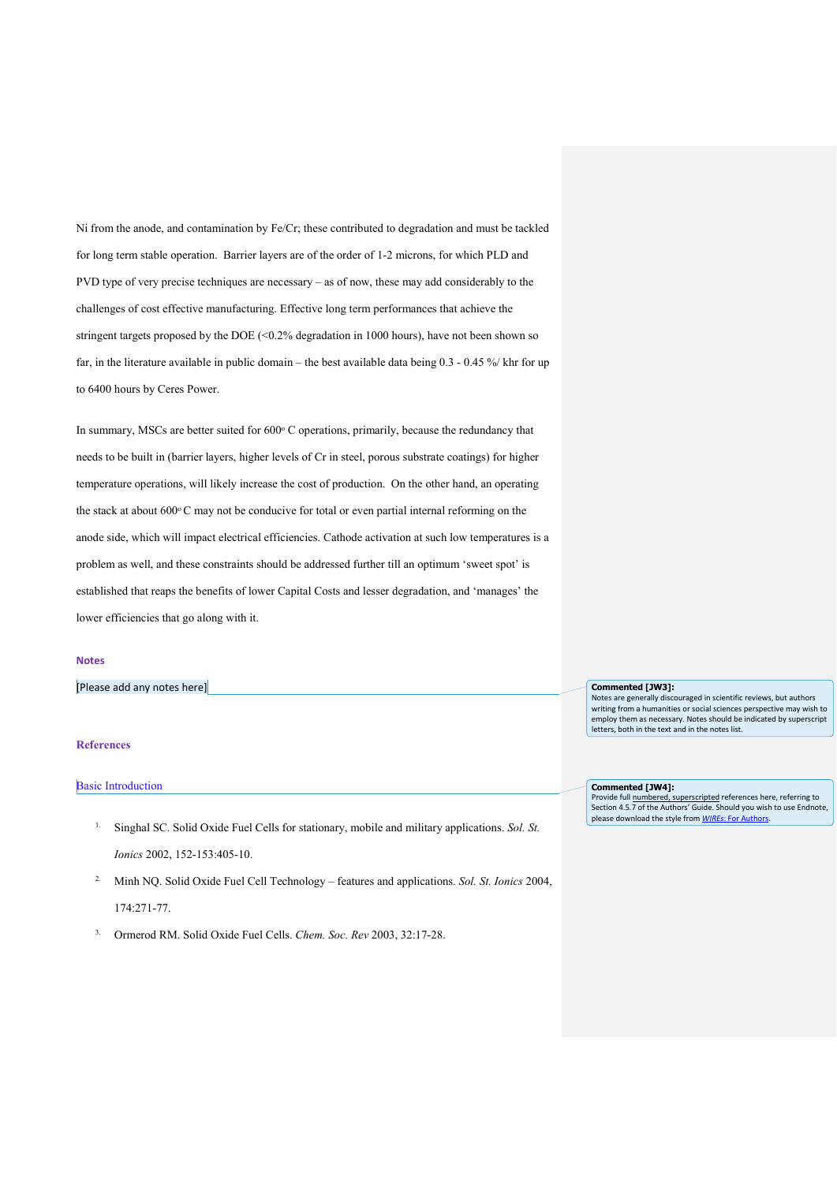Ni from the anode, and contamination by Fe/Cr; these contributed to degradation and must be tackled for long term stable operation. Barrier layers are of the order of 1-2 microns, for which PLD and PVD type of very precise techniques are necessary – as of now, these may add considerably to the challenges of cost effective manufacturing. Effective long term performances that achieve the stringent targets proposed by the DOE  $(< 0.2\%$  degradation in 1000 hours), have not been shown so far, in the literature available in public domain – the best available data being 0.3 - 0.45 %/ khr for up to 6400 hours by Ceres Power.

In summary, MSCs are better suited for  $600^\circ$  C operations, primarily, because the redundancy that needs to be built in (barrier layers, higher levels of Cr in steel, porous substrate coatings) for higher temperature operations, will likely increase the cost of production. On the other hand, an operating the stack at about 600°C may not be conducive for total or even partial internal reforming on the anode side, which will impact electrical efficiencies. Cathode activation at such low temperatures is a problem as well, and these constraints should be addressed further till an optimum 'sweet spot' is established that reaps the benefits of lower Capital Costs and lesser degradation, and 'manages' the lower efficiencies that go along with it.

#### **Notes**

[Please add any notes here]

### **References**

#### Basic Introduction

- 1. Singhal SC. Solid Oxide Fuel Cells for stationary, mobile and military applications. *Sol. St. Ionics* 2002, 152-153:405-10.
- 2. Minh NQ. Solid Oxide Fuel Cell Technology features and applications. *Sol. St. Ionics* 2004, 174:271-77.
- 3. Ormerod RM. Solid Oxide Fuel Cells. *Chem. Soc. Rev* 2003, 32:17-28.

## **Commented [JW3]:**

Notes are generally discouraged in scientific reviews, but authors writing from a humanities or social sciences perspective may wish to employ them as necessary. Notes should be indicated by superscript letters, both in the text and in the notes list.

**Commented [JW4]:** 

Provide full numbered, superscripted references here, referring to Section 4.5.7 of the Authors' Guide. Should you wish to use Endnote please download the style from *WIREs*: For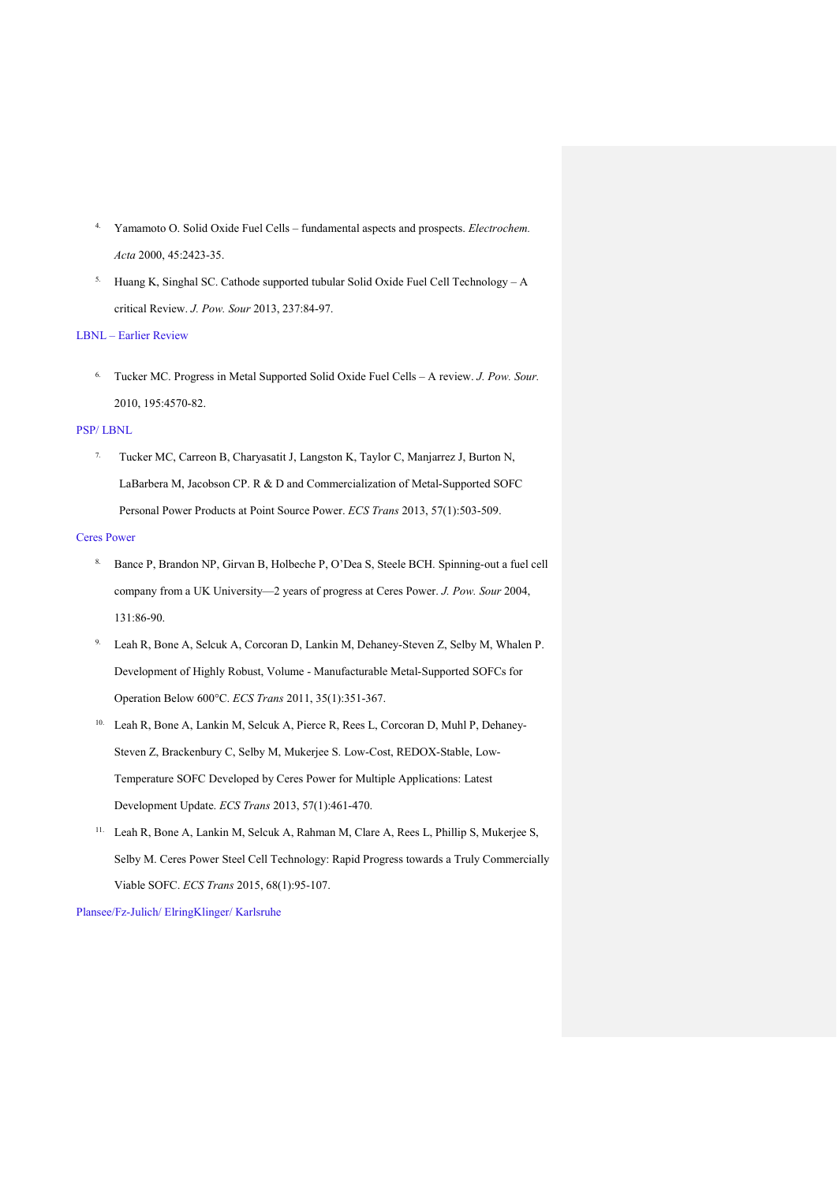- 4. Yamamoto O. Solid Oxide Fuel Cells fundamental aspects and prospects. *Electrochem. Acta* 2000, 45:2423-35.
- <sup>5.</sup> Huang K, Singhal SC. Cathode supported tubular Solid Oxide Fuel Cell Technology A critical Review. *J. Pow. Sour* 2013, 237:84-97.

## LBNL – Earlier Review

6. Tucker MC. Progress in Metal Supported Solid Oxide Fuel Cells – A review. *J. Pow. Sour.* 2010, 195:4570-82.

## PSP/ LBNL

7. Tucker MC, Carreon B, Charyasatit J, Langston K, Taylor C, Manjarrez J, Burton N, LaBarbera M, Jacobson CP. R & D and Commercialization of Metal-Supported SOFC Personal Power Products at Point Source Power. *ECS Trans* 2013, 57(1):503-509.

## Ceres Power

- 8. Bance P, Brandon NP, Girvan B, Holbeche P, O'Dea S, Steele BCH. Spinning-out a fuel cell company from a UK University—2 years of progress at Ceres Power. *J. Pow. Sour* 2004, 131:86-90.
- 9. Leah R, Bone A, Selcuk A, Corcoran D, Lankin M, Dehaney-Steven Z, Selby M, Whalen P. Development of Highly Robust, Volume - Manufacturable Metal-Supported SOFCs for Operation Below 600°C. *ECS Trans* 2011, 35(1):351-367.
- 10. Leah R, Bone A, Lankin M, Selcuk A, Pierce R, Rees L, Corcoran D, Muhl P, Dehaney-Steven Z, Brackenbury C, Selby M, Mukerjee S. Low-Cost, REDOX-Stable, Low-Temperature SOFC Developed by Ceres Power for Multiple Applications: Latest Development Update. *ECS Trans* 2013, 57(1):461-470.
- 11. Leah R, Bone A, Lankin M, Selcuk A, Rahman M, Clare A, Rees L, Phillip S, Mukerjee S, Selby M. Ceres Power Steel Cell Technology: Rapid Progress towards a Truly Commercially Viable SOFC. *ECS Trans* 2015, 68(1):95-107.

Plansee/Fz-Julich/ ElringKlinger/ Karlsruhe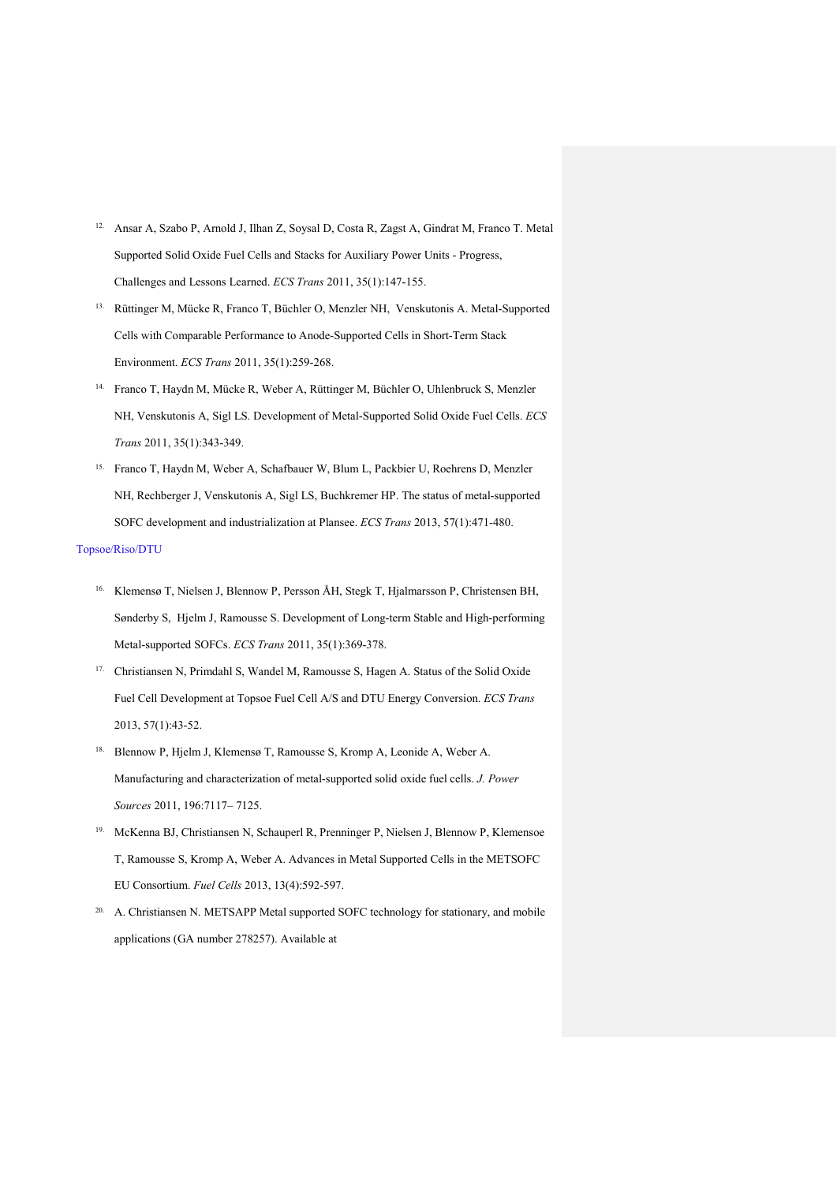- 12. Ansar A, Szabo P, Arnold J, Ilhan Z, Soysal D, Costa R, Zagst A, Gindrat M, Franco T. Metal Supported Solid Oxide Fuel Cells and Stacks for Auxiliary Power Units - Progress, Challenges and Lessons Learned. *ECS Trans* 2011, 35(1):147-155.
- 13. Rüttinger M, Mücke R, Franco T, Büchler O, Menzler NH, Venskutonis A. Metal-Supported Cells with Comparable Performance to Anode-Supported Cells in Short-Term Stack Environment. *ECS Trans* 2011, 35(1):259-268.
- 14. Franco T, Haydn M, Mücke R, Weber A, Rüttinger M, Büchler O, Uhlenbruck S, Menzler NH, Venskutonis A, Sigl LS. Development of Metal-Supported Solid Oxide Fuel Cells. *ECS Trans* 2011, 35(1):343-349.
- 15. Franco T, Haydn M, Weber A, Schafbauer W, Blum L, Packbier U, Roehrens D, Menzler NH, Rechberger J, Venskutonis A, Sigl LS, Buchkremer HP. The status of metal-supported SOFC development and industrialization at Plansee. *ECS Trans* 2013, 57(1):471-480.

## Topsoe/Riso/DTU

- 16. Klemensø T, Nielsen J, Blennow P, Persson ÅH, Stegk T, Hjalmarsson P, Christensen BH, Sønderby S, Hjelm J, Ramousse S. Development of Long-term Stable and High-performing Metal-supported SOFCs. *ECS Trans* 2011, 35(1):369-378.
- 17. Christiansen N, Primdahl S, Wandel M, Ramousse S, Hagen A. Status of the Solid Oxide Fuel Cell Development at Topsoe Fuel Cell A/S and DTU Energy Conversion. *ECS Trans* 2013, 57(1):43-52.
- 18. Blennow P, Hjelm J, Klemensø T, Ramousse S, Kromp A, Leonide A, Weber A. Manufacturing and characterization of metal-supported solid oxide fuel cells. *J. Power Sources* 2011, 196:7117– 7125.
- 19. McKenna BJ, Christiansen N, Schauperl R, Prenninger P, Nielsen J, Blennow P, Klemensoe T, Ramousse S, Kromp A, Weber A. Advances in Metal Supported Cells in the METSOFC EU Consortium. *Fuel Cells* 2013, 13(4):592-597.
- <sup>20.</sup> A. Christiansen N. METSAPP Metal supported SOFC technology for stationary, and mobile applications (GA number 278257). Available at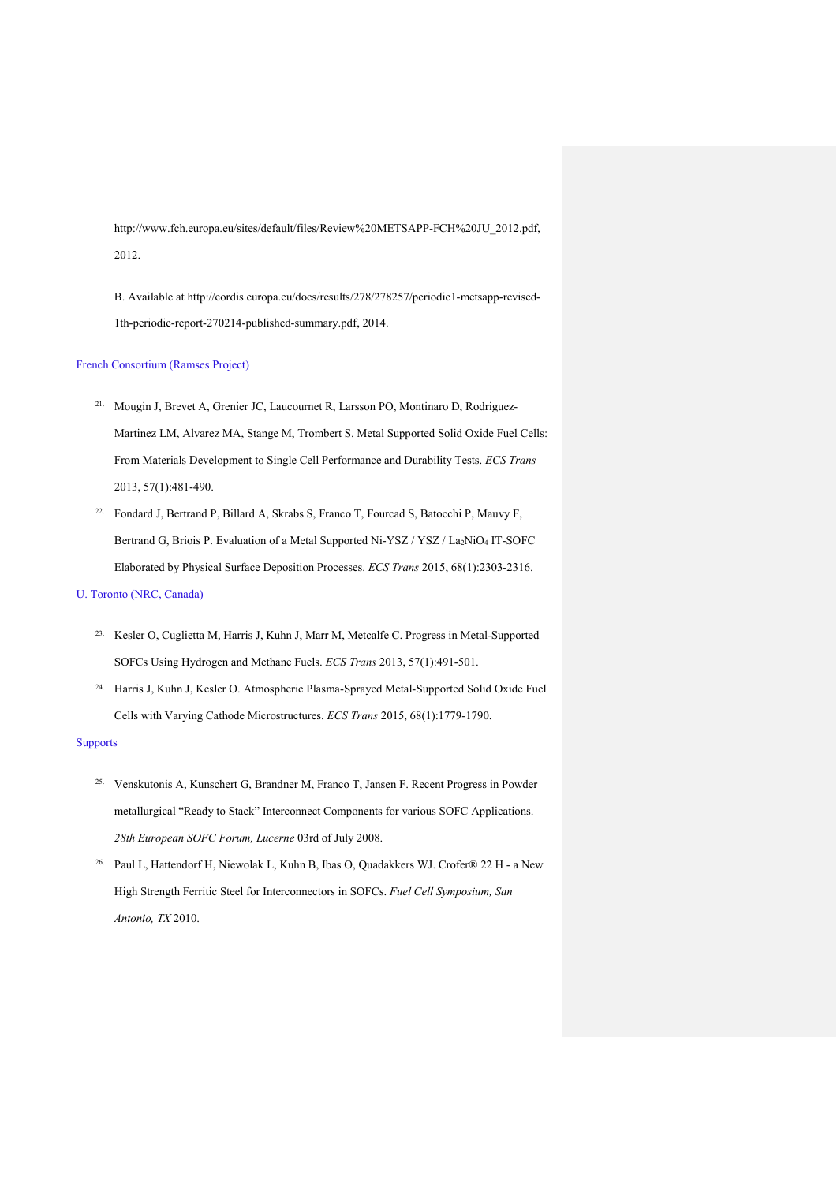[http://www.fch.europa.eu/sites/default/files/Review%20METSAPP-FCH%20JU\\_2012.pdf,](http://www.fch.europa.eu/sites/default/files/Review%20METSAPP-FCH%20JU_2012.pdf) 2012.

B. Available at [http://cordis.europa.eu/docs/results/278/278257/periodic1-metsapp-revised-](http://cordis.europa.eu/docs/results/278/278257/periodic1-metsapp-revised-1th-periodic-report-270214-published-summary.pdf)[1th-periodic-report-270214-published-summary.pdf,](http://cordis.europa.eu/docs/results/278/278257/periodic1-metsapp-revised-1th-periodic-report-270214-published-summary.pdf) 2014.

## French Consortium (Ramses Project)

- 21. Mougin J, Brevet A, Grenier JC, Laucournet R, Larsson PO, Montinaro D, Rodriguez-Martinez LM, Alvarez MA, Stange M, Trombert S. Metal Supported Solid Oxide Fuel Cells: From Materials Development to Single Cell Performance and Durability Tests. *ECS Trans* 2013, 57(1):481-490.
- 22. Fondard J, Bertrand P, Billard A, Skrabs S, Franco T, Fourcad S, Batocchi P, Mauvy F, Bertrand G, Briois P. Evaluation of a Metal Supported Ni-YSZ / YSZ / La2NiO4 IT-SOFC Elaborated by Physical Surface Deposition Processes. *ECS Trans* 2015, 68(1):2303-2316.

## U. Toronto (NRC, Canada)

- 23. Kesler O, Cuglietta M, Harris J, Kuhn J, Marr M, Metcalfe C. Progress in Metal-Supported SOFCs Using Hydrogen and Methane Fuels. *ECS Trans* 2013, 57(1):491-501.
- 24. Harris J, Kuhn J, Kesler O. Atmospheric Plasma-Sprayed Metal-Supported Solid Oxide Fuel Cells with Varying Cathode Microstructures. *ECS Trans* 2015, 68(1):1779-1790.

### Supports

- 25. Venskutonis A, Kunschert G, Brandner M, Franco T, Jansen F. Recent Progress in Powder metallurgical "Ready to Stack" Interconnect Components for various SOFC Applications. *28th European SOFC Forum, Lucerne* 03rd of July 2008.
- 26. Paul L, Hattendorf H, Niewolak L, Kuhn B, Ibas O, Quadakkers WJ. Crofer® 22 H a New High Strength Ferritic Steel for Interconnectors in SOFCs. *Fuel Cell Symposium, San Antonio, TX* 2010.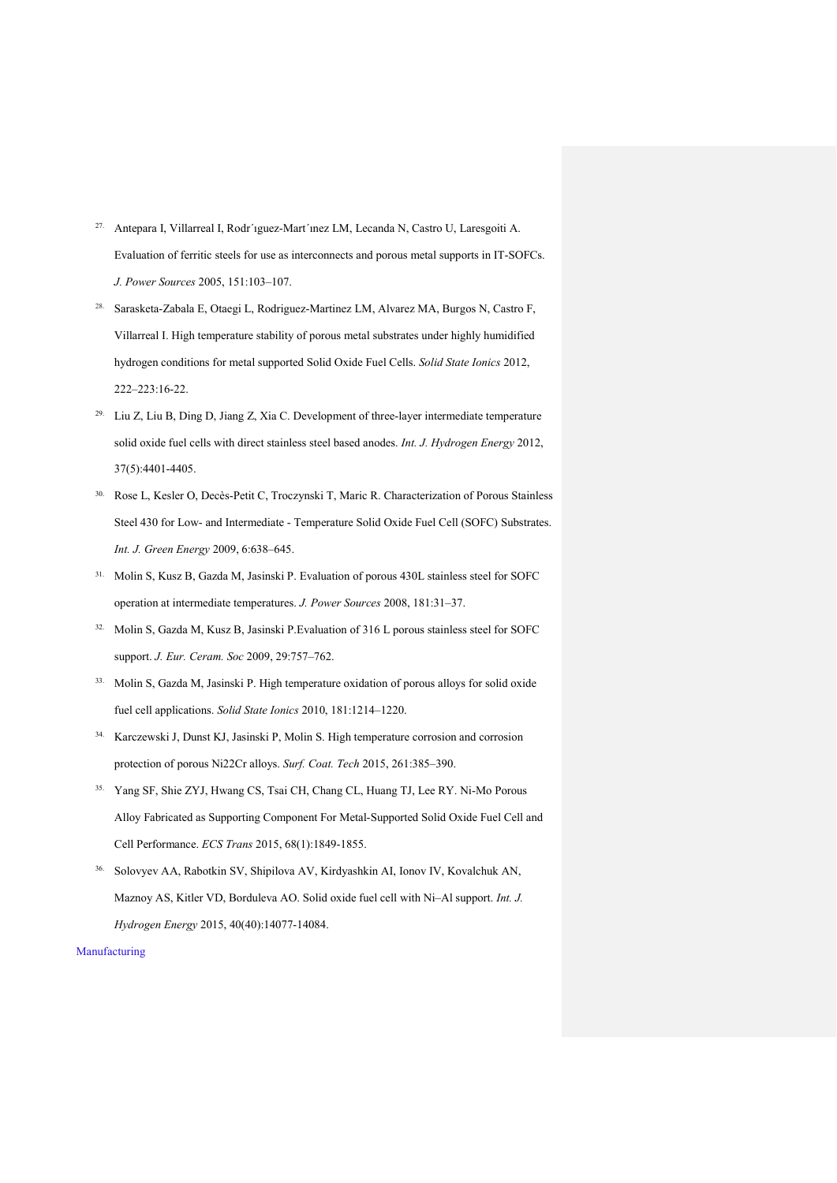- 27. Antepara I, Villarreal I, Rodr´ıguez-Mart´ınez LM, Lecanda N, Castro U, Laresgoiti A. Evaluation of ferritic steels for use as interconnects and porous metal supports in IT-SOFCs. *J. Power Sources* 2005, 151:103–107.
- 28. Sarasketa-Zabala E, Otaegi L, Rodriguez-Martinez LM, Alvarez MA, Burgos N, Castro F, Villarreal I. High temperature stability of porous metal substrates under highly humidified hydrogen conditions for metal supported Solid Oxide Fuel Cells. *Solid State Ionics* 2012, 222–223:16-22.
- 29. Liu Z, Liu B, Ding D, Jiang Z, Xia C. Development of three-layer intermediate temperature solid oxide fuel cells with direct stainless steel based anodes. *Int. J. Hydrogen Energy* 2012, 37(5):4401-4405.
- 30. Rose L, Kesler O, Decès-Petit C, Troczynski T, Maric R. Characterization of Porous Stainless Steel 430 for Low- and Intermediate - Temperature Solid Oxide Fuel Cell (SOFC) Substrates. *Int. J. Green Energy* 2009, 6:638–645.
- 31. Molin S, Kusz B, Gazda M, Jasinski P. Evaluation of porous 430L stainless steel for SOFC operation at intermediate temperatures. *J. Power Sources* 2008, 181:31–37.
- 32. Molin S, Gazda M, Kusz B, Jasinski P.Evaluation of 316 L porous stainless steel for SOFC support. *J. Eur. Ceram. Soc* 2009, 29:757–762.
- 33. Molin S, Gazda M, Jasinski P. High temperature oxidation of porous alloys for solid oxide fuel cell applications. *Solid State Ionics* 2010, 181:1214–1220.
- 34. Karczewski J, Dunst KJ, Jasinski P, Molin S. High temperature corrosion and corrosion protection of porous Ni22Cr alloys. *Surf. Coat. Tech* 2015, 261:385–390.
- 35. Yang SF, Shie ZYJ, Hwang CS, Tsai CH, Chang CL, Huang TJ, Lee RY. Ni-Mo Porous Alloy Fabricated as Supporting Component For Metal-Supported Solid Oxide Fuel Cell and Cell Performance. *ECS Trans* 2015, 68(1):1849-1855.
- 36. Solovyev AA, Rabotkin SV, Shipilova AV, Kirdyashkin AI, Ionov IV, Kovalchuk AN, Maznoy AS, Kitler VD, Borduleva AO. Solid oxide fuel cell with Ni–Al support. *Int. J. Hydrogen Energy* 2015, 40(40):14077-14084.

## Manufacturing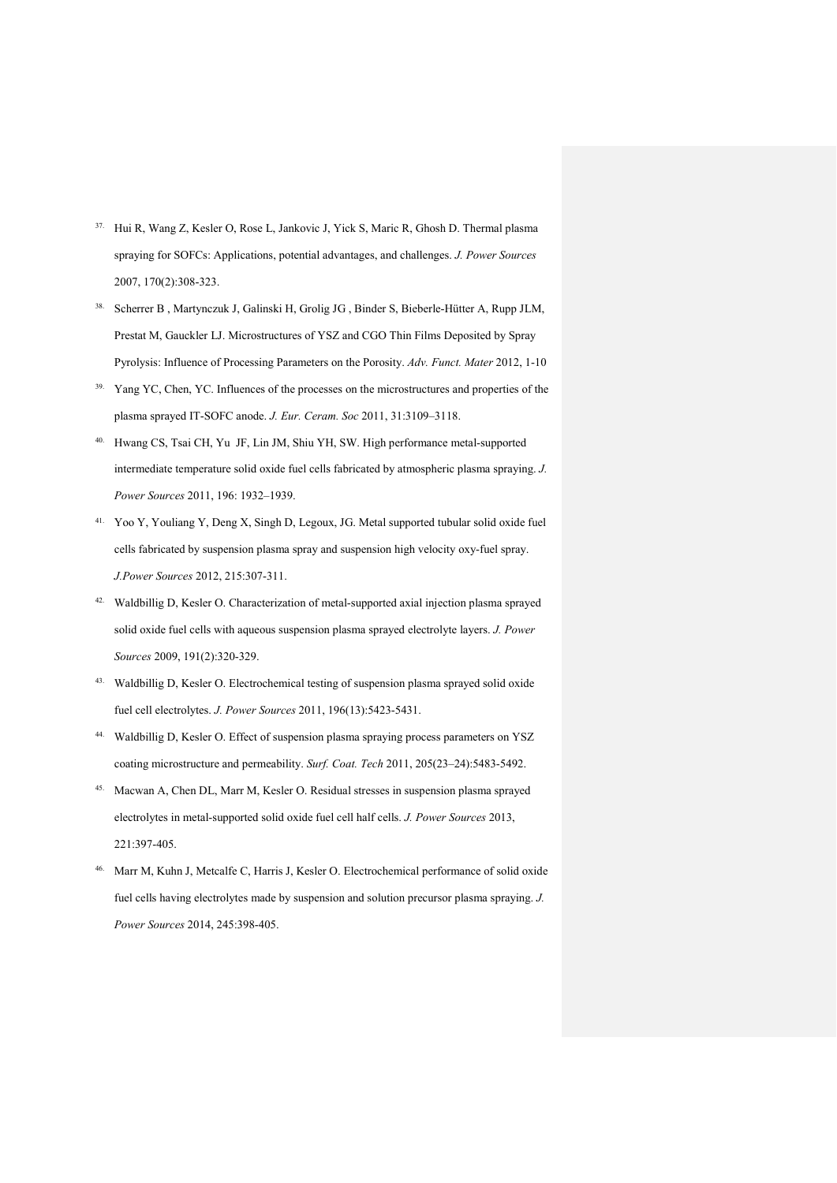- 37. Hui R, Wang Z, Kesler O, Rose L, Jankovic J, Yick S, Maric R, Ghosh D. Thermal plasma spraying for SOFCs: Applications, potential advantages, and challenges. *J. Power Sources* 2007, 170(2):308-323.
- 38. Scherrer B , Martynczuk J, Galinski H, Grolig JG , Binder S, Bieberle-Hütter A, Rupp JLM, Prestat M, Gauckler LJ. Microstructures of YSZ and CGO Thin Films Deposited by Spray Pyrolysis: Influence of Processing Parameters on the Porosity. *Adv. Funct. Mater* 2012, 1-10
- <sup>39.</sup> Yang YC, Chen, YC. Influences of the processes on the microstructures and properties of the plasma sprayed IT-SOFC anode. *J. Eur. Ceram. Soc* 2011, 31:3109–3118.
- 40. Hwang CS, Tsai CH, Yu JF, Lin JM, Shiu YH, SW. High performance metal-supported intermediate temperature solid oxide fuel cells fabricated by atmospheric plasma spraying. *J. Power Sources* 2011, 196: 1932–1939.
- 41. Yoo Y, Youliang Y, Deng X, Singh D, Legoux, JG. Metal supported tubular solid oxide fuel cells fabricated by suspension plasma spray and suspension high velocity oxy-fuel spray. *J.Power Sources* 2012, 215:307-311.
- 42. Waldbillig D, Kesler O. Characterization of metal-supported axial injection plasma sprayed solid oxide fuel cells with aqueous suspension plasma sprayed electrolyte layers. *J. Power Sources* 2009, 191(2):320-329.
- 43. Waldbillig D, Kesler O. Electrochemical testing of suspension plasma sprayed solid oxide fuel cell electrolytes. *J. Power Sources* 2011, 196(13):5423-5431.
- 44. Waldbillig D, Kesler O. Effect of suspension plasma spraying process parameters on YSZ coating microstructure and permeability. *Surf. Coat. Tech* 2011, 205(23–24):5483-5492.
- 45. Macwan A, Chen DL, Marr M, Kesler O. Residual stresses in suspension plasma sprayed electrolytes in metal-supported solid oxide fuel cell half cells. *J. Power Sources* 2013, 221:397-405.
- 46. Marr M, Kuhn J, Metcalfe C, Harris J, Kesler O. Electrochemical performance of solid oxide fuel cells having electrolytes made by suspension and solution precursor plasma spraying. *J. Power Sources* 2014, 245:398-405.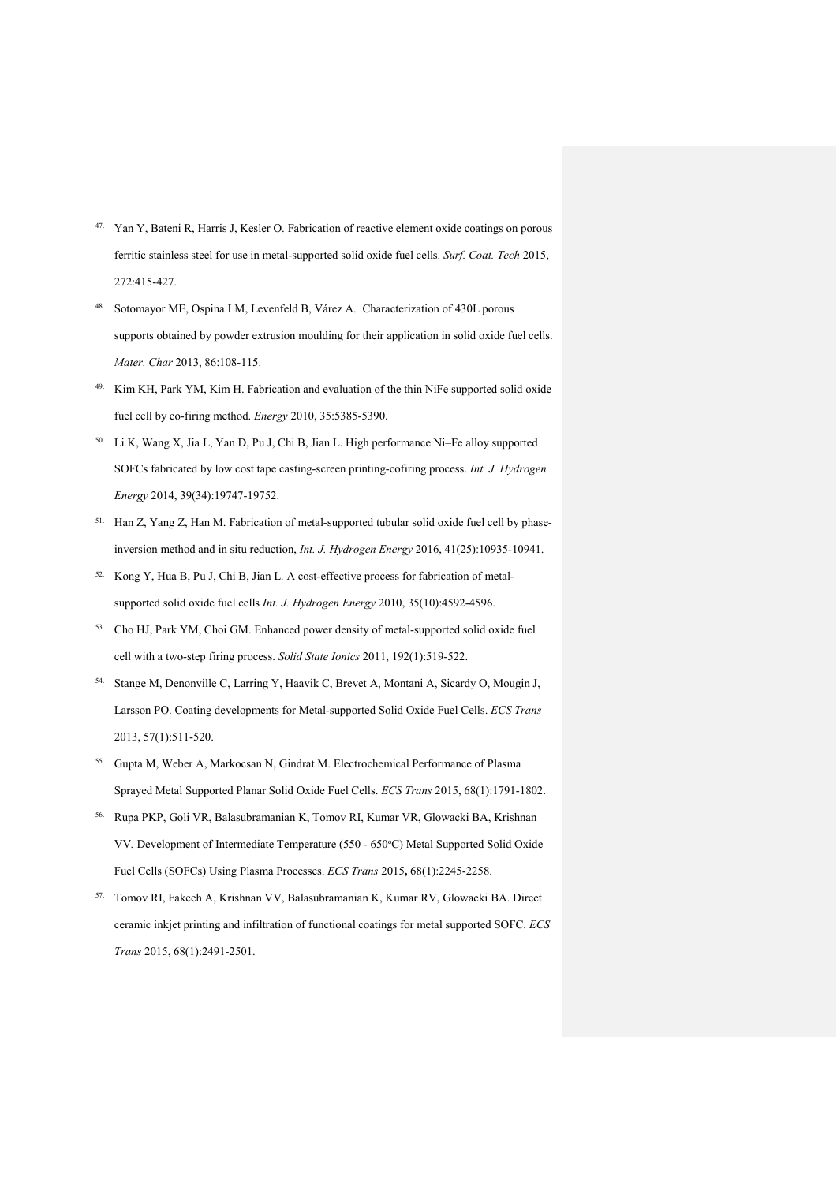- 47. Yan Y, Bateni R, Harris J, Kesler O. Fabrication of reactive element oxide coatings on porous ferritic stainless steel for use in metal-supported solid oxide fuel cells. *Surf. Coat. Tech* 2015, 272:415-427.
- 48. Sotomayor ME, Ospina LM, Levenfeld B, Várez A. Characterization of 430L porous supports obtained by powder extrusion moulding for their application in solid oxide fuel cells. *Mater. Char* 2013, 86:108-115.
- 49. Kim KH, Park YM, Kim H. Fabrication and evaluation of the thin NiFe supported solid oxide fuel cell by co-firing method. *Energy* 2010, 35:5385-5390.
- 50. Li K, Wang X, Jia L, Yan D, Pu J, Chi B, Jian L. High performance Ni–Fe alloy supported SOFCs fabricated by low cost tape casting-screen printing-cofiring process. *Int. J. Hydrogen Energy* 2014, 39(34):19747-19752.
- 51. Han Z, Yang Z, Han M. Fabrication of metal-supported tubular solid oxide fuel cell by phaseinversion method and in situ reduction, *Int. J. Hydrogen Energy* 2016, 41(25):10935-10941.
- 52. Kong Y, Hua B, Pu J, Chi B, Jian L. A cost-effective process for fabrication of metalsupported solid oxide fuel cells *Int. J. Hydrogen Energy* 2010, 35(10):4592-4596.
- 53. Cho HJ, Park YM, Choi GM. Enhanced power density of metal-supported solid oxide fuel cell with a two-step firing process. *Solid State Ionics* 2011, 192(1):519-522.
- 54. Stange M, Denonville C, Larring Y, Haavik C, Brevet A, Montani A, Sicardy O, Mougin J, Larsson PO. Coating developments for Metal-supported Solid Oxide Fuel Cells. *ECS Trans* 2013, 57(1):511-520.
- 55. Gupta M, Weber A, Markocsan N, Gindrat M. Electrochemical Performance of Plasma Sprayed Metal Supported Planar Solid Oxide Fuel Cells. *ECS Trans* 2015, 68(1):1791-1802.
- 56. Rupa PKP, Goli VR, Balasubramanian K, Tomov RI, Kumar VR, Glowacki BA, Krishnan VV. Development of Intermediate Temperature (550 - 650°C) Metal Supported Solid Oxide Fuel Cells (SOFCs) Using Plasma Processes. *ECS Trans* 2015**,** 68(1):2245-2258.
- 57. Tomov RI, Fakeeh A, Krishnan VV, Balasubramanian K, Kumar RV, Glowacki BA. Direct ceramic inkjet printing and infiltration of functional coatings for metal supported SOFC. *ECS Trans* 2015, 68(1):2491-2501.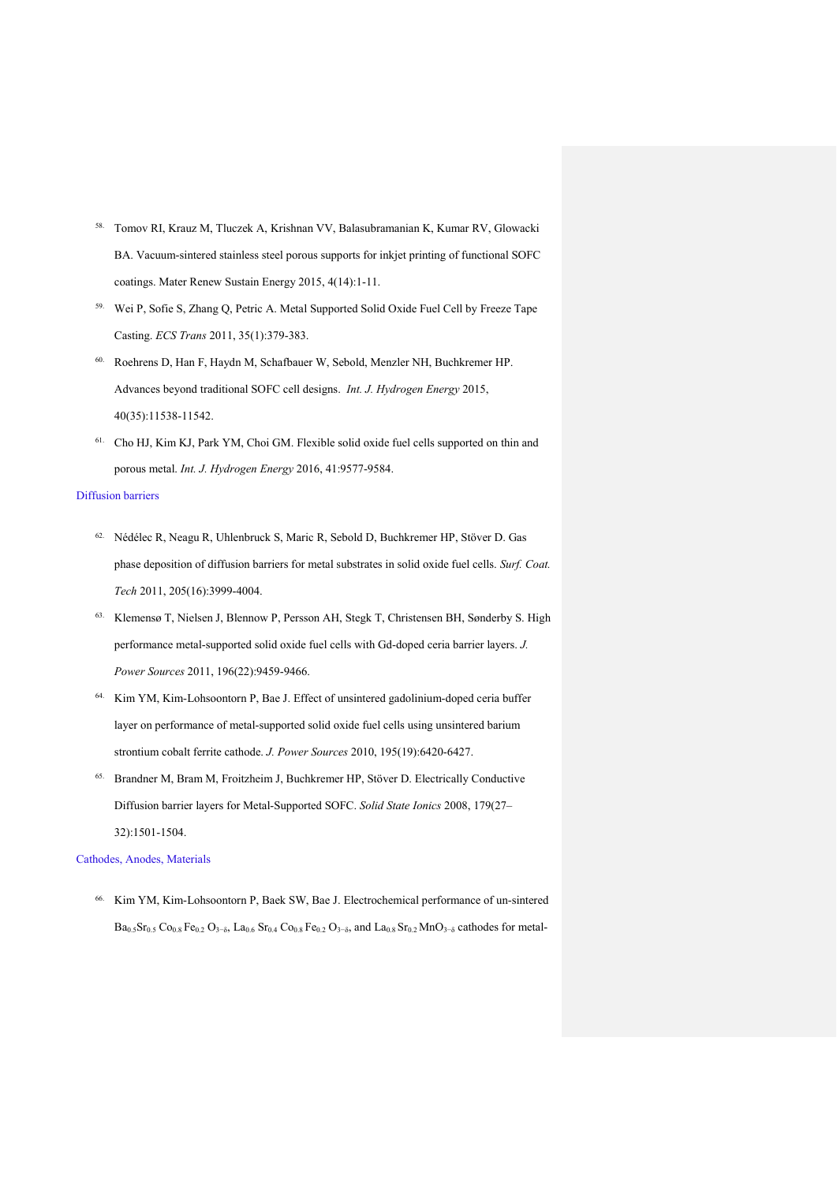- 58. Tomov RI, Krauz M, Tluczek A, Krishnan VV, Balasubramanian K, Kumar RV, Glowacki BA. Vacuum-sintered stainless steel porous supports for inkjet printing of functional SOFC coatings. Mater Renew Sustain Energy 2015, 4(14):1-11.
- 59. Wei P, Sofie S, Zhang Q, Petric A. Metal Supported Solid Oxide Fuel Cell by Freeze Tape Casting. *ECS Trans* 2011, 35(1):379-383.
- 60. Roehrens D, Han F, Haydn M, Schafbauer W, Sebold, Menzler NH, Buchkremer HP. Advances beyond traditional SOFC cell designs. *Int. J. Hydrogen Energy* 2015, 40(35):11538-11542.
- 61. Cho HJ, Kim KJ, Park YM, Choi GM. Flexible solid oxide fuel cells supported on thin and porous metal. *Int. J. Hydrogen Energy* 2016, 41:9577-9584.

#### Diffusion barriers

- 62. Nédélec R, Neagu R, Uhlenbruck S, Maric R, Sebold D, Buchkremer HP, Stöver D. Gas phase deposition of diffusion barriers for metal substrates in solid oxide fuel cells. *Surf. Coat. Tech* 2011, 205(16):3999-4004.
- 63. Klemensø T, Nielsen J, Blennow P, Persson AH, Stegk T, Christensen BH, Sønderby S. High performance metal-supported solid oxide fuel cells with Gd-doped ceria barrier layers. *J. Power Sources* 2011, 196(22):9459-9466.
- 64. Kim YM, Kim-Lohsoontorn P, Bae J. Effect of unsintered gadolinium-doped ceria buffer layer on performance of metal-supported solid oxide fuel cells using unsintered barium strontium cobalt ferrite cathode. *J. Power Sources* 2010, 195(19):6420-6427.
- 65. Brandner M, Bram M, Froitzheim J, Buchkremer HP, Stöver D. Electrically Conductive Diffusion barrier layers for Metal-Supported SOFC. *Solid State Ionics* 2008, 179(27– 32):1501-1504.

#### Cathodes, Anodes, Materials

66. Kim YM, Kim-Lohsoontorn P, Baek SW, Bae J. Electrochemical performance of un-sintered  $Ba_{0.5}Sr_{0.5} Co_{0.8} Fe_{0.2} O_{3-\delta}$ , La<sub>0.6</sub> Sr<sub>0.4</sub> Co<sub>0.8</sub> Fe<sub>0.2</sub> O<sub>3</sub>-<sub>δ</sub>, and La<sub>0.8</sub> Sr<sub>0.2</sub> MnO<sub>3</sub>-<sub>δ</sub> cathodes for metal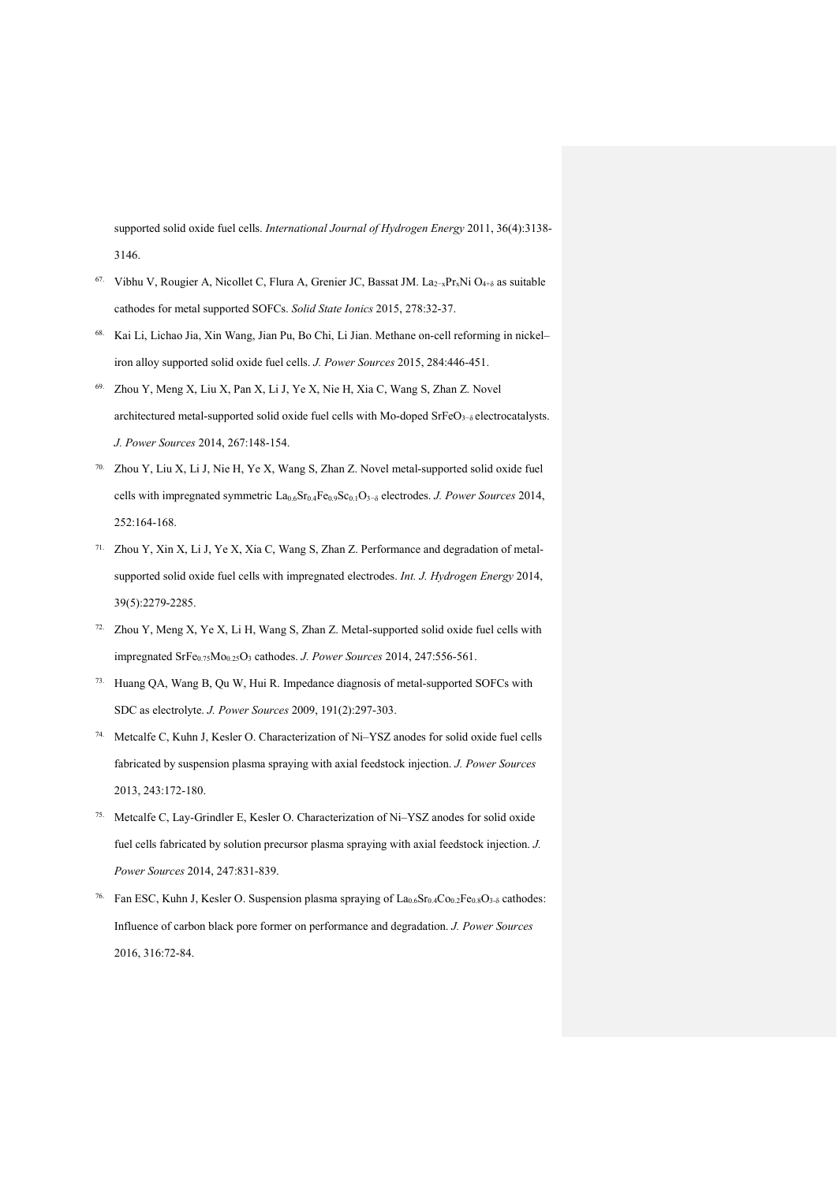supported solid oxide fuel cells. *International Journal of Hydrogen Energy* 2011, 36(4):3138- 3146.

- 67. Vibhu V, Rougier A, Nicollet C, Flura A, Grenier JC, Bassat JM. La2−xPrxNi O4+δ as suitable cathodes for metal supported SOFCs. *Solid State Ionics* 2015, 278:32-37.
- 68. Kai Li, Lichao Jia, Xin Wang, Jian Pu, Bo Chi, Li Jian. Methane on-cell reforming in nickel– iron alloy supported solid oxide fuel cells. *J. Power Sources* 2015, 284:446-451.
- 69. Zhou Y, Meng X, Liu X, Pan X, Li J, Ye X, Nie H, Xia C, Wang S, Zhan Z. Novel architectured metal-supported solid oxide fuel cells with Mo-doped SrFeO<sub>3</sub>−<sub>δ</sub> electrocatalysts. *J. Power Sources* 2014, 267:148-154.
- 70. Zhou Y, Liu X, Li J, Nie H, Ye X, Wang S, Zhan Z. Novel metal-supported solid oxide fuel cells with impregnated symmetric La0.6Sr0.4Fe0.9Sc0.1O3−δ electrodes. *J. Power Sources* 2014, 252:164-168.
- 71. Zhou Y, Xin X, Li J, Ye X, Xia C, Wang S, Zhan Z. Performance and degradation of metalsupported solid oxide fuel cells with impregnated electrodes. *Int. J. Hydrogen Energy* 2014, 39(5):2279-2285.
- 72. Zhou Y, Meng X, Ye X, Li H, Wang S, Zhan Z. Metal-supported solid oxide fuel cells with impregnated SrFe0.75Mo0.25O3 cathodes. *J. Power Sources* 2014, 247:556-561.
- 73. Huang QA, Wang B, Qu W, Hui R. Impedance diagnosis of metal-supported SOFCs with SDC as electrolyte. *J. Power Sources* 2009, 191(2):297-303.
- 74. Metcalfe C, Kuhn J, Kesler O. Characterization of Ni–YSZ anodes for solid oxide fuel cells fabricated by suspension plasma spraying with axial feedstock injection. *J. Power Sources*  2013, 243:172-180.
- 75. Metcalfe C, Lay-Grindler E, Kesler O. Characterization of Ni–YSZ anodes for solid oxide fuel cells fabricated by solution precursor plasma spraying with axial feedstock injection. *J. Power Sources* 2014, 247:831-839.
- <sup>76.</sup> Fan ESC, Kuhn J, Kesler O. Suspension plasma spraying of La<sub>0.6</sub>Sr<sub>0.4</sub>Co<sub>0.2</sub>Fe<sub>0.8</sub>O<sub>3-δ</sub> cathodes: Influence of carbon black pore former on performance and degradation. *J. Power Sources* 2016, 316:72-84.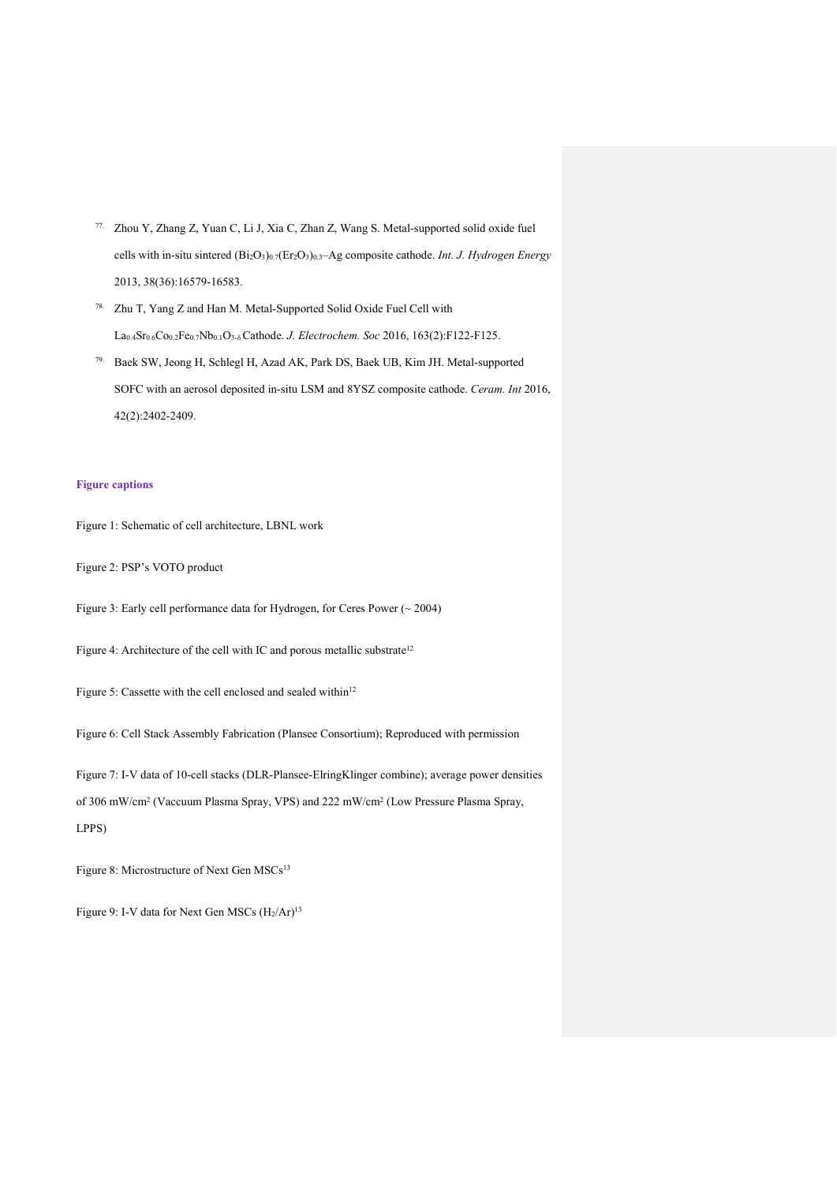- 77. Zhou Y, Zhang Z, Yuan C, Li J, Xia C, Zhan Z, Wang S. Metal-supported solid oxide fuel cells with in-situ sintered (Bi2O3)0.7(Er2O3)0.3–Ag composite cathode. *Int. J. Hydrogen Energy* 2013, 38(36):16579-16583.
- 78. Zhu T, Yang Z and Han M. Metal-Supported Solid Oxide Fuel Cell with La0.4Sr0.6Co0.2Fe0.7Nb0.1O3-δ Cathode. *J. Electrochem. Soc* 2016, 163(2):F122-F125.
- 79. Baek SW, Jeong H, Schlegl H, Azad AK, Park DS, Baek UB, Kim JH. Metal-supported SOFC with an aerosol deposited in-situ LSM and 8YSZ composite cathode. *Ceram. Int* 2016, 42(2):2402-2409.

## **Figure captions**

Figure 1: Schematic of cell architecture, LBNL work

Figure 2: PSP's VOTO product

Figure 3: Early cell performance data for Hydrogen, for Ceres Power (~ 2004)

Figure 4: Architecture of the cell with IC and porous metallic substrate<sup>12</sup>

Figure 5: Cassette with the cell enclosed and sealed within<sup>12</sup>

Figure 6: Cell Stack Assembly Fabrication (Plansee Consortium); Reproduced with permission

Figure 7: I-V data of 10-cell stacks (DLR-Plansee-ElringKlinger combine); average power densities of 306 mW/cm2 (Vaccuum Plasma Spray, VPS) and 222 mW/cm2 (Low Pressure Plasma Spray, LPPS)

Figure 8: Microstructure of Next Gen MSCs<sup>13</sup>

Figure 9: I-V data for Next Gen MSCs  $(H_2/Ar)^{13}$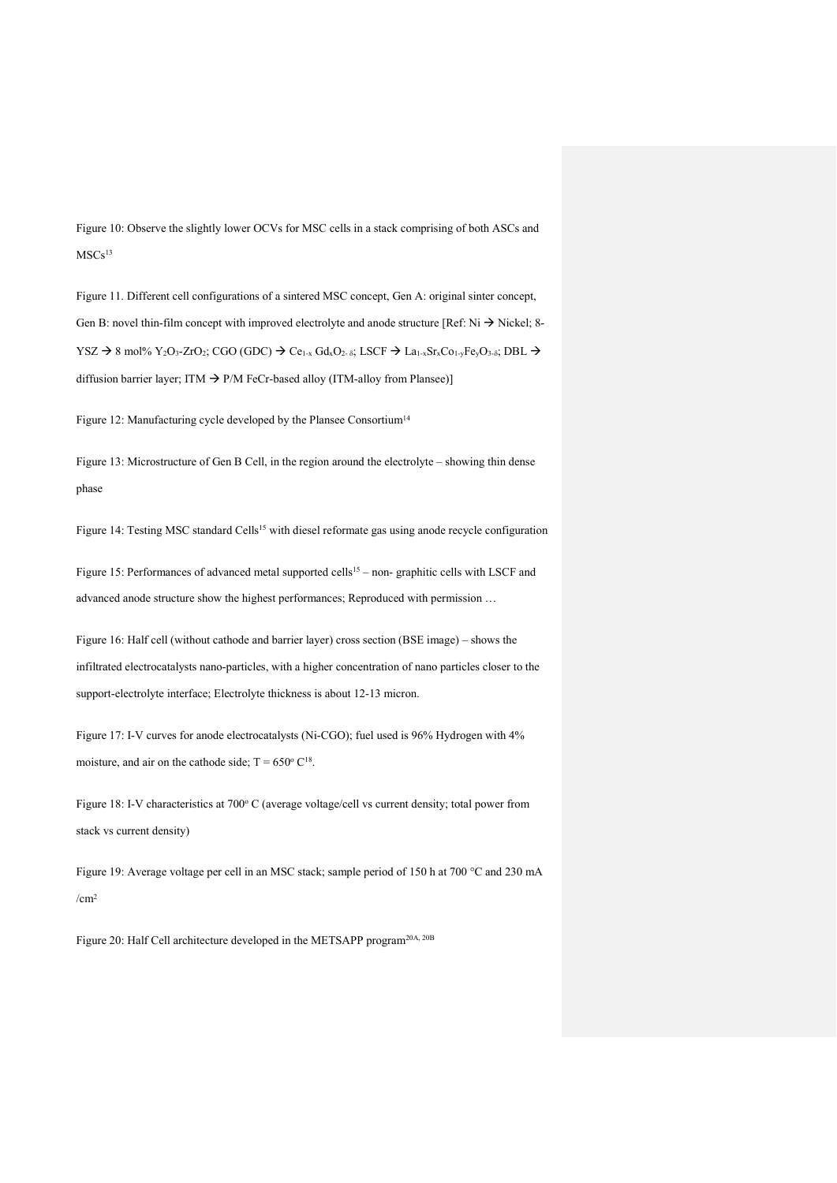Figure 10: Observe the slightly lower OCVs for MSC cells in a stack comprising of both ASCs and MSCs<sup>13</sup>

Figure 11. Different cell configurations of a sintered MSC concept, Gen A: original sinter concept, Gen B: novel thin-film concept with improved electrolyte and anode structure [Ref: Ni  $\rightarrow$  Nickel; 8-YSZ  $\rightarrow$  8 mol% Y<sub>2</sub>O<sub>3</sub>-ZrO<sub>2</sub>; CGO (GDC)  $\rightarrow$  Ce<sub>1-x</sub> Gd<sub>x</sub>O<sub>2-δ</sub>; LSCF  $\rightarrow$  La<sub>1-x</sub>Sr<sub>x</sub>Co<sub>1-y</sub>Fe<sub>y</sub>O<sub>3-δ</sub>; DBL  $\rightarrow$ diffusion barrier layer: ITM  $\rightarrow$  P/M FeCr-based alloy (ITM-alloy from Plansee)]

Figure 12: Manufacturing cycle developed by the Plansee Consortium<sup>14</sup>

Figure 13: Microstructure of Gen B Cell, in the region around the electrolyte – showing thin dense phase

Figure 14: Testing MSC standard Cells<sup>15</sup> with diesel reformate gas using anode recycle configuration

Figure 15: Performances of advanced metal supported cells<sup>15</sup> – non- graphitic cells with LSCF and advanced anode structure show the highest performances; Reproduced with permission …

Figure 16: Half cell (without cathode and barrier layer) cross section (BSE image) – shows the infiltrated electrocatalysts nano-particles, with a higher concentration of nano particles closer to the support-electrolyte interface; Electrolyte thickness is about 12-13 micron.

Figure 17: I-V curves for anode electrocatalysts (Ni-CGO); fuel used is 96% Hydrogen with 4% moisture, and air on the cathode side;  $T = 650^{\circ} C^{18}$ .

Figure 18: I-V characteristics at 700° C (average voltage/cell vs current density; total power from stack vs current density)

Figure 19: Average voltage per cell in an MSC stack; sample period of 150 h at 700 °C and 230 mA  $/cm<sup>2</sup>$ 

Figure 20: Half Cell architecture developed in the METSAPP program20A, 20B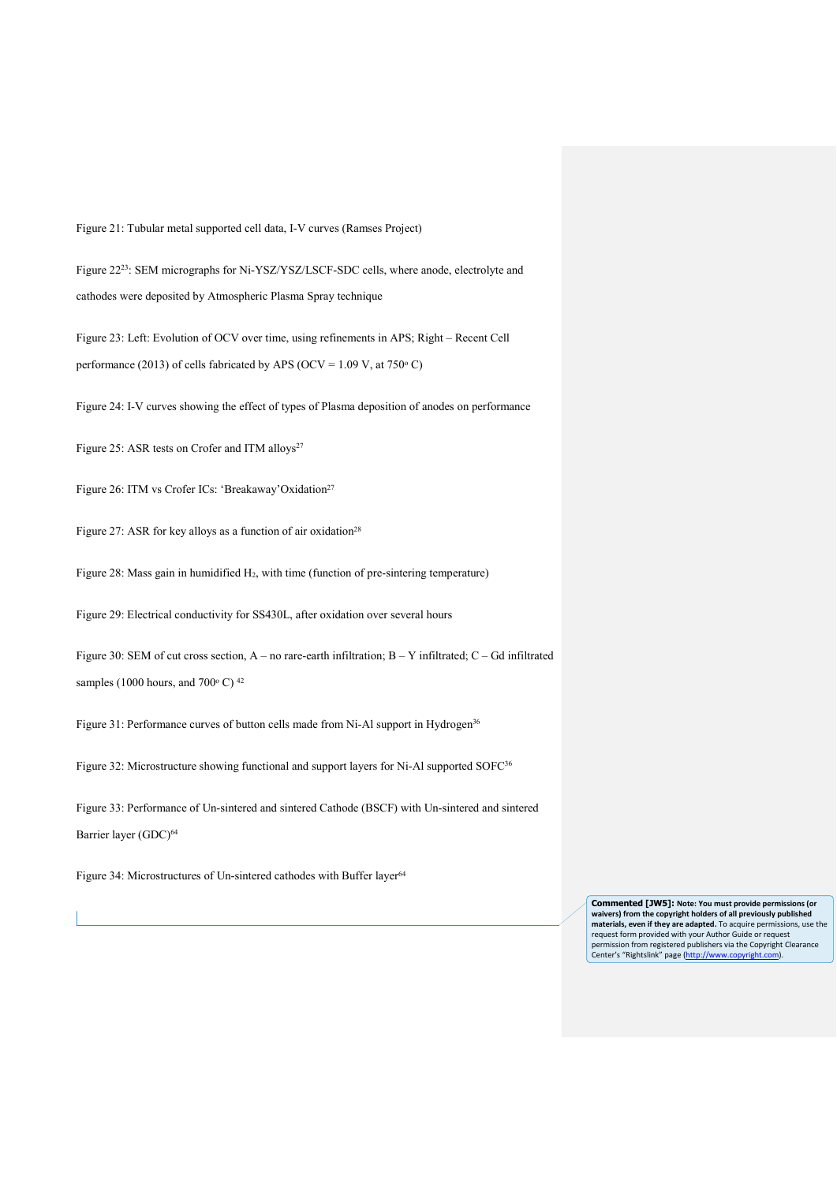Figure 21: Tubular metal supported cell data, I-V curves (Ramses Project)

Figure 2223: SEM micrographs for Ni-YSZ/YSZ/LSCF-SDC cells, where anode, electrolyte and cathodes were deposited by Atmospheric Plasma Spray technique

Figure 23: Left: Evolution of OCV over time, using refinements in APS; Right – Recent Cell performance (2013) of cells fabricated by APS (OCV =  $1.09$  V, at 750 $^{\circ}$  C)

Figure 24: I-V curves showing the effect of types of Plasma deposition of anodes on performance

Figure 25: ASR tests on Crofer and ITM alloys<sup>27</sup>

Figure 26: ITM vs Crofer ICs: 'Breakaway'Oxidation<sup>27</sup>

Figure 27: ASR for key alloys as a function of air oxidation<sup>28</sup>

Figure 28: Mass gain in humidified H<sub>2</sub>, with time (function of pre-sintering temperature)

Figure 29: Electrical conductivity for SS430L, after oxidation over several hours

Figure 30: SEM of cut cross section, A – no rare-earth infiltration; B – Y infiltrated; C – Gd infiltrated samples (1000 hours, and 700 $^{\circ}$  C)<sup>42</sup>

Figure 31: Performance curves of button cells made from Ni-Al support in Hydrogen<sup>36</sup>

Figure 32: Microstructure showing functional and support layers for Ni-Al supported SOFC<sup>36</sup>

Figure 33: Performance of Un-sintered and sintered Cathode (BSCF) with Un-sintered and sintered Barrier layer (GDC)<sup>64</sup>

Figure 34: Microstructures of Un-sintered cathodes with Buffer layer<sup>64</sup>

**Commented [JW5]: Note: You must provide permissions (or waivers) from the copyright holders of all previously published materials, even if they are adapted.** To acquire permissions, use the request form provided with your Author Guide or request permission from registered publishers via the Copyright Clearance<br>Center's "Rightslink" page [\(http://www.copyright.com\).](http://www.copyright.com/viewPage.do?pageCode=pu4-n)